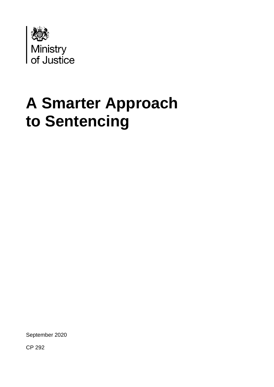

# **A Smarter Approach to Sentencing**

September 2020

CP 292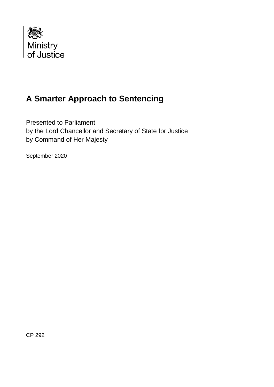

### **A Smarter Approach to Sentencing**

Presented to Parliament by the Lord Chancellor and Secretary of State for Justice by Command of Her Majesty

September 2020

CP 292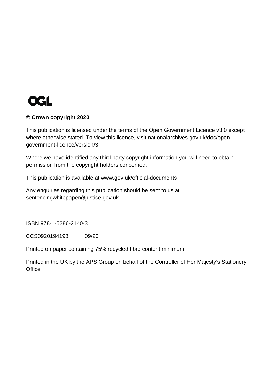

#### **© Crown copyright 2020**

This publication is licensed under the terms of the Open Government Licence v3.0 except where otherwise stated. To view this licence, visit [nationalarchives.gov.uk/doc/open](http://nationalarchives.gov.uk/doc/open-government-licence/version/3/)[government-licence/version/3](http://nationalarchives.gov.uk/doc/open-government-licence/version/3/)

Where we have identified any third party copyright information you will need to obtain permission from the copyright holders concerned.

This publication is available at [www.gov.uk/official-documents](http://www.gov.uk/official-documents)

Any enquiries regarding this publication should be sent to us at [sentencingwhitepaper@justice.gov.uk](mailto:sentencingwhitepaper@justice.gov.uk)

ISBN 978-1-5286-2140-3

CCS0920194198 09/20

Printed on paper containing 75% recycled fibre content minimum

Printed in the UK by the APS Group on behalf of the Controller of Her Majesty's Stationery **Office**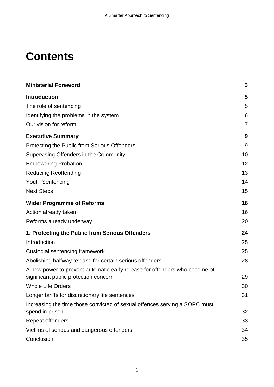## **Contents**

| <b>Ministerial Foreword</b>                                                                                         | 3              |
|---------------------------------------------------------------------------------------------------------------------|----------------|
| <b>Introduction</b>                                                                                                 | 5              |
| The role of sentencing                                                                                              | 5              |
| Identifying the problems in the system                                                                              | 6              |
| Our vision for reform                                                                                               | $\overline{7}$ |
| <b>Executive Summary</b>                                                                                            | 9              |
| Protecting the Public from Serious Offenders                                                                        | 9              |
| Supervising Offenders in the Community                                                                              | 10             |
| <b>Empowering Probation</b>                                                                                         | 12             |
| <b>Reducing Reoffending</b>                                                                                         | 13             |
| <b>Youth Sentencing</b>                                                                                             | 14             |
| <b>Next Steps</b>                                                                                                   | 15             |
| <b>Wider Programme of Reforms</b>                                                                                   | 16             |
| Action already taken                                                                                                | 16             |
| Reforms already underway                                                                                            | 20             |
| 1. Protecting the Public from Serious Offenders                                                                     | 24             |
| Introduction                                                                                                        | 25             |
| Custodial sentencing framework                                                                                      | 25             |
| Abolishing halfway release for certain serious offenders                                                            | 28             |
| A new power to prevent automatic early release for offenders who become of<br>significant public protection concern | 29             |
| <b>Whole Life Orders</b>                                                                                            | 30             |
| Longer tariffs for discretionary life sentences                                                                     | 31             |
| Increasing the time those convicted of sexual offences serving a SOPC must<br>spend in prison                       | 32             |
| Repeat offenders                                                                                                    | 33             |
| Victims of serious and dangerous offenders                                                                          | 34             |
| Conclusion                                                                                                          | 35             |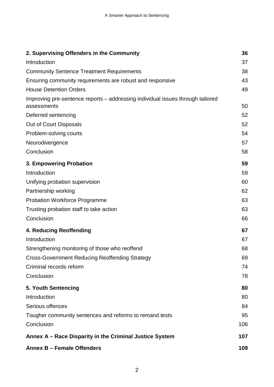| 2. Supervising Offenders in the Community                                                     | 36  |
|-----------------------------------------------------------------------------------------------|-----|
| Introduction                                                                                  | 37  |
| <b>Community Sentence Treatment Requirements</b>                                              | 38  |
| Ensuring community requirements are robust and responsive                                     | 43  |
| <b>House Detention Orders</b>                                                                 | 49  |
| Improving pre-sentence reports – addressing individual issues through tailored<br>assessments | 50  |
| Deferred sentencing                                                                           | 52  |
| Out of Court Disposals                                                                        | 52  |
| Problem-solving courts                                                                        | 54  |
| Neurodivergence                                                                               | 57  |
| Conclusion                                                                                    | 58  |
| 3. Empowering Probation                                                                       | 59  |
| Introduction                                                                                  | 59  |
| Unifying probation supervision                                                                | 60  |
| Partnership working                                                                           | 62  |
| <b>Probation Workforce Programme</b>                                                          | 63  |
| Trusting probation staff to take action                                                       | 63  |
| Conclusion                                                                                    | 66  |
| 4. Reducing Reoffending                                                                       | 67  |
| Introduction                                                                                  | 67  |
| Strengthening monitoring of those who reoffend                                                | 68  |
| <b>Cross-Government Reducing Reoffending Strategy</b>                                         | 69  |
| Criminal records reform                                                                       | 74  |
| Conclusion                                                                                    | 78  |
| 5. Youth Sentencing                                                                           | 80  |
| Introduction                                                                                  | 80  |
| Serious offences                                                                              | 84  |
| Tougher community sentences and reforms to remand tests                                       | 95  |
| Conclusion                                                                                    | 106 |
| Annex A – Race Disparity in the Criminal Justice System                                       | 107 |
| Annex B - Female Offenders                                                                    | 109 |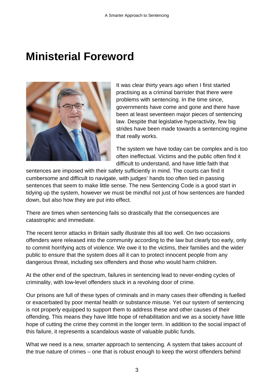## <span id="page-5-0"></span>**Ministerial Foreword**



It was clear thirty years ago when I first started practising as a criminal barrister that there were problems with sentencing. In the time since, governments have come and gone and there have been at least seventeen major pieces of sentencing law. Despite that legislative hyperactivity, few big strides have been made towards a sentencing regime that really works.

The system we have today can be complex and is too often ineffectual. Victims and the public often find it difficult to understand, and have little faith that

sentences are imposed with their safety sufficiently in mind. The courts can find it cumbersome and difficult to navigate, with judges' hands too often tied in passing sentences that seem to make little sense. The new Sentencing Code is a good start in tidying up the system, however we must be mindful not just of how sentences are handed down, but also how they are put into effect.

There are times when sentencing fails so drastically that the consequences are catastrophic and immediate.

The recent terror attacks in Britain sadly illustrate this all too well. On two occasions offenders were released into the community according to the law but clearly too early, only to commit horrifying acts of violence. We owe it to the victims, their families and the wider public to ensure that the system does all it can to protect innocent people from any dangerous threat, including sex offenders and those who would harm children.

At the other end of the spectrum, failures in sentencing lead to never-ending cycles of criminality, with low-level offenders stuck in a revolving door of crime.

Our prisons are full of these types of criminals and in many cases their offending is fuelled or exacerbated by poor mental health or substance misuse. Yet our system of sentencing is not properly equipped to support them to address these and other causes of their offending. This means they have little hope of rehabilitation and we as a society have little hope of cutting the crime they commit in the longer term. In addition to the social impact of this failure, it represents a scandalous waste of valuable public funds.

What we need is a new, smarter approach to sentencing. A system that takes account of the true nature of crimes – one that is robust enough to keep the worst offenders behind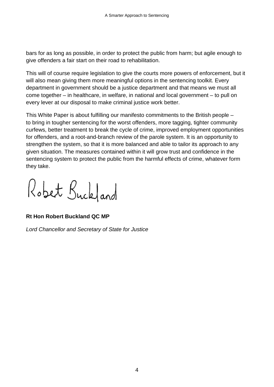bars for as long as possible, in order to protect the public from harm; but agile enough to give offenders a fair start on their road to rehabilitation.

This will of course require legislation to give the courts more powers of enforcement, but it will also mean giving them more meaningful options in the sentencing toolkit. Every department in government should be a justice department and that means we must all come together – in healthcare, in welfare, in national and local government – to pull on every lever at our disposal to make criminal justice work better.

This White Paper is about fulfilling our manifesto commitments to the British people – to bring in tougher sentencing for the worst offenders, more tagging, tighter community curfews, better treatment to break the cycle of crime, improved employment opportunities for offenders, and a root-and-branch review of the parole system. It is an opportunity to strengthen the system, so that it is more balanced and able to tailor its approach to any given situation. The measures contained within it will grow trust and confidence in the sentencing system to protect the public from the harmful effects of crime, whatever form they take.

Robert Buckland

### **Rt Hon Robert Buckland QC MP**

*Lord Chancellor and Secretary of State for Justice*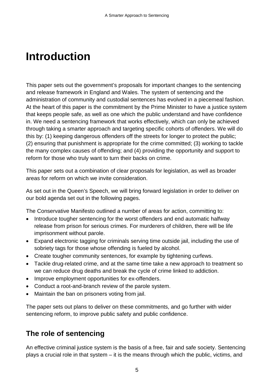## <span id="page-7-0"></span>**Introduction**

This paper sets out the government's proposals for important changes to the sentencing and release framework in England and Wales. The system of sentencing and the administration of community and custodial sentences has evolved in a piecemeal fashion. At the heart of this paper is the commitment by the Prime Minister to have a justice system that keeps people safe, as well as one which the public understand and have confidence in. We need a sentencing framework that works effectively, which can only be achieved through taking a smarter approach and targeting specific cohorts of offenders. We will do this by: (1) keeping dangerous offenders off the streets for longer to protect the public; (2) ensuring that punishment is appropriate for the crime committed; (3) working to tackle the many complex causes of offending; and (4) providing the opportunity and support to reform for those who truly want to turn their backs on crime.

This paper sets out a combination of clear proposals for legislation, as well as broader areas for reform on which we invite consideration.

As set out in the Queen's Speech, we will bring forward legislation in order to deliver on our bold agenda set out in the following pages.

The Conservative Manifesto outlined a number of areas for action, committing to:

- Introduce tougher sentencing for the worst offenders and end automatic halfway release from prison for serious crimes. For murderers of children, there will be life imprisonment without parole.
- Expand electronic tagging for criminals serving time outside jail, including the use of sobriety tags for those whose offending is fueled by alcohol.
- Create tougher community sentences, for example by tightening curfews.
- Tackle drug-related crime, and at the same time take a new approach to treatment so we can reduce drug deaths and break the cycle of crime linked to addiction.
- Improve employment opportunities for ex-offenders.
- Conduct a root-and-branch review of the parole system.
- Maintain the ban on prisoners voting from jail.

The paper sets out plans to deliver on these commitments, and go further with wider sentencing reform, to improve public safety and public confidence.

### <span id="page-7-1"></span>**The role of sentencing**

An effective criminal justice system is the basis of a free, fair and safe society. Sentencing plays a crucial role in that system – it is the means through which the public, victims, and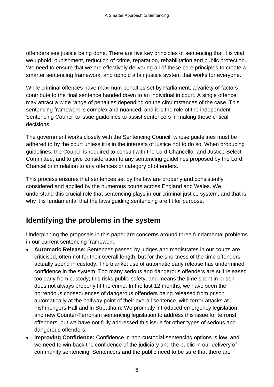offenders see justice being done. There are five key principles of sentencing that it is vital we uphold: punishment, reduction of crime, reparation, rehabilitation and public protection. We need to ensure that we are effectively delivering all of these core principles to create a smarter sentencing framework, and uphold a fair justice system that works for everyone.

While criminal offences have maximum penalties set by Parliament, a variety of factors contribute to the final sentence handed down to an individual in court. A single offence may attract a wide range of penalties depending on the circumstances of the case. This sentencing framework is complex and nuanced, and it is the role of the independent Sentencing Council to issue guidelines to assist sentencers in making these critical decisions.

The government works closely with the Sentencing Council, whose guidelines must be adhered to by the court unless it is in the interests of justice not to do so. When producing guidelines, the Council is required to consult with the Lord Chancellor and Justice Select Committee, and to give consideration to any sentencing guidelines proposed by the Lord Chancellor in relation to any offences or category of offenders.

This process ensures that sentences set by the law are properly and consistently considered and applied by the numerous courts across England and Wales. We understand this crucial role that sentencing plays in our criminal justice system, and that is why it is fundamental that the laws guiding sentencing are fit for purpose.

### <span id="page-8-0"></span>**Identifying the problems in the system**

Underpinning the proposals in this paper are concerns around three fundamental problems in our current sentencing framework:

- **Automatic Release:** Sentences passed by judges and magistrates in our courts are criticised, often not for their overall length, but for the shortness of the time offenders actually spend in custody. The blanket use of automatic early release has undermined confidence in the system. Too many serious and dangerous offenders are still released too early from custody; this risks public safety, and means the time spent in prison does not always properly fit the crime. In the last 12 months, we have seen the horrendous consequences of dangerous offenders being released from prison automatically at the halfway point of their overall sentence, with terror attacks at Fishmongers Hall and in Streatham. We promptly introduced emergency legislation and new Counter-Terrorism sentencing legislation to address this issue for terrorist offenders, but we have not fully addressed this issue for other types of serious and dangerous offenders.
- **Improving Confidence:** Confidence in non-custodial sentencing options is low, and we need to win back the confidence of the judiciary and the public in our delivery of community sentencing. Sentencers and the public need to be sure that there are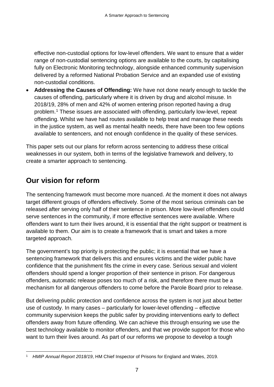effective non-custodial options for low-level offenders. We want to ensure that a wider range of non-custodial sentencing options are available to the courts, by capitalising fully on Electronic Monitoring technology, alongside enhanced community supervision delivered by a reformed National Probation Service and an expanded use of existing non-custodial conditions.

• **Addressing the Causes of Offending:** We have not done nearly enough to tackle the causes of offending, particularly where it is driven by drug and alcohol misuse. In 2018/19, 28% of men and 42% of women entering prison reported having a drug problem.[1](#page-9-1) These issues are associated with offending, particularly low-level, repeat offending. Whilst we have had routes available to help treat and manage these needs in the justice system, as well as mental health needs, there have been too few options available to sentencers, and not enough confidence in the quality of these services.

This paper sets out our plans for reform across sentencing to address these critical weaknesses in our system, both in terms of the legislative framework and delivery, to create a smarter approach to sentencing.

### <span id="page-9-0"></span>**Our vision for reform**

The sentencing framework must become more nuanced. At the moment it does not always target different groups of offenders effectively. Some of the most serious criminals can be released after serving only half of their sentence in prison. More low-level offenders could serve sentences in the community, if more effective sentences were available. Where offenders want to turn their lives around, it is essential that the right support or treatment is available to them. Our aim is to create a framework that is smart and takes a more targeted approach.

The government's top priority is protecting the public; it is essential that we have a sentencing framework that delivers this and ensures victims and the wider public have confidence that the punishment fits the crime in every case. Serious sexual and violent offenders should spend a longer proportion of their sentence in prison. For dangerous offenders, automatic release poses too much of a risk, and therefore there must be a mechanism for all dangerous offenders to come before the Parole Board prior to release.

But delivering public protection and confidence across the system is not just about better use of custody. In many cases – particularly for lower-level offending – effective community supervision keeps the public safer by providing interventions early to deflect offenders away from future offending. We can achieve this through ensuring we use the best technology available to monitor offenders, and that we provide support for those who want to turn their lives around. As part of our reforms we propose to develop a tough

<span id="page-9-1"></span><sup>&</sup>lt;u>.</u> <sup>1</sup> *HMIP Annual Report 2018/19*, HM Chief Inspector of Prisons for England and Wales, 2019.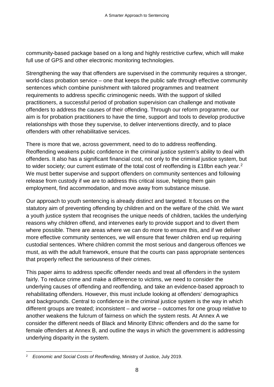community-based package based on a long and highly restrictive curfew, which will make full use of GPS and other electronic monitoring technologies.

Strengthening the way that offenders are supervised in the community requires a stronger, world-class probation service – one that keeps the public safe through effective community sentences which combine punishment with tailored programmes and treatment requirements to address specific criminogenic needs. With the support of skilled practitioners, a successful period of probation supervision can challenge and motivate offenders to address the causes of their offending. Through our reform programme, our aim is for probation practitioners to have the time, support and tools to develop productive relationships with those they supervise, to deliver interventions directly, and to place offenders with other rehabilitative services.

There is more that we, across government, need to do to address reoffending. Reoffending weakens public confidence in the criminal justice system's ability to deal with offenders. It also has a significant financial cost, not only to the criminal justice system, but to wider society; our current estimate of the total cost of reoffending is £18bn each year.<sup>[2](#page-10-0)</sup> We must better supervise and support offenders on community sentences and following release from custody if we are to address this critical issue, helping them gain employment, find accommodation, and move away from substance misuse.

Our approach to youth sentencing is already distinct and targeted. It focuses on the statutory aim of preventing offending by children and on the welfare of the child. We want a youth justice system that recognises the unique needs of children, tackles the underlying reasons why children offend, and intervenes early to provide support and to divert them where possible. There are areas where we can do more to ensure this, and if we deliver more effective community sentences, we will ensure that fewer children end up requiring custodial sentences. Where children commit the most serious and dangerous offences we must, as with the adult framework, ensure that the courts can pass appropriate sentences that properly reflect the seriousness of their crimes.

This paper aims to address specific offender needs and treat all offenders in the system fairly. To reduce crime and make a difference to victims, we need to consider the underlying causes of offending and reoffending, and take an evidence-based approach to rehabilitating offenders. However, this must include looking at offenders' demographics and backgrounds. Central to confidence in the criminal justice system is the way in which different groups are treated; inconsistent – and worse – outcomes for one group relative to another weakens the fulcrum of fairness on which the system rests. At Annex A we consider the different needs of Black and Minority Ethnic offenders and do the same for female offenders at Annex B, and outline the ways in which the government is addressing underlying disparity in the system.

<span id="page-10-0"></span> <sup>2</sup> *Economic and Social Costs of Reoffending*, Ministry of Justice, July 2019.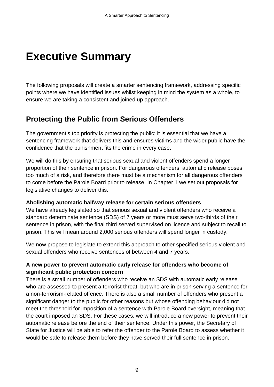## <span id="page-11-0"></span>**Executive Summary**

The following proposals will create a smarter sentencing framework, addressing specific points where we have identified issues whilst keeping in mind the system as a whole, to ensure we are taking a consistent and joined up approach.

### <span id="page-11-1"></span>**Protecting the Public from Serious Offenders**

The government's top priority is protecting the public; it is essential that we have a sentencing framework that delivers this and ensures victims and the wider public have the confidence that the punishment fits the crime in every case.

We will do this by ensuring that serious sexual and violent offenders spend a longer proportion of their sentence in prison. For dangerous offenders, automatic release poses too much of a risk, and therefore there must be a mechanism for all dangerous offenders to come before the Parole Board prior to release. In Chapter 1 we set out proposals for legislative changes to deliver this.

#### **Abolishing automatic halfway release for certain serious offenders**

We have already legislated so that serious sexual and violent offenders who receive a standard determinate sentence (SDS) of 7 years or more must serve two-thirds of their sentence in prison, with the final third served supervised on licence and subject to recall to prison. This will mean around 2,000 serious offenders will spend longer in custody.

We now propose to legislate to extend this approach to other specified serious violent and sexual offenders who receive sentences of between 4 and 7 years.

### **A new power to prevent automatic early release for offenders who become of significant public protection concern**

There is a small number of offenders who receive an SDS with automatic early release who are assessed to present a terrorist threat, but who are in prison serving a sentence for a non-terrorism-related offence. There is also a small number of offenders who present a significant danger to the public for other reasons but whose offending behaviour did not meet the threshold for imposition of a sentence with Parole Board oversight, meaning that the court imposed an SDS. For these cases, we will introduce a new power to prevent their automatic release before the end of their sentence. Under this power, the Secretary of State for Justice will be able to refer the offender to the Parole Board to assess whether it would be safe to release them before they have served their full sentence in prison.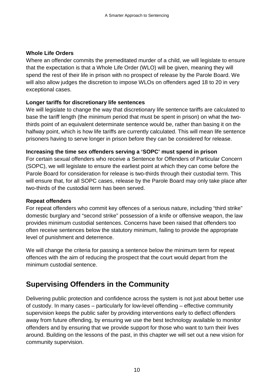### **Whole Life Orders**

Where an offender commits the premeditated murder of a child, we will legislate to ensure that the expectation is that a Whole Life Order (WLO) will be given, meaning they will spend the rest of their life in prison with no prospect of release by the Parole Board. We will also allow judges the discretion to impose WLOs on offenders aged 18 to 20 in very exceptional cases.

### **Longer tariffs for discretionary life sentences**

We will legislate to change the way that discretionary life sentence tariffs are calculated to base the tariff length (the minimum period that must be spent in prison) on what the twothirds point of an equivalent determinate sentence would be, rather than basing it on the halfway point, which is how life tariffs are currently calculated. This will mean life sentence prisoners having to serve longer in prison before they can be considered for release.

#### **Increasing the time sex offenders serving a 'SOPC' must spend in prison**

For certain sexual offenders who receive a Sentence for Offenders of Particular Concern (SOPC), we will legislate to ensure the earliest point at which they can come before the Parole Board for consideration for release is two-thirds through their custodial term. This will ensure that, for all SOPC cases, release by the Parole Board may only take place after two-thirds of the custodial term has been served.

#### **Repeat offenders**

For repeat offenders who commit key offences of a serious nature, including "third strike" domestic burglary and "second strike" possession of a knife or offensive weapon, the law provides minimum custodial sentences. Concerns have been raised that offenders too often receive sentences below the statutory minimum, failing to provide the appropriate level of punishment and deterrence.

We will change the criteria for passing a sentence below the minimum term for repeat offences with the aim of reducing the prospect that the court would depart from the minimum custodial sentence.

### <span id="page-12-0"></span>**Supervising Offenders in the Community**

Delivering public protection and confidence across the system is not just about better use of custody. In many cases – particularly for low-level offending – effective community supervision keeps the public safer by providing interventions early to deflect offenders away from future offending, by ensuring we use the best technology available to monitor offenders and by ensuring that we provide support for those who want to turn their lives around. Building on the lessons of the past, in this chapter we will set out a new vision for community supervision.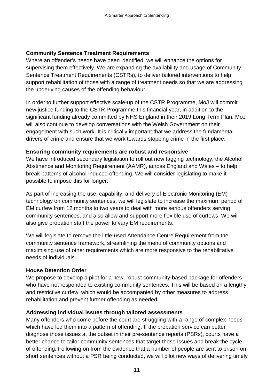### **Community Sentence Treatment Requirements**

Where an offender's needs have been identified, we will enhance the options for supervising them effectively. We are expanding the availability and usage of Community Sentence Treatment Requirements (CSTRs), to deliver tailored interventions to help support rehabilitation of those with a range of treatment needs so that we are addressing the underlying causes of the offending behaviour.

In order to further support effective scale-up of the CSTR Programme, MoJ will commit new justice funding to the CSTR Programme this financial year, in addition to the significant funding already committed by NHS England in their 2019 Long Term Plan. MoJ will also continue to develop conversations with the Welsh Government on their engagement with such work. It is critically important that we address the fundamental drivers of crime and ensure that we work towards stopping crime in the first place.

#### **Ensuring community requirements are robust and responsive**

We have introduced secondary legislation to roll out new tagging technology, the Alcohol Abstinence and Monitoring Requirement (AAMR), across England and Wales – to help break patterns of alcohol-induced offending. We will consider legislating to make it possible to impose this for longer.

As part of increasing the use, capability, and delivery of Electronic Monitoring (EM) technology on community sentences, we will legislate to increase the maximum period of EM curfew from 12 months to two years to deal with more serious offenders serving community sentences, and also allow and support more flexible use of curfews. We will also give probation staff the power to vary EM requirements.

We will legislate to remove the little-used Attendance Centre Requirement from the community sentence framework, streamlining the menu of community options and maximising use of other requirements which are more responsive to the rehabilitative needs of individuals.

#### **House Detention Order**

We propose to develop a pilot for a new, robust community-based package for offenders who have not responded to existing community sentences. This will be based on a lengthy and restrictive curfew, which would be accompanied by other measures to address rehabilitation and prevent further offending as needed.

### **Addressing individual issues through tailored assessments**

Many offenders who come before the court are struggling with a range of complex needs which have led them into a pattern of offending. If the probation service can better diagnose those issues at the outset in their pre-sentence reports (PSRs), courts have a better chance to tailor community sentences that target those issues and break the cycle of offending. Following on from the evidence that a number of people are sent to prison on short sentences without a PSR being conducted, we will pilot new ways of delivering timely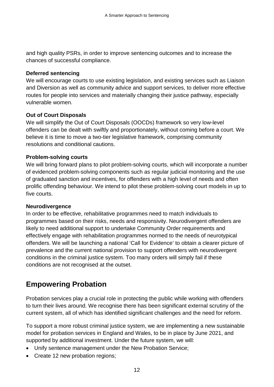and high quality PSRs, in order to improve sentencing outcomes and to increase the chances of successful compliance.

#### **Deferred sentencing**

We will encourage courts to use existing legislation, and existing services such as Liaison and Diversion as well as community advice and support services, to deliver more effective routes for people into services and materially changing their justice pathway, especially vulnerable women.

#### **Out of Court Disposals**

We will simplify the Out of Court Disposals (OOCDs) framework so very low-level offenders can be dealt with swiftly and proportionately, without coming before a court. We believe it is time to move a two-tier legislative framework, comprising community resolutions and conditional cautions.

#### **Problem-solving courts**

We will bring forward plans to pilot problem-solving courts, which will incorporate a number of evidenced problem-solving components such as regular judicial monitoring and the use of graduated sanction and incentives, for offenders with a high level of needs and often prolific offending behaviour. We intend to pilot these problem-solving court models in up to five courts.

#### **Neurodivergence**

In order to be effective, rehabilitative programmes need to match individuals to programmes based on their risks, needs and responsivity. Neurodivergent offenders are likely to need additional support to undertake Community Order requirements and effectively engage with rehabilitation programmes normed to the needs of neurotypical offenders. We will be launching a national 'Call for Evidence' to obtain a clearer picture of prevalence and the current national provision to support offenders with neurodivergent conditions in the criminal justice system. Too many orders will simply fail if these conditions are not recognised at the outset.

### <span id="page-14-0"></span>**Empowering Probation**

Probation services play a crucial role in protecting the public while working with offenders to turn their lives around. We recognise there has been significant external scrutiny of the current system, all of which has identified significant challenges and the need for reform.

To support a more robust criminal justice system, we are implementing a new sustainable model for probation services in England and Wales, to be in place by June 2021, and supported by additional investment. Under the future system, we will:

- Unify sentence management under the New Probation Service;
- Create 12 new probation regions;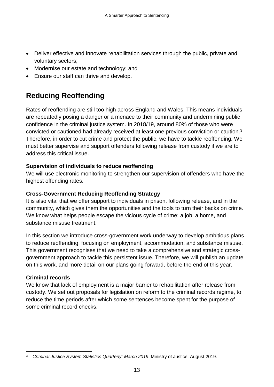- Deliver effective and innovate rehabilitation services through the public, private and voluntary sectors;
- Modernise our estate and technology; and
- Ensure our staff can thrive and develop.

### <span id="page-15-0"></span>**Reducing Reoffending**

Rates of reoffending are still too high across England and Wales. This means individuals are repeatedly posing a danger or a menace to their community and undermining public confidence in the criminal justice system. In 2018/19, around 80% of those who were convicted or cautioned had already received at least one previous conviction or caution. [3](#page-15-1) Therefore, in order to cut crime and protect the public, we have to tackle reoffending. We must better supervise and support offenders following release from custody if we are to address this critical issue.

### **Supervision of individuals to reduce reoffending**

We will use electronic monitoring to strengthen our supervision of offenders who have the highest offending rates.

### **Cross-Government Reducing Reoffending Strategy**

It is also vital that we offer support to individuals in prison, following release, and in the community, which gives them the opportunities and the tools to turn their backs on crime. We know what helps people escape the vicious cycle of crime: a job, a home, and substance misuse treatment.

In this section we introduce cross-government work underway to develop ambitious plans to reduce reoffending, focusing on employment, accommodation, and substance misuse. This government recognises that we need to take a comprehensive and strategic crossgovernment approach to tackle this persistent issue. Therefore, we will publish an update on this work, and more detail on our plans going forward, before the end of this year.

### **Criminal records**

We know that lack of employment is a major barrier to rehabilitation after release from custody. We set out proposals for legislation on reform to the criminal records regime, to reduce the time periods after which some sentences become spent for the purpose of some criminal record checks.

<span id="page-15-1"></span> <sup>3</sup> *Criminal Justice System Statistics Quarterly: March 2019*, Ministry of Justice, August 2019.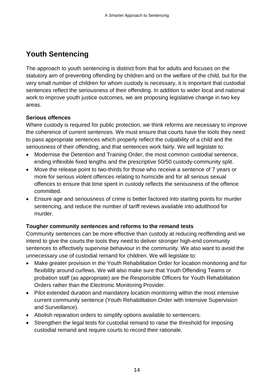### <span id="page-16-0"></span>**Youth Sentencing**

The approach to youth sentencing is distinct from that for adults and focuses on the statutory aim of preventing offending by children and on the welfare of the child, but for the very small number of children for whom custody is necessary, it is important that custodial sentences reflect the seriousness of their offending. In addition to wider local and national work to improve youth justice outcomes, we are proposing legislative change in two key areas.

### **Serious offences**

Where custody is required for public protection, we think reforms are necessary to improve the coherence of current sentences. We must ensure that courts have the tools they need to pass appropriate sentences which properly reflect the culpability of a child and the seriousness of their offending, and that sentences work fairly. We will legislate to:

- Modernise the Detention and Training Order, the most common custodial sentence, ending inflexible fixed lengths and the prescriptive 50/50 custody-community split.
- Move the release point to two-thirds for those who receive a sentence of 7 years or more for serious violent offences relating to homicide and for all serious sexual offences to ensure that time spent in custody reflects the seriousness of the offence committed.
- Ensure age and seriousness of crime is better factored into starting points for murder sentencing, and reduce the number of tariff reviews available into adulthood for murder.

### **Tougher community sentences and reforms to the remand tests**

Community sentences can be more effective than custody at reducing reoffending and we intend to give the courts the tools they need to deliver stronger high-end community sentences to effectively supervise behaviour in the community. We also want to avoid the unnecessary use of custodial remand for children. We will legislate to:

- Make greater provision in the Youth Rehabilitation Order for location monitoring and for flexibility around curfews. We will also make sure that Youth Offending Teams or probation staff (as appropriate) are the Responsible Officers for Youth Rehabilitation Orders rather than the Electronic Monitoring Provider.
- Pilot extended duration and mandatory location monitoring within the most intensive current community sentence (Youth Rehabilitation Order with Intensive Supervision and Surveillance).
- Abolish reparation orders to simplify options available to sentencers.
- Strengthen the legal tests for custodial remand to raise the threshold for imposing custodial remand and require courts to record their rationale.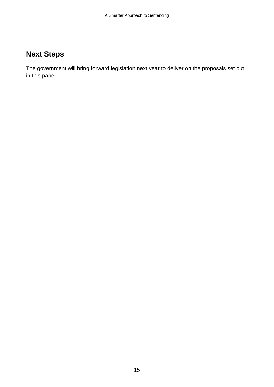### <span id="page-17-0"></span>**Next Steps**

The government will bring forward legislation next year to deliver on the proposals set out in this paper.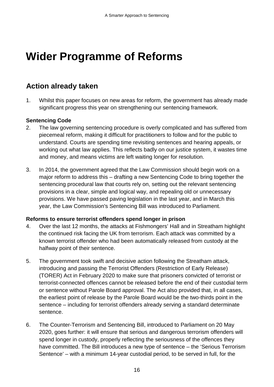## <span id="page-18-0"></span>**Wider Programme of Reforms**

### <span id="page-18-1"></span>**Action already taken**

1. Whilst this paper focuses on new areas for reform, the government has already made significant progress this year on strengthening our sentencing framework.

### **Sentencing Code**

- 2. The law governing sentencing procedure is overly complicated and has suffered from piecemeal reform, making it difficult for practitioners to follow and for the public to understand. Courts are spending time revisiting sentences and hearing appeals, or working out what law applies. This reflects badly on our justice system, it wastes time and money, and means victims are left waiting longer for resolution.
- 3. In 2014, the government agreed that the Law Commission should begin work on a major reform to address this – drafting a new Sentencing Code to bring together the sentencing procedural law that courts rely on, setting out the relevant sentencing provisions in a clear, simple and logical way, and repealing old or unnecessary provisions. We have passed paving legislation in the last year, and in March this year, the Law Commission's Sentencing Bill was introduced to Parliament.

#### **Reforms to ensure terrorist offenders spend longer in prison**

- 4. Over the last 12 months, the attacks at Fishmongers' Hall and in Streatham highlight the continued risk facing the UK from terrorism. Each attack was committed by a known terrorist offender who had been automatically released from custody at the halfway point of their sentence.
- 5. The government took swift and decisive action following the Streatham attack, introducing and passing the Terrorist Offenders (Restriction of Early Release) (TORER) Act in February 2020 to make sure that prisoners convicted of terrorist or terrorist-connected offences cannot be released before the end of their custodial term or sentence without Parole Board approval. The Act also provided that, in all cases, the earliest point of release by the Parole Board would be the two-thirds point in the sentence – including for terrorist offenders already serving a standard determinate sentence.
- 6. The Counter-Terrorism and Sentencing Bill, introduced to Parliament on 20 May 2020, goes further: it will ensure that serious and dangerous terrorism offenders will spend longer in custody, properly reflecting the seriousness of the offences they have committed. The Bill introduces a new type of sentence – the 'Serious Terrorism Sentence' – with a minimum 14-year custodial period, to be served in full, for the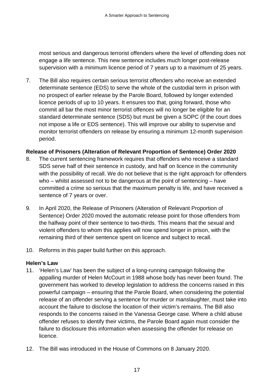most serious and dangerous terrorist offenders where the level of offending does not engage a life sentence. This new sentence includes much longer post-release supervision with a minimum licence period of 7 years up to a maximum of 25 years.

7. The Bill also requires certain serious terrorist offenders who receive an extended determinate sentence (EDS) to serve the whole of the custodial term in prison with no prospect of earlier release by the Parole Board, followed by longer extended licence periods of up to 10 years. It ensures too that, going forward, those who commit all bar the most minor terrorist offences will no longer be eligible for an standard determinate sentence (SDS) but must be given a SOPC (if the court does not impose a life or EDS sentence). This will improve our ability to supervise and monitor terrorist offenders on release by ensuring a minimum 12-month supervision period.

#### **Release of Prisoners (Alteration of Relevant Proportion of Sentence) Order 2020**

- 8. The current sentencing framework requires that offenders who receive a standard SDS serve half of their sentence in custody, and half on licence in the community with the possibility of recall. We do not believe that is the right approach for offenders who – whilst assessed not to be dangerous at the point of sentencing – have committed a crime so serious that the maximum penalty is life, and have received a sentence of 7 years or over.
- 9. In April 2020, the Release of Prisoners (Alteration of Relevant Proportion of Sentence) Order 2020 moved the automatic release point for those offenders from the halfway point of their sentence to two-thirds. This means that the sexual and violent offenders to whom this applies will now spend longer in prison, with the remaining third of their sentence spent on licence and subject to recall.
- 10. Reforms in this paper build further on this approach.

#### **Helen's Law**

- 11. 'Helen's Law' has been the subject of a long-running campaign following the appalling murder of Helen McCourt in 1988 whose body has never been found. The government has worked to develop legislation to address the concerns raised in this powerful campaign – ensuring that the Parole Board, when considering the potential release of an offender serving a sentence for murder or manslaughter, must take into account the failure to disclose the location of their victim's remains. The Bill also responds to the concerns raised in the Vanessa George case. Where a child abuse offender refuses to identify their victims, the Parole Board again must consider the failure to disclosure this information when assessing the offender for release on licence.
- 12. The Bill was introduced in the House of Commons on 8 January 2020.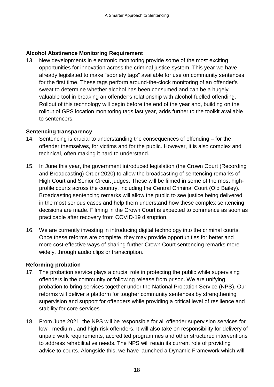### **Alcohol Abstinence Monitoring Requirement**

13. New developments in electronic monitoring provide some of the most exciting opportunities for innovation across the criminal justice system. This year we have already legislated to make "sobriety tags" available for use on community sentences for the first time. These tags perform around-the-clock monitoring of an offender's sweat to determine whether alcohol has been consumed and can be a hugely valuable tool in breaking an offender's relationship with alcohol-fuelled offending. Rollout of this technology will begin before the end of the year and, building on the rollout of GPS location monitoring tags last year, adds further to the toolkit available to sentencers.

#### **Sentencing transparency**

- 14. Sentencing is crucial to understanding the consequences of offending for the offender themselves, for victims and for the public. However, it is also complex and technical, often making it hard to understand.
- 15. In June this year, the government introduced legislation (the Crown Court (Recording and Broadcasting) Order 2020) to allow the broadcasting of sentencing remarks of High Court and Senior Circuit judges. These will be filmed in some of the most highprofile courts across the country, including the Central Criminal Court (Old Bailey). Broadcasting sentencing remarks will allow the public to see justice being delivered in the most serious cases and help them understand how these complex sentencing decisions are made. Filming in the Crown Court is expected to commence as soon as practicable after recovery from COVID-19 disruption.
- 16. We are currently investing in introducing digital technology into the criminal courts. Once these reforms are complete, they may provide opportunities for better and more cost-effective ways of sharing further Crown Court sentencing remarks more widely, through audio clips or transcription.

#### **Reforming probation**

- 17. The probation service plays a crucial role in protecting the public while supervising offenders in the community or following release from prison. We are unifying probation to bring services together under the National Probation Service (NPS). Our reforms will deliver a platform for tougher community sentences by strengthening supervision and support for offenders while providing a critical level of resilience and stability for core services.
- 18. From June 2021, the NPS will be responsible for all offender supervision services for low-, medium-, and high-risk offenders. It will also take on responsibility for delivery of unpaid work requirements, accredited programmes and other structured interventions to address rehabilitative needs. The NPS will retain its current role of providing advice to courts. Alongside this, we have launched a Dynamic Framework which will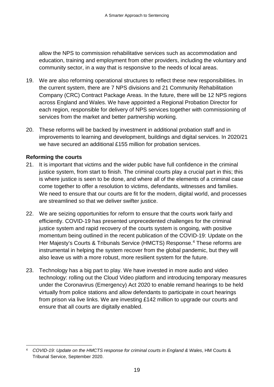allow the NPS to commission rehabilitative services such as accommodation and education, training and employment from other providers, including the voluntary and community sector, in a way that is responsive to the needs of local areas.

- 19. We are also reforming operational structures to reflect these new responsibilities. In the current system, there are 7 NPS divisions and 21 Community Rehabilitation Company (CRC) Contract Package Areas. In the future, there will be 12 NPS regions across England and Wales. We have appointed a Regional Probation Director for each region, responsible for delivery of NPS services together with commissioning of services from the market and better partnership working.
- 20. These reforms will be backed by investment in additional probation staff and in improvements to learning and development, buildings and digital services. In 2020/21 we have secured an additional £155 million for probation services.

### **Reforming the courts**

- 21. It is important that victims and the wider public have full confidence in the criminal justice system, from start to finish. The criminal courts play a crucial part in this; this is where justice is seen to be done, and where all of the elements of a criminal case come together to offer a resolution to victims, defendants, witnesses and families. We need to ensure that our courts are fit for the modern, digital world, and processes are streamlined so that we deliver swifter justice.
- 22. We are seizing opportunities for reform to ensure that the courts work fairly and efficiently. COVID-19 has presented unprecedented challenges for the criminal justice system and rapid recovery of the courts system is ongoing, with positive momentum being outlined in the recent publication of the COVID-19: Update on the Her Majesty's Courts & Tribunals Service (HMCTS) Response.<sup>[4](#page-21-0)</sup> These reforms are instrumental in helping the system recover from the global pandemic, but they will also leave us with a more robust, more resilient system for the future.
- 23. Technology has a big part to play. We have invested in more audio and video technology: rolling out the Cloud Video platform and introducing temporary measures under the Coronavirus (Emergency) Act 2020 to enable remand hearings to be held virtually from police stations and allow defendants to participate in court hearings from prison via live links. We are investing £142 million to upgrade our courts and ensure that all courts are digitally enabled.

<span id="page-21-0"></span> <sup>4</sup> *COVID-19: Update on the HMCTS response for criminal courts in England & Wales*, HM Courts & Tribunal Service, September 2020.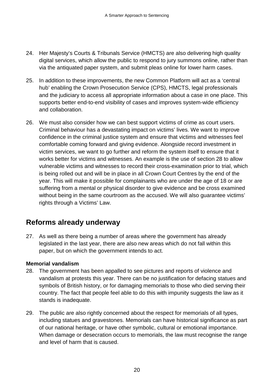- 24. Her Majesty's Courts & Tribunals Service (HMCTS) are also delivering high quality digital services, which allow the public to respond to jury summons online, rather than via the antiquated paper system, and submit pleas online for lower harm cases.
- 25. In addition to these improvements, the new Common Platform will act as a 'central hub' enabling the Crown Prosecution Service (CPS), HMCTS, legal professionals and the judiciary to access all appropriate information about a case in one place. This supports better end-to-end visibility of cases and improves system-wide efficiency and collaboration.
- 26. We must also consider how we can best support victims of crime as court users. Criminal behaviour has a devastating impact on victims' lives. We want to improve confidence in the criminal justice system and ensure that victims and witnesses feel comfortable coming forward and giving evidence. Alongside record investment in victim services, we want to go further and reform the system itself to ensure that it works better for victims and witnesses. An example is the use of section 28 to allow vulnerable victims and witnesses to record their cross-examination prior to trial, which is being rolled out and will be in place in all Crown Court Centres by the end of the year. This will make it possible for complainants who are under the age of 18 or are suffering from a mental or physical disorder to give evidence and be cross examined without being in the same courtroom as the accused. We will also guarantee victims' rights through a Victims' Law.

### <span id="page-22-0"></span>**Reforms already underway**

27. As well as there being a number of areas where the government has already legislated in the last year, there are also new areas which do not fall within this paper, but on which the government intends to act.

### **Memorial vandalism**

- 28. The government has been appalled to see pictures and reports of violence and vandalism at protests this year. There can be no justification for defacing statues and symbols of British history, or for damaging memorials to those who died serving their country. The fact that people feel able to do this with impunity suggests the law as it stands is inadequate.
- 29. The public are also rightly concerned about the respect for memorials of all types, including statues and gravestones. Memorials can have historical significance as part of our national heritage, or have other symbolic, cultural or emotional importance. When damage or desecration occurs to memorials, the law must recognise the range and level of harm that is caused.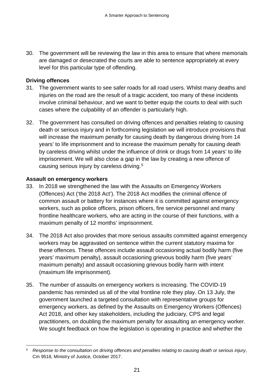30. The government will be reviewing the law in this area to ensure that where memorials are damaged or desecrated the courts are able to sentence appropriately at every level for this particular type of offending.

### **Driving offences**

- 31. The government wants to see safer roads for all road users. Whilst many deaths and injuries on the road are the result of a tragic accident, too many of these incidents involve criminal behaviour, and we want to better equip the courts to deal with such cases where the culpability of an offender is particularly high.
- 32. The government has consulted on driving offences and penalties relating to causing death or serious injury and in forthcoming legislation we will introduce provisions that will increase the maximum penalty for causing death by dangerous driving from 14 years' to life imprisonment and to increase the maximum penalty for causing death by careless driving whilst under the influence of drink or drugs from 14 years' to life imprisonment. We will also close a gap in the law by creating a new offence of causing serious injury by careless driving.<sup>[5](#page-23-0)</sup>

### **Assault on emergency workers**

- 33. In 2018 we strengthened the law with the Assaults on Emergency Workers (Offences) Act ('the 2018 Act'). The 2018 Act modifies the criminal offence of common assault or battery for instances where it is committed against emergency workers, such as police officers, prison officers, fire service personnel and many frontline healthcare workers, who are acting in the course of their functions, with a maximum penalty of 12 months' imprisonment.
- 34. The 2018 Act also provides that more serious assaults committed against emergency workers may be aggravated on sentence within the current statutory maxima for these offences. These offences include assault occasioning actual bodily harm (five years' maximum penalty), assault occasioning grievous bodily harm (five years' maximum penalty) and assault occasioning grievous bodily harm with intent (maximum life imprisonment).
- 35. The number of assaults on emergency workers is increasing. The COVID-19 pandemic has reminded us all of the vital frontline role they play. On 13 July, the government launched a targeted consultation with representative groups for emergency workers, as defined by the Assaults on Emergency Workers (Offences) Act 2018, and other key stakeholders, including the judiciary, CPS and legal practitioners, on doubling the maximum penalty for assaulting an emergency worker. We sought feedback on how the legislation is operating in practice and whether the

<span id="page-23-0"></span> <sup>5</sup> *Response to the consultation on driving offences and penalties relating to causing death or serious injury*, Cm 9518, Ministry of Justice, October 2017.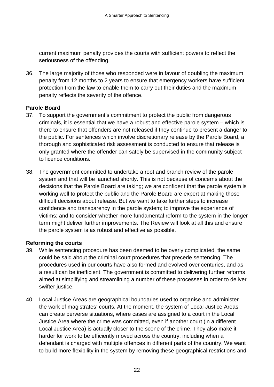current maximum penalty provides the courts with sufficient powers to reflect the seriousness of the offending.

36. The large majority of those who responded were in favour of doubling the maximum penalty from 12 months to 2 years to ensure that emergency workers have sufficient protection from the law to enable them to carry out their duties and the maximum penalty reflects the severity of the offence.

#### **Parole Board**

- 37. To support the government's commitment to protect the public from dangerous criminals, it is essential that we have a robust and effective parole system – which is there to ensure that offenders are not released if they continue to present a danger to the public. For sentences which involve discretionary release by the Parole Board, a thorough and sophisticated risk assessment is conducted to ensure that release is only granted where the offender can safely be supervised in the community subject to licence conditions.
- 38. The government committed to undertake a root and branch review of the parole system and that will be launched shortly. This is not because of concerns about the decisions that the Parole Board are taking; we are confident that the parole system is working well to protect the public and the Parole Board are expert at making those difficult decisions about release. But we want to take further steps to increase confidence and transparency in the parole system; to improve the experience of victims; and to consider whether more fundamental reform to the system in the longer term might deliver further improvements. The Review will look at all this and ensure the parole system is as robust and effective as possible.

#### **Reforming the courts**

- 39. While sentencing procedure has been deemed to be overly complicated, the same could be said about the criminal court procedures that precede sentencing. The procedures used in our courts have also formed and evolved over centuries, and as a result can be inefficient. The government is committed to delivering further reforms aimed at simplifying and streamlining a number of these processes in order to deliver swifter justice.
- 40. Local Justice Areas are geographical boundaries used to organise and administer the work of magistrates' courts. At the moment, the system of Local Justice Areas can create perverse situations, where cases are assigned to a court in the Local Justice Area where the crime was committed, even if another court (in a different Local Justice Area) is actually closer to the scene of the crime. They also make it harder for work to be efficiently moved across the country, including when a defendant is charged with multiple offences in different parts of the country. We want to build more flexibility in the system by removing these geographical restrictions and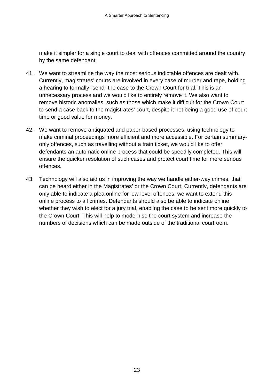make it simpler for a single court to deal with offences committed around the country by the same defendant.

- 41. We want to streamline the way the most serious indictable offences are dealt with. Currently, magistrates' courts are involved in every case of murder and rape, holding a hearing to formally "send" the case to the Crown Court for trial. This is an unnecessary process and we would like to entirely remove it. We also want to remove historic anomalies, such as those which make it difficult for the Crown Court to send a case back to the magistrates' court, despite it not being a good use of court time or good value for money.
- 42. We want to remove antiquated and paper-based processes, using technology to make criminal proceedings more efficient and more accessible. For certain summaryonly offences, such as travelling without a train ticket, we would like to offer defendants an automatic online process that could be speedily completed. This will ensure the quicker resolution of such cases and protect court time for more serious offences.
- 43. Technology will also aid us in improving the way we handle either-way crimes, that can be heard either in the Magistrates' or the Crown Court. Currently, defendants are only able to indicate a plea online for low-level offences: we want to extend this online process to all crimes. Defendants should also be able to indicate online whether they wish to elect for a jury trial, enabling the case to be sent more quickly to the Crown Court. This will help to modernise the court system and increase the numbers of decisions which can be made outside of the traditional courtroom.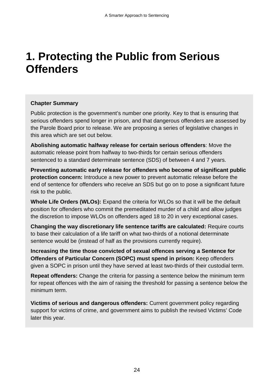## <span id="page-26-0"></span>**1. Protecting the Public from Serious Offenders**

### **Chapter Summary**

Public protection is the government's number one priority. Key to that is ensuring that serious offenders spend longer in prison, and that dangerous offenders are assessed by the Parole Board prior to release. We are proposing a series of legislative changes in this area which are set out below.

**Abolishing automatic halfway release for certain serious offenders**: Move the automatic release point from halfway to two-thirds for certain serious offenders sentenced to a standard determinate sentence (SDS) of between 4 and 7 years.

**Preventing automatic early release for offenders who become of significant public protection concern:** Introduce a new power to prevent automatic release before the end of sentence for offenders who receive an SDS but go on to pose a significant future risk to the public.

**Whole Life Orders (WLOs):** Expand the criteria for WLOs so that it will be the default position for offenders who commit the premeditated murder of a child and allow judges the discretion to impose WLOs on offenders aged 18 to 20 in very exceptional cases.

**Changing the way discretionary life sentence tariffs are calculated:** Require courts to base their calculation of a life tariff on what two-thirds of a notional determinate sentence would be (instead of half as the provisions currently require).

**Increasing the time those convicted of sexual offences serving a Sentence for Offenders of Particular Concern (SOPC) must spend in prison:** Keep offenders given a SOPC in prison until they have served at least two-thirds of their custodial term.

**Repeat offenders:** Change the criteria for passing a sentence below the minimum term for repeat offences with the aim of raising the threshold for passing a sentence below the minimum term.

**Victims of serious and dangerous offenders:** Current government policy regarding support for victims of crime, and government aims to publish the revised Victims' Code later this year.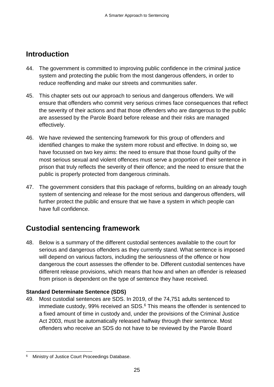### <span id="page-27-0"></span>**Introduction**

- 44. The government is committed to improving public confidence in the criminal justice system and protecting the public from the most dangerous offenders, in order to reduce reoffending and make our streets and communities safer.
- 45. This chapter sets out our approach to serious and dangerous offenders. We will ensure that offenders who commit very serious crimes face consequences that reflect the severity of their actions and that those offenders who are dangerous to the public are assessed by the Parole Board before release and their risks are managed effectively.
- 46. We have reviewed the sentencing framework for this group of offenders and identified changes to make the system more robust and effective. In doing so, we have focussed on two key aims: the need to ensure that those found guilty of the most serious sexual and violent offences must serve a proportion of their sentence in prison that truly reflects the severity of their offence; and the need to ensure that the public is properly protected from dangerous criminals.
- 47. The government considers that this package of reforms, building on an already tough system of sentencing and release for the most serious and dangerous offenders, will further protect the public and ensure that we have a system in which people can have full confidence.

### <span id="page-27-1"></span>**Custodial sentencing framework**

48. Below is a summary of the different custodial sentences available to the court for serious and dangerous offenders as they currently stand. What sentence is imposed will depend on various factors, including the seriousness of the offence or how dangerous the court assesses the offender to be. Different custodial sentences have different release provisions, which means that how and when an offender is released from prison is dependent on the type of sentence they have received.

### **Standard Determinate Sentence (SDS)**

49. Most custodial sentences are SDS. In 2019, of the 74,751 adults sentenced to immediate custody, 99% received an SDS.<sup>[6](#page-27-2)</sup> This means the offender is sentenced to a fixed amount of time in custody and, under the provisions of the Criminal Justice Act 2003, must be automatically released halfway through their sentence. Most offenders who receive an SDS do not have to be reviewed by the Parole Board

<span id="page-27-2"></span> <sup>6</sup> Ministry of Justice Court Proceedings Database.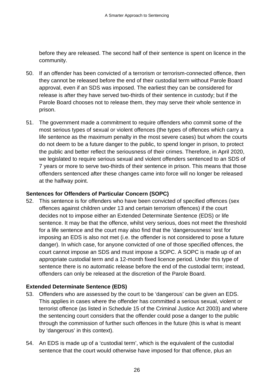before they are released. The second half of their sentence is spent on licence in the community.

- 50. If an offender has been convicted of a terrorism or terrorism-connected offence, then they cannot be released before the end of their custodial term without Parole Board approval, even if an SDS was imposed. The earliest they can be considered for release is after they have served two-thirds of their sentence in custody; but if the Parole Board chooses not to release them, they may serve their whole sentence in prison.
- 51. The government made a commitment to require offenders who commit some of the most serious types of sexual or violent offences (the types of offences which carry a life sentence as the maximum penalty in the most severe cases) but whom the courts do not deem to be a future danger to the public, to spend longer in prison, to protect the public and better reflect the seriousness of their crimes. Therefore, in April 2020, we legislated to require serious sexual and violent offenders sentenced to an SDS of 7 years or more to serve two-thirds of their sentence in prison. This means that those offenders sentenced after these changes came into force will no longer be released at the halfway point.

#### **Sentences for Offenders of Particular Concern (SOPC)**

52. This sentence is for offenders who have been convicted of specified offences (sex offences against children under 13 and certain terrorism offences) if the court decides not to impose either an Extended Determinate Sentence (EDS) or life sentence. It may be that the offence, whilst very serious, does not meet the threshold for a life sentence and the court may also find that the 'dangerousness' test for imposing an EDS is also not met (i.e. the offender is not considered to pose a future danger). In which case, for anyone convicted of one of those specified offences, the court cannot impose an SDS and must impose a SOPC. A SOPC is made up of an appropriate custodial term and a 12-month fixed licence period. Under this type of sentence there is no automatic release before the end of the custodial term; instead, offenders can only be released at the discretion of the Parole Board.

#### **Extended Determinate Sentence (EDS)**

- 53. Offenders who are assessed by the court to be 'dangerous' can be given an EDS. This applies in cases where the offender has committed a serious sexual, violent or terrorist offence (as listed in Schedule 15 of the Criminal Justice Act 2003) and where the sentencing court considers that the offender could pose a danger to the public through the commission of further such offences in the future (this is what is meant by 'dangerous' in this context).
- 54. An EDS is made up of a 'custodial term', which is the equivalent of the custodial sentence that the court would otherwise have imposed for that offence, plus an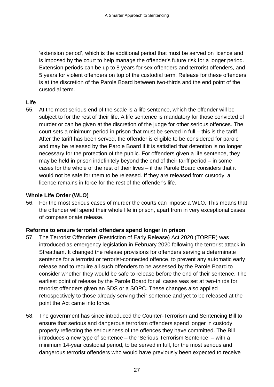'extension period', which is the additional period that must be served on licence and is imposed by the court to help manage the offender's future risk for a longer period. Extension periods can be up to 8 years for sex offenders and terrorist offenders, and 5 years for violent offenders on top of the custodial term. Release for these offenders is at the discretion of the Parole Board between two-thirds and the end point of the custodial term.

### **Life**

55. At the most serious end of the scale is a life sentence, which the offender will be subject to for the rest of their life. A life sentence is mandatory for those convicted of murder or can be given at the discretion of the judge for other serious offences. The court sets a minimum period in prison that must be served in full – this is the tariff. After the tariff has been served, the offender is eligible to be considered for parole and may be released by the Parole Board if it is satisfied that detention is no longer necessary for the protection of the public. For offenders given a life sentence, they may be held in prison indefinitely beyond the end of their tariff period – in some cases for the whole of the rest of their lives – if the Parole Board considers that it would not be safe for them to be released. If they are released from custody, a licence remains in force for the rest of the offender's life.

### **Whole Life Order (WLO)**

56. For the most serious cases of murder the courts can impose a WLO. This means that the offender will spend their whole life in prison, apart from in very exceptional cases of compassionate release.

#### **Reforms to ensure terrorist offenders spend longer in prison**

- 57. The Terrorist Offenders (Restriction of Early Release) Act 2020 (TORER) was introduced as emergency legislation in February 2020 following the terrorist attack in Streatham. It changed the release provisions for offenders serving a determinate sentence for a terrorist or terrorist-connected offence, to prevent any automatic early release and to require all such offenders to be assessed by the Parole Board to consider whether they would be safe to release before the end of their sentence. The earliest point of release by the Parole Board for all cases was set at two-thirds for terrorist offenders given an SDS or a SOPC. These changes also applied retrospectively to those already serving their sentence and yet to be released at the point the Act came into force.
- 58. The government has since introduced the Counter-Terrorism and Sentencing Bill to ensure that serious and dangerous terrorism offenders spend longer in custody, properly reflecting the seriousness of the offences they have committed. The Bill introduces a new type of sentence – the 'Serious Terrorism Sentence' – with a minimum 14-year custodial period, to be served in full, for the most serious and dangerous terrorist offenders who would have previously been expected to receive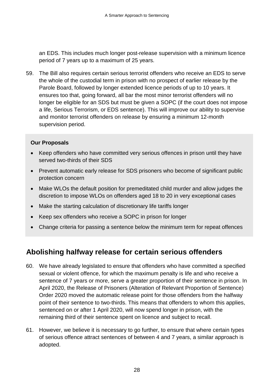an EDS. This includes much longer post-release supervision with a minimum licence period of 7 years up to a maximum of 25 years.

59. The Bill also requires certain serious terrorist offenders who receive an EDS to serve the whole of the custodial term in prison with no prospect of earlier release by the Parole Board, followed by longer extended licence periods of up to 10 years. It ensures too that, going forward, all bar the most minor terrorist offenders will no longer be eligible for an SDS but must be given a SOPC (if the court does not impose a life, Serious Terrorism, or EDS sentence). This will improve our ability to supervise and monitor terrorist offenders on release by ensuring a minimum 12-month supervision period.

### **Our Proposals**

- Keep offenders who have committed very serious offences in prison until they have served two-thirds of their SDS
- Prevent automatic early release for SDS prisoners who become of significant public protection concern
- Make WLOs the default position for premeditated child murder and allow judges the discretion to impose WLOs on offenders aged 18 to 20 in very exceptional cases
- Make the starting calculation of discretionary life tariffs longer
- Keep sex offenders who receive a SOPC in prison for longer
- Change criteria for passing a sentence below the minimum term for repeat offences

### <span id="page-30-0"></span>**Abolishing halfway release for certain serious offenders**

- 60. We have already legislated to ensure that offenders who have committed a specified sexual or violent offence, for which the maximum penalty is life and who receive a sentence of 7 years or more, serve a greater proportion of their sentence in prison. In April 2020, the Release of Prisoners (Alteration of Relevant Proportion of Sentence) Order 2020 moved the automatic release point for those offenders from the halfway point of their sentence to two-thirds. This means that offenders to whom this applies, sentenced on or after 1 April 2020, will now spend longer in prison, with the remaining third of their sentence spent on licence and subject to recall.
- 61. However, we believe it is necessary to go further, to ensure that where certain types of serious offence attract sentences of between 4 and 7 years, a similar approach is adopted.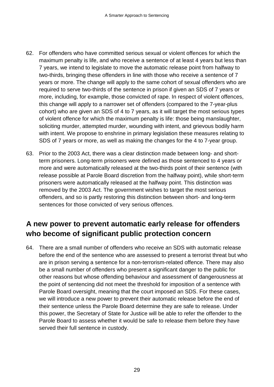- 62. For offenders who have committed serious sexual or violent offences for which the maximum penalty is life, and who receive a sentence of at least 4 years but less than 7 years, we intend to legislate to move the automatic release point from halfway to two-thirds, bringing these offenders in line with those who receive a sentence of 7 years or more. The change will apply to the same cohort of sexual offenders who are required to serve two-thirds of the sentence in prison if given an SDS of 7 years or more, including, for example, those convicted of rape. In respect of violent offences, this change will apply to a narrower set of offenders (compared to the 7-year-plus cohort) who are given an SDS of 4 to 7 years, as it will target the most serious types of violent offence for which the maximum penalty is life: those being manslaughter, soliciting murder, attempted murder, wounding with intent, and grievous bodily harm with intent. We propose to enshrine in primary legislation these measures relating to SDS of 7 years or more, as well as making the changes for the 4 to 7-year group.
- 63. Prior to the 2003 Act, there was a clear distinction made between long- and shortterm prisoners. Long-term prisoners were defined as those sentenced to 4 years or more and were automatically released at the two-thirds point of their sentence (with release possible at Parole Board discretion from the halfway point), while short-term prisoners were automatically released at the halfway point. This distinction was removed by the 2003 Act. The government wishes to target the most serious offenders, and so is partly restoring this distinction between short- and long-term sentences for those convicted of very serious offences.

### <span id="page-31-0"></span>**A new power to prevent automatic early release for offenders who become of significant public protection concern**

64. There are a small number of offenders who receive an SDS with automatic release before the end of the sentence who are assessed to present a terrorist threat but who are in prison serving a sentence for a non-terrorism-related offence. There may also be a small number of offenders who present a significant danger to the public for other reasons but whose offending behaviour and assessment of dangerousness at the point of sentencing did not meet the threshold for imposition of a sentence with Parole Board oversight, meaning that the court imposed an SDS. For these cases, we will introduce a new power to prevent their automatic release before the end of their sentence unless the Parole Board determine they are safe to release. Under this power, the Secretary of State for Justice will be able to refer the offender to the Parole Board to assess whether it would be safe to release them before they have served their full sentence in custody.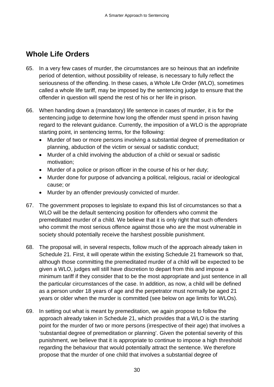### <span id="page-32-0"></span>**Whole Life Orders**

- 65. In a very few cases of murder, the circumstances are so heinous that an indefinite period of detention, without possibility of release, is necessary to fully reflect the seriousness of the offending. In these cases, a Whole Life Order (WLO), sometimes called a whole life tariff, may be imposed by the sentencing judge to ensure that the offender in question will spend the rest of his or her life in prison.
- 66. When handing down a (mandatory) life sentence in cases of murder, it is for the sentencing judge to determine how long the offender must spend in prison having regard to the relevant guidance. Currently, the imposition of a WLO is the appropriate starting point, in sentencing terms, for the following:
	- Murder of two or more persons involving a substantial degree of premeditation or planning, abduction of the victim or sexual or sadistic conduct;
	- Murder of a child involving the abduction of a child or sexual or sadistic motivation;
	- Murder of a police or prison officer in the course of his or her duty;
	- Murder done for purpose of advancing a political, religious, racial or ideological cause; or
	- Murder by an offender previously convicted of murder.
- 67. The government proposes to legislate to expand this list of circumstances so that a WLO will be the default sentencing position for offenders who commit the premeditated murder of a child. We believe that it is only right that such offenders who commit the most serious offence against those who are the most vulnerable in society should potentially receive the harshest possible punishment.
- 68. The proposal will, in several respects, follow much of the approach already taken in Schedule 21. First, it will operate within the existing Schedule 21 framework so that, although those committing the premeditated murder of a child will be expected to be given a WLO, judges will still have discretion to depart from this and impose a minimum tariff if they consider that to be the most appropriate and just sentence in all the particular circumstances of the case. In addition, as now, a child will be defined as a person under 18 years of age and the perpetrator must normally be aged 21 years or older when the murder is committed (see below on age limits for WLOs).
- 69. In setting out what is meant by premeditation, we again propose to follow the approach already taken in Schedule 21, which provides that a WLO is the starting point for the murder of two or more persons (irrespective of their age) that involves a 'substantial degree of premeditation or planning'. Given the potential severity of this punishment, we believe that it is appropriate to continue to impose a high threshold regarding the behaviour that would potentially attract the sentence. We therefore propose that the murder of one child that involves a substantial degree of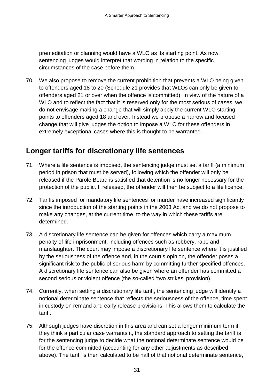premeditation or planning would have a WLO as its starting point. As now, sentencing judges would interpret that wording in relation to the specific circumstances of the case before them.

70. We also propose to remove the current prohibition that prevents a WLO being given to offenders aged 18 to 20 (Schedule 21 provides that WLOs can only be given to offenders aged 21 or over when the offence is committed). In view of the nature of a WLO and to reflect the fact that it is reserved only for the most serious of cases, we do not envisage making a change that will simply apply the current WLO starting points to offenders aged 18 and over. Instead we propose a narrow and focused change that will give judges the option to impose a WLO for these offenders in extremely exceptional cases where this is thought to be warranted.

### <span id="page-33-0"></span>**Longer tariffs for discretionary life sentences**

- 71. Where a life sentence is imposed, the sentencing judge must set a tariff (a minimum period in prison that must be served), following which the offender will only be released if the Parole Board is satisfied that detention is no longer necessary for the protection of the public. If released, the offender will then be subject to a life licence.
- 72. Tariffs imposed for mandatory life sentences for murder have increased significantly since the introduction of the starting points in the 2003 Act and we do not propose to make any changes, at the current time, to the way in which these tariffs are determined.
- 73. A discretionary life sentence can be given for offences which carry a maximum penalty of life imprisonment, including offences such as robbery, rape and manslaughter. The court may impose a discretionary life sentence where it is justified by the seriousness of the offence and, in the court's opinion, the offender poses a significant risk to the public of serious harm by committing further specified offences. A discretionary life sentence can also be given where an offender has committed a second serious or violent offence (the so-called 'two strikes' provision).
- 74. Currently, when setting a discretionary life tariff, the sentencing judge will identify a notional determinate sentence that reflects the seriousness of the offence, time spent in custody on remand and early release provisions. This allows them to calculate the tariff.
- 75. Although judges have discretion in this area and can set a longer minimum term if they think a particular case warrants it, the standard approach to setting the tariff is for the sentencing judge to decide what the notional determinate sentence would be for the offence committed (accounting for any other adjustments as described above). The tariff is then calculated to be half of that notional determinate sentence,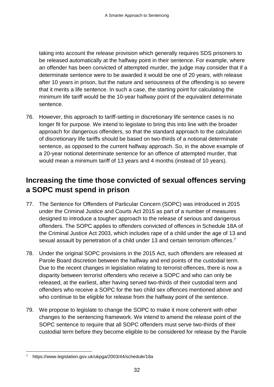taking into account the release provision which generally requires SDS prisoners to be released automatically at the halfway point in their sentence. For example, where an offender has been convicted of attempted murder, the judge may consider that if a determinate sentence were to be awarded it would be one of 20 years, with release after 10 years in prison, but the nature and seriousness of the offending is so severe that it merits a life sentence. In such a case, the starting point for calculating the minimum life tariff would be the 10-year halfway point of the equivalent determinate sentence.

76. However, this approach to tariff-setting in discretionary life sentence cases is no longer fit for purpose. We intend to legislate to bring this into line with the broader approach for dangerous offenders, so that the standard approach to the calculation of discretionary life tariffs should be based on two-thirds of a notional determinate sentence, as opposed to the current halfway approach. So, in the above example of a 20-year notional determinate sentence for an offence of attempted murder, that would mean a minimum tariff of 13 years and 4 months (instead of 10 years).

### <span id="page-34-0"></span>**Increasing the time those convicted of sexual offences serving a SOPC must spend in prison**

- 77. The Sentence for Offenders of Particular Concern (SOPC) was introduced in 2015 under the Criminal Justice and Courts Act 2015 as part of a number of measures designed to introduce a tougher approach to the release of serious and dangerous offenders. The SOPC applies to offenders convicted of offences in Schedule 18A of the Criminal Justice Act 2003, which includes rape of a child under the age of 13 and sexual assault by penetration of a child under 13 and certain terrorism offences.<sup>[7](#page-34-1)</sup>
- 78. Under the original SOPC provisions in the 2015 Act, such offenders are released at Parole Board discretion between the halfway and end points of the custodial term. Due to the recent changes in legislation relating to terrorist offences, there is now a disparity between terrorist offenders who receive a SOPC and who can only be released, at the earliest, after having served two-thirds of their custodial term and offenders who receive a SOPC for the two child sex offences mentioned above and who continue to be eligible for release from the halfway point of the sentence.
- 79. We propose to legislate to change the SOPC to make it more coherent with other changes to the sentencing framework. We intend to amend the release point of the SOPC sentence to require that all SOPC offenders must serve two-thirds of their custodial term before they become eligible to be considered for release by the Parole

<span id="page-34-1"></span> <sup>7</sup> <https://www.legislation.gov.uk/ukpga/2003/44/schedule/18a>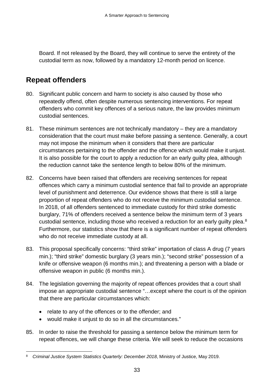Board. If not released by the Board, they will continue to serve the entirety of the custodial term as now, followed by a mandatory 12-month period on licence.

### <span id="page-35-0"></span>**Repeat offenders**

- 80. Significant public concern and harm to society is also caused by those who repeatedly offend, often despite numerous sentencing interventions. For repeat offenders who commit key offences of a serious nature, the law provides minimum custodial sentences.
- 81. These minimum sentences are not technically mandatory they are a mandatory consideration that the court must make before passing a sentence. Generally, a court may not impose the minimum when it considers that there are particular circumstances pertaining to the offender and the offence which would make it unjust. It is also possible for the court to apply a reduction for an early guilty plea, although the reduction cannot take the sentence length to below 80% of the minimum.
- 82. Concerns have been raised that offenders are receiving sentences for repeat offences which carry a minimum custodial sentence that fail to provide an appropriate level of punishment and deterrence. Our evidence shows that there is still a large proportion of repeat offenders who do not receive the minimum custodial sentence. In 2018, of all offenders sentenced to immediate custody for third strike domestic burglary, 71% of offenders received a sentence below the minimum term of 3 years custodial sentence, including those who received a reduction for an early guilty plea.<sup>[8](#page-35-1)</sup> Furthermore, our statistics show that there is a significant number of repeat offenders who do not receive immediate custody at all.
- 83. This proposal specifically concerns: "third strike" importation of class A drug (7 years min.); "third strike" domestic burglary (3 years min.); "second strike" possession of a knife or offensive weapon (6 months min.); and threatening a person with a blade or offensive weapon in public (6 months min.).
- 84. The legislation governing the majority of repeat offences provides that a court shall impose an appropriate custodial sentence "…except where the court is of the opinion that there are particular circumstances which:
	- relate to any of the offences or to the offender; and
	- would make it unjust to do so in all the circumstances."
- 85. In order to raise the threshold for passing a sentence below the minimum term for repeat offences, we will change these criteria. We will seek to reduce the occasions

<span id="page-35-1"></span> <sup>8</sup> *Criminal Justice System Statistics Quarterly: December 2018*, Ministry of Justice, May 2019.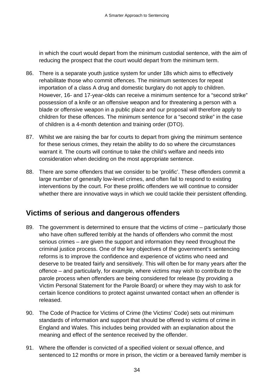in which the court would depart from the minimum custodial sentence, with the aim of reducing the prospect that the court would depart from the minimum term.

- 86. There is a separate youth justice system for under 18s which aims to effectively rehabilitate those who commit offences. The minimum sentences for repeat importation of a class A drug and domestic burglary do not apply to children. However, 16- and 17-year-olds can receive a minimum sentence for a "second strike" possession of a knife or an offensive weapon and for threatening a person with a blade or offensive weapon in a public place and our proposal will therefore apply to children for these offences. The minimum sentence for a "second strike" in the case of children is a 4-month detention and training order (DTO).
- 87. Whilst we are raising the bar for courts to depart from giving the minimum sentence for these serious crimes, they retain the ability to do so where the circumstances warrant it. The courts will continue to take the child's welfare and needs into consideration when deciding on the most appropriate sentence.
- 88. There are some offenders that we consider to be 'prolific'. These offenders commit a large number of generally low-level crimes, and often fail to respond to existing interventions by the court. For these prolific offenders we will continue to consider whether there are innovative ways in which we could tackle their persistent offending.

## **Victims of serious and dangerous offenders**

- 89. The government is determined to ensure that the victims of crime particularly those who have often suffered terribly at the hands of offenders who commit the most serious crimes – are given the support and information they need throughout the criminal justice process. One of the key objectives of the government's sentencing reforms is to improve the confidence and experience of victims who need and deserve to be treated fairly and sensitively. This will often be for many years after the offence – and particularly, for example, where victims may wish to contribute to the parole process when offenders are being considered for release (by providing a Victim Personal Statement for the Parole Board) or where they may wish to ask for certain licence conditions to protect against unwanted contact when an offender is released.
- 90. The Code of Practice for Victims of Crime (the Victims' Code) sets out minimum standards of information and support that should be offered to victims of crime in England and Wales. This includes being provided with an explanation about the meaning and effect of the sentence received by the offender.
- 91. Where the offender is convicted of a specified violent or sexual offence, and sentenced to 12 months or more in prison, the victim or a bereaved family member is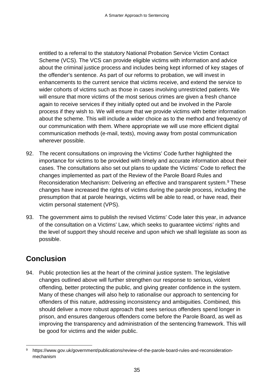entitled to a referral to the statutory National Probation Service Victim Contact Scheme (VCS). The VCS can provide eligible victims with information and advice about the criminal justice process and includes being kept informed of key stages of the offender's sentence. As part of our reforms to probation, we will invest in enhancements to the current service that victims receive, and extend the service to wider cohorts of victims such as those in cases involving unrestricted patients. We will ensure that more victims of the most serious crimes are given a fresh chance again to receive services if they initially opted out and be involved in the Parole process if they wish to. We will ensure that we provide victims with better information about the scheme. This will include a wider choice as to the method and frequency of our communication with them. Where appropriate we will use more efficient digital communication methods (e-mail, texts), moving away from postal communication wherever possible.

- 92. The recent consultations on improving the Victims' Code further highlighted the importance for victims to be provided with timely and accurate information about their cases. The consultations also set out plans to update the Victims' Code to reflect the changes implemented as part of the Review of the Parole Board Rules and Reconsideration Mechanism: Delivering an effective and transparent system.[9](#page-37-0) These changes have increased the rights of victims during the parole process, including the presumption that at parole hearings, victims will be able to read, or have read, their victim personal statement (VPS).
- 93. The government aims to publish the revised Victims' Code later this year, in advance of the consultation on a Victims' Law, which seeks to guarantee victims' rights and the level of support they should receive and upon which we shall legislate as soon as possible.

# **Conclusion**

94. Public protection lies at the heart of the criminal justice system. The legislative changes outlined above will further strengthen our response to serious, violent offending, better protecting the public, and giving greater confidence in the system. Many of these changes will also help to rationalise our approach to sentencing for offenders of this nature, addressing inconsistency and ambiguities. Combined, this should deliver a more robust approach that sees serious offenders spend longer in prison, and ensures dangerous offenders come before the Parole Board, as well as improving the transparency and administration of the sentencing framework. This will be good for victims and the wider public.

<span id="page-37-0"></span> <sup>9</sup> [https://www.gov.uk/government/publications/review-of-the-parole-board-rules-and-reconsideration](https://www.gov.uk/government/publications/review-of-the-parole-board-rules-and-reconsideration-mechanism)[mechanism](https://www.gov.uk/government/publications/review-of-the-parole-board-rules-and-reconsideration-mechanism)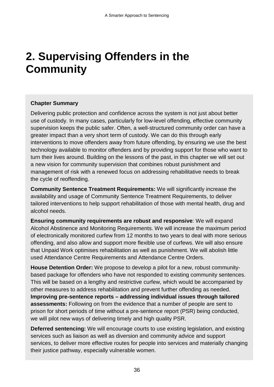# **2. Supervising Offenders in the Community**

#### **Chapter Summary**

Delivering public protection and confidence across the system is not just about better use of custody. In many cases, particularly for low-level offending, effective community supervision keeps the public safer. Often, a well-structured community order can have a greater impact than a very short term of custody. We can do this through early interventions to move offenders away from future offending, by ensuring we use the best technology available to monitor offenders and by providing support for those who want to turn their lives around. Building on the lessons of the past, in this chapter we will set out a new vision for community supervision that combines robust punishment and management of risk with a renewed focus on addressing rehabilitative needs to break the cycle of reoffending.

**Community Sentence Treatment Requirements:** We will significantly increase the availability and usage of Community Sentence Treatment Requirements, to deliver tailored interventions to help support rehabilitation of those with mental health, drug and alcohol needs.

**Ensuring community requirements are robust and responsive**: We will expand Alcohol Abstinence and Monitoring Requirements. We will increase the maximum period of electronically monitored curfew from 12 months to two years to deal with more serious offending, and also allow and support more flexible use of curfews. We will also ensure that Unpaid Work optimises rehabilitation as well as punishment. We will abolish little used Attendance Centre Requirements and Attendance Centre Orders.

**House Detention Order:** We propose to develop a pilot for a new, robust communitybased package for offenders who have not responded to existing community sentences. This will be based on a lengthy and restrictive curfew, which would be accompanied by other measures to address rehabilitation and prevent further offending as needed. **Improving pre-sentence reports – addressing individual issues through tailored assessments:** Following on from the evidence that a number of people are sent to prison for short periods of time without a pre-sentence report (PSR) being conducted, we will pilot new ways of delivering timely and high quality PSR.

**Deferred sentencing:** We will encourage courts to use existing legislation, and existing services such as liaison as well as diversion and community advice and support services, to deliver more effective routes for people into services and materially changing their justice pathway, especially vulnerable women.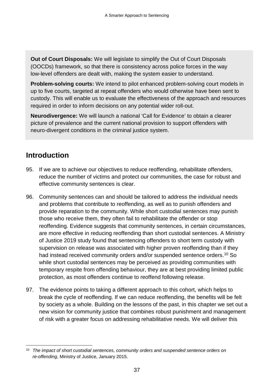**Out of Court Disposals:** We will legislate to simplify the Out of Court Disposals (OOCDs) framework, so that there is consistency across police forces in the way low-level offenders are dealt with, making the system easier to understand.

**Problem-solving courts:** We intend to pilot enhanced problem-solving court models in up to five courts, targeted at repeat offenders who would otherwise have been sent to custody. This will enable us to evaluate the effectiveness of the approach and resources required in order to inform decisions on any potential wider roll-out.

**Neurodivergence:** We will launch a national 'Call for Evidence' to obtain a clearer picture of prevalence and the current national provision to support offenders with neuro-divergent conditions in the criminal justice system.

### **Introduction**

- 95. If we are to achieve our objectives to reduce reoffending, rehabilitate offenders, reduce the number of victims and protect our communities, the case for robust and effective community sentences is clear.
- 96. Community sentences can and should be tailored to address the individual needs and problems that contribute to reoffending, as well as to punish offenders and provide reparation to the community. While short custodial sentences may punish those who receive them, they often fail to rehabilitate the offender or stop reoffending. Evidence suggests that community sentences, in certain circumstances, are more effective in reducing reoffending than short custodial sentences. A Ministry of Justice 2019 study found that sentencing offenders to short term custody with supervision on release was associated with higher proven reoffending than if they had instead received community orders and/or suspended sentence orders.<sup>[10](#page-39-0)</sup> So while short custodial sentences may be perceived as providing communities with temporary respite from offending behaviour, they are at best providing limited public protection, as most offenders continue to reoffend following release.
- 97. The evidence points to taking a different approach to this cohort, which helps to break the cycle of reoffending. If we can reduce reoffending, the benefits will be felt by society as a whole. Building on the lessons of the past, in this chapter we set out a new vision for community justice that combines robust punishment and management of risk with a greater focus on addressing rehabilitative needs. We will deliver this

<span id="page-39-0"></span> <sup>10</sup> *The impact of short custodial sentences, community orders and suspended sentence orders on re-offending*, Ministry of Justice, January 2015.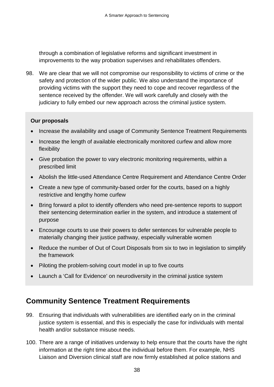through a combination of legislative reforms and significant investment in improvements to the way probation supervises and rehabilitates offenders.

98. We are clear that we will not compromise our responsibility to victims of crime or the safety and protection of the wider public. We also understand the importance of providing victims with the support they need to cope and recover regardless of the sentence received by the offender. We will work carefully and closely with the judiciary to fully embed our new approach across the criminal justice system.

#### **Our proposals**

- Increase the availability and usage of Community Sentence Treatment Requirements
- Increase the length of available electronically monitored curfew and allow more flexibility
- Give probation the power to vary electronic monitoring requirements, within a prescribed limit
- Abolish the little-used Attendance Centre Requirement and Attendance Centre Order
- Create a new type of community-based order for the courts, based on a highly restrictive and lengthy home curfew
- Bring forward a pilot to identify offenders who need pre-sentence reports to support their sentencing determination earlier in the system, and introduce a statement of purpose
- Encourage courts to use their powers to defer sentences for vulnerable people to materially changing their justice pathway, especially vulnerable women
- Reduce the number of Out of Court Disposals from six to two in legislation to simplify the framework
- Piloting the problem-solving court model in up to five courts
- Launch a 'Call for Evidence' on neurodiversity in the criminal justice system

### **Community Sentence Treatment Requirements**

- 99. Ensuring that individuals with vulnerabilities are identified early on in the criminal justice system is essential, and this is especially the case for individuals with mental health and/or substance misuse needs.
- 100. There are a range of initiatives underway to help ensure that the courts have the right information at the right time about the individual before them. For example, NHS Liaison and Diversion clinical staff are now firmly established at police stations and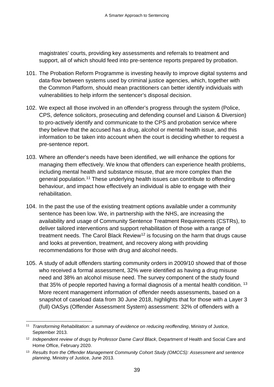magistrates' courts, providing key assessments and referrals to treatment and support, all of which should feed into pre-sentence reports prepared by probation.

- 101. The Probation Reform Programme is investing heavily to improve digital systems and data-flow between systems used by criminal justice agencies, which, together with the Common Platform, should mean practitioners can better identify individuals with vulnerabilities to help inform the sentencer's disposal decision.
- 102. We expect all those involved in an offender's progress through the system (Police, CPS, defence solicitors, prosecuting and defending counsel and Liaison & Diversion) to pro-actively identify and communicate to the CPS and probation service where they believe that the accused has a drug, alcohol or mental health issue, and this information to be taken into account when the court is deciding whether to request a pre-sentence report.
- 103. Where an offender's needs have been identified, we will enhance the options for managing them effectively. We know that offenders can experience health problems, including mental health and substance misuse, that are more complex than the general population.[11](#page-41-0) These underlying health issues can contribute to offending behaviour, and impact how effectively an individual is able to engage with their rehabilitation.
- 104. In the past the use of the existing treatment options available under a community sentence has been low. We, in partnership with the NHS, are increasing the availability and usage of Community Sentence Treatment Requirements (CSTRs), to deliver tailored interventions and support rehabilitation of those with a range of treatment needs. The Carol Black Review<sup>[12](#page-41-1)</sup> is focusing on the harm that drugs cause and looks at prevention, treatment, and recovery along with providing recommendations for those with drug and alcohol needs.
- 105. A study of adult offenders starting community orders in 2009/10 showed that of those who received a formal assessment, 32% were identified as having a drug misuse need and 38% an alcohol misuse need. The survey component of the study found that 35% of people reported having a formal diagnosis of a mental health condition. <sup>[13](#page-41-2)</sup> More recent management information of offender needs assessments, based on a snapshot of caseload data from 30 June 2018, highlights that for those with a Layer 3 (full) OASys (Offender Assessment System) assessment: 32% of offenders with a

<span id="page-41-0"></span> <sup>11</sup> *Transforming Rehabilitation: a summary of evidence on reducing reoffending*, Ministry of Justice, September 2013.

<span id="page-41-1"></span><sup>12</sup> *Independent review of drugs by Professor Dame Carol Black*, Department of Health and Social Care and Home Office, February 2020.

<span id="page-41-2"></span><sup>13</sup> *Results from the Offender Management Community Cohort Study (OMCCS): Assessment and sentence planning*, Ministry of Justice, June 2013.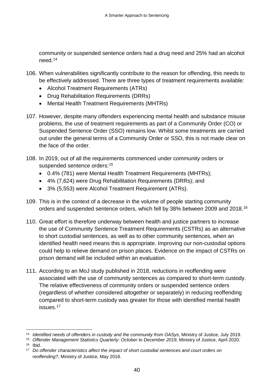community or suspended sentence orders had a drug need and 25% had an alcohol need.[14](#page-42-0)

- 106. When vulnerabilities significantly contribute to the reason for offending, this needs to be effectively addressed. There are three types of treatment requirements available:
	- Alcohol Treatment Requirements (ATRs)
	- Drug Rehabilitation Requirements (DRRs)
	- Mental Health Treatment Requirements (MHTRs)
- 107. However, despite many offenders experiencing mental health and substance misuse problems, the use of treatment requirements as part of a Community Order (CO) or Suspended Sentence Order (SSO) remains low. Whilst some treatments are carried out under the general terms of a Community Order or SSO, this is not made clear on the face of the order.
- 108. In 2019, out of all the requirements commenced under community orders or suspended sentence orders:<sup>[15](#page-42-1)</sup>
	- 0.4% (781) were Mental Health Treatment Requirements (MHTRs);
	- 4% (7,624) were Drug Rehabilitation Requirements (DRRs); and
	- 3% (5,553) were Alcohol Treatment Requirement (ATRs).
- 109. This is in the context of a decrease in the volume of people starting community orders and suspended sentence orders, which fell by 38% between 2009 and 2018. [16](#page-42-2)
- 110. Great effort is therefore underway between health and justice partners to increase the use of Community Sentence Treatment Requirements (CSTRs) as an alternative to short custodial sentences, as well as to other community sentences, when an identified health need means this is appropriate. Improving our non-custodial options could help to relieve demand on prison places. Evidence on the impact of CSTRs on prison demand will be included within an evaluation.
- 111. According to an MoJ study published in 2018, reductions in reoffending were associated with the use of community sentences as compared to short-term custody. The relative effectiveness of community orders or suspended sentence orders (regardless of whether considered altogether or separately) in reducing reoffending compared to short-term custody was greater for those with identified mental health issues.[17](#page-42-3)

<span id="page-42-2"></span><span id="page-42-1"></span><sup>16</sup> Ibid.

<span id="page-42-0"></span> <sup>14</sup> *Identified needs of offenders in custody and the community from OASys*, Ministry of Justice, July 2019.

<sup>15</sup> *Offender Management Statistics Quarterly: October to December 2019*, Ministry of Justice, April 2020.

<span id="page-42-3"></span><sup>17</sup> *Do offender characteristics affect the impact of short custodial sentences and court orders on reoffending?*, Ministry of Justice, May 2018.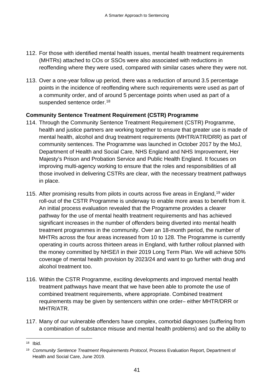- 112. For those with identified mental health issues, mental health treatment requirements (MHTRs) attached to COs or SSOs were also associated with reductions in reoffending where they were used, compared with similar cases where they were not.
- 113. Over a one-year follow up period, there was a reduction of around 3.5 percentage points in the incidence of reoffending where such requirements were used as part of a community order, and of around 5 percentage points when used as part of a suspended sentence order.<sup>[18](#page-43-0)</sup>

#### **Community Sentence Treatment Requirement (CSTR) Programme**

- 114. Through the Community Sentence Treatment Requirement (CSTR) Programme, health and justice partners are working together to ensure that greater use is made of mental health, alcohol and drug treatment requirements (MHTR/ATR/DRR) as part of community sentences. The Programme was launched in October 2017 by the MoJ, Department of Health and Social Care, NHS England and NHS Improvement, Her Majesty's Prison and Probation Service and Public Health England. It focuses on improving multi-agency working to ensure that the roles and responsibilities of all those involved in delivering CSTRs are clear, with the necessary treatment pathways in place.
- 115. After promising results from pilots in courts across five areas in England, [19](#page-43-1) wider roll-out of the CSTR Programme is underway to enable more areas to benefit from it. An initial process evaluation revealed that the Programme provides a clearer pathway for the use of mental health treatment requirements and has achieved significant increases in the number of offenders being diverted into mental health treatment programmes in the community. Over an 18-month period, the number of MHTRs across the four areas increased from 10 to 128. The Programme is currently operating in courts across thirteen areas in England, with further rollout planned with the money committed by NHSE/I in their 2019 Long Term Plan. We will achieve 50% coverage of mental health provision by 2023/24 and want to go further with drug and alcohol treatment too.
- 116. Within the CSTR Programme, exciting developments and improved mental health treatment pathways have meant that we have been able to promote the use of combined treatment requirements, where appropriate. Combined treatment requirements may be given by sentencers within one order– either MHTR/DRR or MHTR/ATR.
- 117. Many of our vulnerable offenders have complex, comorbid diagnoses (suffering from a combination of substance misuse and mental health problems) and so the ability to

<span id="page-43-0"></span> <sup>18</sup> Ibid.

<span id="page-43-1"></span><sup>19</sup> *Community Sentence Treatment Requirements Protocol*, Process Evaluation Report, Department of Health and Social Care, June 2019.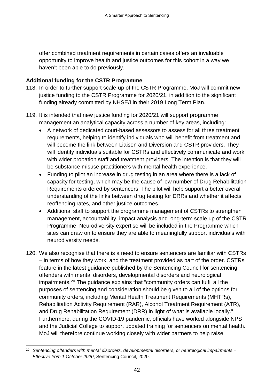offer combined treatment requirements in certain cases offers an invaluable opportunity to improve health and justice outcomes for this cohort in a way we haven't been able to do previously.

#### **Additional funding for the CSTR Programme**

- 118. In order to further support scale-up of the CSTR Programme, MoJ will commit new justice funding to the CSTR Programme for 2020/21, in addition to the significant funding already committed by NHSE/I in their 2019 Long Term Plan.
- 119. It is intended that new justice funding for 2020/21 will support programme management an analytical capacity across a number of key areas, including:
	- A network of dedicated court-based assessors to assess for all three treatment requirements, helping to identify individuals who will benefit from treatment and will become the link between Liaison and Diversion and CSTR providers. They will identify individuals suitable for CSTRs and effectively communicate and work with wider probation staff and treatment providers. The intention is that they will be substance misuse practitioners with mental health experience.
	- Funding to pilot an increase in drug testing in an area where there is a lack of capacity for testing, which may be the cause of low number of Drug Rehabilitation Requirements ordered by sentencers. The pilot will help support a better overall understanding of the links between drug testing for DRRs and whether it affects reoffending rates, and other justice outcomes.
	- Additional staff to support the programme management of CSTRs to strengthen management, accountability, impact analysis and long-term scale up of the CSTR Programme. Neurodiversity expertise will be included in the Programme which sites can draw on to ensure they are able to meaningfully support individuals with neurodiversity needs.
- 120. We also recognise that there is a need to ensure sentencers are familiar with CSTRs – in terms of how they work, and the treatment provided as part of the order. CSTRs feature in the latest guidance published by the Sentencing Council for sentencing offenders with mental disorders, developmental disorders and neurological impairments. [20](#page-44-0) The guidance explains that "community orders can fulfil all the purposes of sentencing and consideration should be given to all of the options for community orders, including Mental Health Treatment Requirements (MHTRs), Rehabilitation Activity Requirement (RAR), Alcohol Treatment Requirement (ATR), and Drug Rehabilitation Requirement (DRR) in light of what is available locally." Furthermore, during the COVID-19 pandemic, officials have worked alongside NPS and the Judicial College to support updated training for sentencers on mental health. MoJ will therefore continue working closely with wider partners to help raise

<span id="page-44-0"></span> <sup>20</sup> *Sentencing offenders with mental disorders, developmental disorders, or neurological impairments – Effective from 1 October 2020*, Sentencing Council, 2020.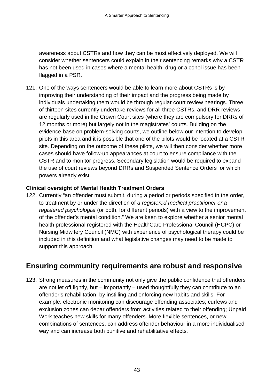awareness about CSTRs and how they can be most effectively deployed. We will consider whether sentencers could explain in their sentencing remarks why a CSTR has not been used in cases where a mental health, drug or alcohol issue has been flagged in a PSR.

121. One of the ways sentencers would be able to learn more about CSTRs is by improving their understanding of their impact and the progress being made by individuals undertaking them would be through regular court review hearings. Three of thirteen sites currently undertake reviews for all three CSTRs, and DRR reviews are regularly used in the Crown Court sites (where they are compulsory for DRRs of 12 months or more) but largely not in the magistrates' courts. Building on the evidence base on problem-solving courts, we outline below our intention to develop pilots in this area and it is possible that one of the pilots would be located at a CSTR site. Depending on the outcome of these pilots, we will then consider whether more cases should have follow-up appearances at court to ensure compliance with the CSTR and to monitor progress. Secondary legislation would be required to expand the use of court reviews beyond DRRs and Suspended Sentence Orders for which powers already exist.

#### **Clinical oversight of Mental Health Treatment Orders**

122. Currently "an offender must submit, during a period or periods specified in the order, to treatment by or under the direction of *a registered medical practitioner or a registered psychologist* (or both, for different periods) with a view to the improvement of the offender's mental condition." We are keen to explore whether a senior mental health professional registered with the HealthCare Professional Council (HCPC) or Nursing Midwifery Council (NMC) with experience of psychological therapy could be included in this definition and what legislative changes may need to be made to support this approach.

### **Ensuring community requirements are robust and responsive**

123. Strong measures in the community not only give the public confidence that offenders are not let off lightly, but – importantly – used thoughtfully they can contribute to an offender's rehabilitation, by instilling and enforcing new habits and skills. For example: electronic monitoring can discourage offending associates; curfews and exclusion zones can debar offenders from activities related to their offending; Unpaid Work teaches new skills for many offenders. More flexible sentences, or new combinations of sentences, can address offender behaviour in a more individualised way and can increase both punitive and rehabilitative effects.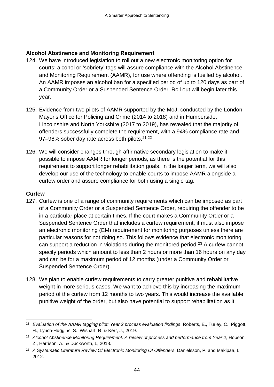#### **Alcohol Abstinence and Monitoring Requirement**

- 124. We have introduced legislation to roll out a new electronic monitoring option for courts; alcohol or 'sobriety' tags will assure compliance with the Alcohol Abstinence and Monitoring Requirement (AAMR), for use where offending is fuelled by alcohol. An AAMR imposes an alcohol ban for a specified period of up to 120 days as part of a Community Order or a Suspended Sentence Order. Roll out will begin later this year.
- 125. Evidence from two pilots of AAMR supported by the MoJ, conducted by the London Mayor's Office for Policing and Crime (2014 to 2018) and in Humberside, Lincolnshire and North Yorkshire (2017 to 2019), has revealed that the majority of offenders successfully complete the requirement, with a 94% compliance rate and 97–98% sober day rate across both pilots.<sup>[21](#page-46-0),[22](#page-46-1)</sup>
- 126. We will consider changes through affirmative secondary legislation to make it possible to impose AAMR for longer periods, as there is the potential for this requirement to support longer rehabilitation goals. In the longer term, we will also develop our use of the technology to enable courts to impose AAMR alongside a curfew order and assure compliance for both using a single tag.

#### **Curfew**

- 127. Curfew is one of a range of community requirements which can be imposed as part of a Community Order or a Suspended Sentence Order, requiring the offender to be in a particular place at certain times. If the court makes a Community Order or a Suspended Sentence Order that includes a curfew requirement, it must also impose an electronic monitoring (EM) requirement for monitoring purposes unless there are particular reasons for not doing so. This follows evidence that electronic monitoring can support a reduction in violations during the monitored period[.23](#page-46-2) A curfew cannot specify periods which amount to less than 2 hours or more than 16 hours on any day and can be for a maximum period of 12 months (under a Community Order or Suspended Sentence Order).
- 128. We plan to enable curfew requirements to carry greater punitive and rehabilitative weight in more serious cases. We want to achieve this by increasing the maximum period of the curfew from 12 months to two years. This would increase the available punitive weight of the order, but also have potential to support rehabilitation as it

<span id="page-46-0"></span> <sup>21</sup> *Evaluation of the AAMR tagging pilot: Year 2 process evaluation findings*, Roberts, E., Turley, C., Piggott, H., Lynch-Huggins, S., Wishart, R. & Kerr, J., 2019.

<span id="page-46-1"></span><sup>22</sup> *Alcohol Abstinence Monitoring Requirement: A review of process and performance from Year 2*, Hobson, Z., Harrison, A., & Duckworth, L, 2018.

<span id="page-46-2"></span><sup>23</sup> *A Systematic Literature Review Of Electronic Monitoring Of Offenders*, Danielsson, P. and Makipaa, L. 2012.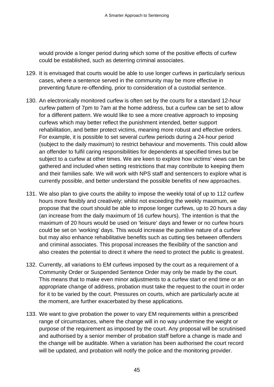would provide a longer period during which some of the positive effects of curfew could be established, such as deterring criminal associates.

- 129. It is envisaged that courts would be able to use longer curfews in particularly serious cases, where a sentence served in the community may be more effective in preventing future re-offending, prior to consideration of a custodial sentence.
- 130. An electronically monitored curfew is often set by the courts for a standard 12-hour curfew pattern of 7pm to 7am at the home address, but a curfew can be set to allow for a different pattern. We would like to see a more creative approach to imposing curfews which may better reflect the punishment intended, better support rehabilitation, and better protect victims, meaning more robust and effective orders. For example, it is possible to set several curfew periods during a 24-hour period (subject to the daily maximum) to restrict behaviour and movements. This could allow an offender to fulfil caring responsibilities for dependents at specified times but be subject to a curfew at other times. We are keen to explore how victims' views can be gathered and included when setting restrictions that may contribute to keeping them and their families safe. We will work with NPS staff and sentencers to explore what is currently possible, and better understand the possible benefits of new approaches.
- 131. We also plan to give courts the ability to impose the weekly total of up to 112 curfew hours more flexibly and creatively; whilst not exceeding the weekly maximum, we propose that the court should be able to impose longer curfews, up to 20 hours a day (an increase from the daily maximum of 16 curfew hours). The intention is that the maximum of 20 hours would be used on 'leisure' days and fewer or no curfew hours could be set on 'working' days. This would increase the punitive nature of a curfew but may also enhance rehabilitative benefits such as cutting ties between offenders and criminal associates. This proposal increases the flexibility of the sanction and also creates the potential to direct it where the need to protect the public is greatest.
- 132. Currently, all variations to EM curfews imposed by the court as a requirement of a Community Order or Suspended Sentence Order may only be made by the court. This means that to make even minor adjustments to a curfew start or end time or an appropriate change of address, probation must take the request to the court in order for it to be varied by the court. Pressures on courts, which are particularly acute at the moment, are further exacerbated by these applications.
- 133. We want to give probation the power to vary EM requirements within a prescribed range of circumstances, where the change will in no way undermine the weight or purpose of the requirement as imposed by the court. Any proposal will be scrutinised and authorised by a senior member of probation staff before a change is made and the change will be auditable. When a variation has been authorised the court record will be updated, and probation will notify the police and the monitoring provider.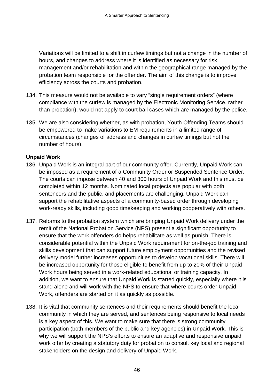Variations will be limited to a shift in curfew timings but not a change in the number of hours, and changes to address where it is identified as necessary for risk management and/or rehabilitation and within the geographical range managed by the probation team responsible for the offender. The aim of this change is to improve efficiency across the courts and probation.

- 134. This measure would not be available to vary "single requirement orders" (where compliance with the curfew is managed by the Electronic Monitoring Service, rather than probation), would not apply to court bail cases which are managed by the police.
- 135. We are also considering whether, as with probation, Youth Offending Teams should be empowered to make variations to EM requirements in a limited range of circumstances (changes of address and changes in curfew timings but not the number of hours).

#### **Unpaid Work**

- 136. Unpaid Work is an integral part of our community offer. Currently, Unpaid Work can be imposed as a requirement of a Community Order or Suspended Sentence Order. The courts can impose between 40 and 300 hours of Unpaid Work and this must be completed within 12 months. Nominated local projects are popular with both sentencers and the public, and placements are challenging. Unpaid Work can support the rehabilitative aspects of a community-based order through developing work-ready skills, including good timekeeping and working cooperatively with others.
- 137. Reforms to the probation system which are bringing Unpaid Work delivery under the remit of the National Probation Service (NPS) present a significant opportunity to ensure that the work offenders do helps rehabilitate as well as punish. There is considerable potential within the Unpaid Work requirement for on-the-job training and skills development that can support future employment opportunities and the revised delivery model further increases opportunities to develop vocational skills. There will be increased opportunity for those eligible to benefit from up to 20% of their Unpaid Work hours being served in a work-related educational or training capacity. In addition, we want to ensure that Unpaid Work is started quickly, especially where it is stand alone and will work with the NPS to ensure that where courts order Unpaid Work, offenders are started on it as quickly as possible.
- 138. It is vital that community sentences and their requirements should benefit the local community in which they are served, and sentences being responsive to local needs is a key aspect of this. We want to make sure that there is strong community participation (both members of the public and key agencies) in Unpaid Work. This is why we will support the NPS's efforts to ensure an adaptive and responsive unpaid work offer by creating a statutory duty for probation to consult key local and regional stakeholders on the design and delivery of Unpaid Work.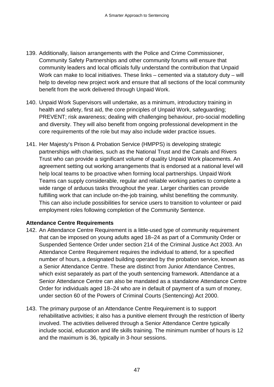- 139. Additionally, liaison arrangements with the Police and Crime Commissioner, Community Safety Partnerships and other community forums will ensure that community leaders and local officials fully understand the contribution that Unpaid Work can make to local initiatives. These links – cemented via a statutory duty – will help to develop new project work and ensure that all sections of the local community benefit from the work delivered through Unpaid Work.
- 140. Unpaid Work Supervisors will undertake, as a minimum, introductory training in health and safety, first aid, the core principles of Unpaid Work, safeguarding; PREVENT; risk awareness; dealing with challenging behaviour, pro-social modelling and diversity. They will also benefit from ongoing professional development in the core requirements of the role but may also include wider practice issues.
- 141. Her Majesty's Prison & Probation Service (HMPPS) is developing strategic partnerships with charities, such as the National Trust and the Canals and Rivers Trust who can provide a significant volume of quality Unpaid Work placements. An agreement setting out working arrangements that is endorsed at a national level will help local teams to be proactive when forming local partnerships. Unpaid Work Teams can supply considerable, regular and reliable working parties to complete a wide range of arduous tasks throughout the year. Larger charities can provide fulfilling work that can include on-the-job training, whilst benefiting the community. This can also include possibilities for service users to transition to volunteer or paid employment roles following completion of the Community Sentence.

#### **Attendance Centre Requirements**

- 142. An Attendance Centre Requirement is a little-used type of community requirement that can be imposed on young adults aged 18–24 as part of a Community Order or Suspended Sentence Order under section 214 of the Criminal Justice Act 2003. An Attendance Centre Requirement requires the individual to attend, for a specified number of hours, a designated building operated by the probation service, known as a Senior Attendance Centre. These are distinct from Junior Attendance Centres, which exist separately as part of the youth sentencing framework. Attendance at a Senior Attendance Centre can also be mandated as a standalone Attendance Centre Order for individuals aged 18–24 who are in default of payment of a sum of money, under section 60 of the Powers of Criminal Courts (Sentencing) Act 2000.
- 143. The primary purpose of an Attendance Centre Requirement is to support rehabilitative activities; it also has a punitive element through the restriction of liberty involved. The activities delivered through a Senior Attendance Centre typically include social, education and life skills training. The minimum number of hours is 12 and the maximum is 36, typically in 3-hour sessions.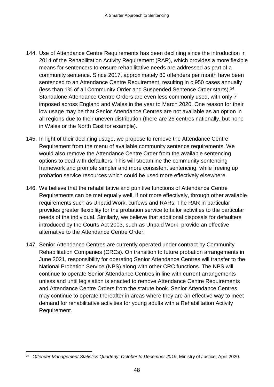- 144. Use of Attendance Centre Requirements has been declining since the introduction in 2014 of the Rehabilitation Activity Requirement (RAR), which provides a more flexible means for sentencers to ensure rehabilitative needs are addressed as part of a community sentence. Since 2017, approximately 80 offenders per month have been sentenced to an Attendance Centre Requirement, resulting in c.950 cases annually (less than 1% of all Community Order and Suspended Sentence Order starts). [24](#page-50-0) Standalone Attendance Centre Orders are even less commonly used, with only 7 imposed across England and Wales in the year to March 2020. One reason for their low usage may be that Senior Attendance Centres are not available as an option in all regions due to their uneven distribution (there are 26 centres nationally, but none in Wales or the North East for example).
- 145. In light of their declining usage, we propose to remove the Attendance Centre Requirement from the menu of available community sentence requirements. We would also remove the Attendance Centre Order from the available sentencing options to deal with defaulters. This will streamline the community sentencing framework and promote simpler and more consistent sentencing, while freeing up probation service resources which could be used more effectively elsewhere.
- 146. We believe that the rehabilitative and punitive functions of Attendance Centre Requirements can be met equally well, if not more effectively, through other available requirements such as Unpaid Work, curfews and RARs. The RAR in particular provides greater flexibility for the probation service to tailor activities to the particular needs of the individual. Similarly, we believe that additional disposals for defaulters introduced by the Courts Act 2003, such as Unpaid Work, provide an effective alternative to the Attendance Centre Order.
- 147. Senior Attendance Centres are currently operated under contract by Community Rehabilitation Companies (CRCs). On transition to future probation arrangements in June 2021, responsibility for operating Senior Attendance Centres will transfer to the National Probation Service (NPS) along with other CRC functions. The NPS will continue to operate Senior Attendance Centres in line with current arrangements unless and until legislation is enacted to remove Attendance Centre Requirements and Attendance Centre Orders from the statute book. Senior Attendance Centres may continue to operate thereafter in areas where they are an effective way to meet demand for rehabilitative activities for young adults with a Rehabilitation Activity Requirement.

<span id="page-50-0"></span><sup>&</sup>lt;sup>24</sup> Offender Management Statistics Quarterly: October to December 2019, Ministry of Justice, April 2020.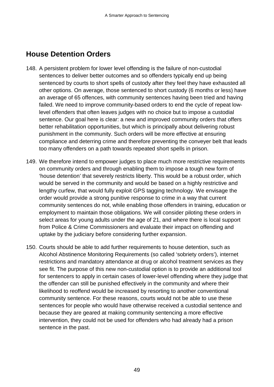### **House Detention Orders**

- 148. A persistent problem for lower level offending is the failure of non-custodial sentences to deliver better outcomes and so offenders typically end up being sentenced by courts to short spells of custody after they feel they have exhausted all other options. On average, those sentenced to short custody (6 months or less) have an average of 65 offences, with community sentences having been tried and having failed. We need to improve community-based orders to end the cycle of repeat lowlevel offenders that often leaves judges with no choice but to impose a custodial sentence. Our goal here is clear: a new and improved community orders that offers better rehabilitation opportunities, but which is principally about delivering robust punishment in the community. Such orders will be more effective at ensuring compliance and deterring crime and therefore preventing the conveyer belt that leads too many offenders on a path towards repeated short spells in prison.
- 149. We therefore intend to empower judges to place much more restrictive requirements on community orders and through enabling them to impose a tough new form of 'house detention' that severely restricts liberty. This would be a robust order, which would be served in the community and would be based on a highly restrictive and lengthy curfew, that would fully exploit GPS tagging technology. We envisage the order would provide a strong punitive response to crime in a way that current community sentences do not, while enabling those offenders in training, education or employment to maintain those obligations. We will consider piloting these orders in select areas for young adults under the age of 21, and where there is local support from Police & Crime Commissioners and evaluate their impact on offending and uptake by the judiciary before considering further expansion.
- 150. Courts should be able to add further requirements to house detention, such as Alcohol Abstinence Monitoring Requirements (so called 'sobriety orders'), internet restrictions and mandatory attendance at drug or alcohol treatment services as they see fit. The purpose of this new non-custodial option is to provide an additional tool for sentencers to apply in certain cases of lower-level offending where they judge that the offender can still be punished effectively in the community and where their likelihood to reoffend would be increased by resorting to another conventional community sentence. For these reasons, courts would not be able to use these sentences for people who would have otherwise received a custodial sentence and because they are geared at making community sentencing a more effective intervention, they could not be used for offenders who had already had a prison sentence in the past.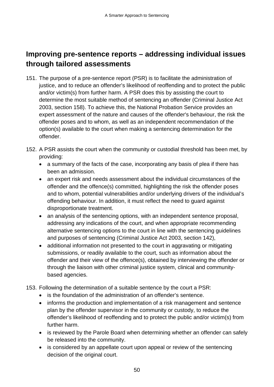## **Improving pre-sentence reports – addressing individual issues through tailored assessments**

- 151. The purpose of a pre-sentence report (PSR) is to facilitate the administration of justice, and to reduce an offender's likelihood of reoffending and to protect the public and/or victim(s) from further harm. A PSR does this by assisting the court to determine the most suitable method of sentencing an offender (Criminal Justice Act 2003, section 158). To achieve this, the National Probation Service provides an expert assessment of the nature and causes of the offender's behaviour, the risk the offender poses and to whom, as well as an independent recommendation of the option(s) available to the court when making a sentencing determination for the offender.
- 152. A PSR assists the court when the community or custodial threshold has been met, by providing:
	- a summary of the facts of the case, incorporating any basis of plea if there has been an admission.
	- an expert risk and needs assessment about the individual circumstances of the offender and the offence(s) committed, highlighting the risk the offender poses and to whom, potential vulnerabilities and/or underlying drivers of the individual's offending behaviour. In addition, it must reflect the need to guard against disproportionate treatment.
	- an analysis of the sentencing options, with an independent sentence proposal, addressing any indications of the court, and when appropriate recommending alternative sentencing options to the court in line with the sentencing guidelines and purposes of sentencing (Criminal Justice Act 2003, section 142),
	- additional information not presented to the court in aggravating or mitigating submissions, or readily available to the court, such as information about the offender and their view of the offence(s), obtained by interviewing the offender or through the liaison with other criminal justice system, clinical and communitybased agencies.
- 153. Following the determination of a suitable sentence by the court a PSR:
	- is the foundation of the administration of an offender's sentence.
	- informs the production and implementation of a risk management and sentence plan by the offender supervisor in the community or custody, to reduce the offender's likelihood of reoffending and to protect the public and/or victim(s) from further harm.
	- is reviewed by the Parole Board when determining whether an offender can safely be released into the community.
	- is considered by an appellate court upon appeal or review of the sentencing decision of the original court.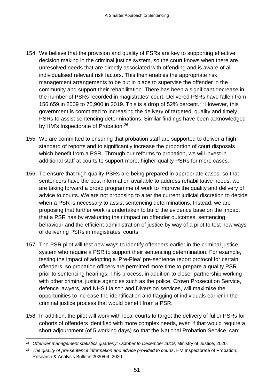- 154. We believe that the provision and quality of PSRs are key to supporting effective decision making in the criminal justice system, so the court knows when there are unresolved needs that are directly associated with offending and is aware of all individualised relevant risk factors. This then enables the appropriate risk management arrangements to be put in place to supervise the offender in the community and support their rehabilitation. There has been a significant decrease in the number of PSRs recorded in magistrates' court. Delivered PSRs have fallen from 156,659 in 2009 to 75,900 in 2019. This is a drop of 52% percent.<sup>[25](#page-53-0)</sup> However, this government is committed to increasing the delivery of targeted, quality and timely PSRs to assist sentencing determinations. Similar findings have been acknowledged by HM's Inspectorate of Probation.<sup>[26](#page-53-1)</sup>
- 155. We are committed to ensuring that probation staff are supported to deliver a high standard of reports and to significantly increase the proportion of court disposals which benefit from a PSR. Through our reforms to probation, we will invest in additional staff at courts to support more, higher-quality PSRs for more cases.
- 156. To ensure that high quality PSRs are being prepared in appropriate cases, so that sentencers have the best information available to address rehabilitative needs, we are taking forward a broad programme of work to improve the quality and delivery of advice to courts. We are not proposing to alter the current judicial discretion to decide when a PSR is necessary to assist sentencing determinations. Instead, we are proposing that further work is undertaken to build the evidence base on the impact that a PSR has by evaluating their impact on offender outcomes, sentencing behaviour and the efficient administration of justice by way of a pilot to test new ways of delivering PSRs in magistrates' courts.
- 157. The PSR pilot will test new ways to identify offenders earlier in the criminal justice system who require a PSR to support their sentencing determination. For example, testing the impact of adopting a 'Pre-Plea' pre-sentence report protocol for certain offenders, so probation officers are permitted more time to prepare a quality PSR prior to sentencing hearings. This process, in addition to closer partnership working with other criminal justice agencies such as the police, Crown Prosecution Service, defence lawyers, and NHS Liaison and Diversion services, will maximise the opportunities to increase the identification and flagging of individuals earlier in the criminal justice process that would benefit from a PSR.
- 158. In addition, the pilot will work with local courts to target the delivery of fuller PSRs for cohorts of offenders identified with more complex needs, even if that would require a short adjournment (of 5 working days) so that the National Probation Service, can:

<span id="page-53-0"></span><sup>&</sup>lt;sup>25</sup> Offender management statistics quarterly: October to December 2019, Ministry of Justice, 2020.

<span id="page-53-1"></span><sup>26</sup> *The quality of pre-sentence information and advice provided to courts*, HM Inspectorate of Probation, Research & Analysis Bulletin 2020/04, 2020.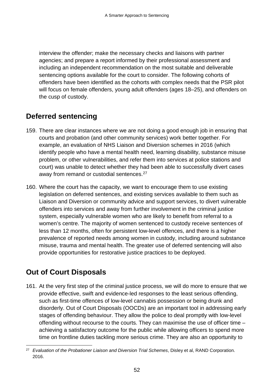interview the offender; make the necessary checks and liaisons with partner agencies; and prepare a report informed by their professional assessment and including an independent recommendation on the most suitable and deliverable sentencing options available for the court to consider. The following cohorts of offenders have been identified as the cohorts with complex needs that the PSR pilot will focus on female offenders, young adult offenders (ages 18–25), and offenders on the cusp of custody.

## **Deferred sentencing**

- 159. There are clear instances where we are not doing a good enough job in ensuring that courts and probation (and other community services) work better together. For example, an evaluation of NHS Liaison and Diversion schemes in 2016 (which identify people who have a mental health need, learning disability, substance misuse problem, or other vulnerabilities, and refer them into services at police stations and court) was unable to detect whether they had been able to successfully divert cases away from remand or custodial sentences.<sup>[27](#page-54-0)</sup>
- 160. Where the court has the capacity, we want to encourage them to use existing legislation on deferred sentences, and existing services available to them such as Liaison and Diversion or community advice and support services, to divert vulnerable offenders into services and away from further involvement in the criminal justice system, especially vulnerable women who are likely to benefit from referral to a women's centre. The majority of women sentenced to custody receive sentences of less than 12 months, often for persistent low-level offences, and there is a higher prevalence of reported needs among women in custody, including around substance misuse, trauma and mental health. The greater use of deferred sentencing will also provide opportunities for restorative justice practices to be deployed.

# **Out of Court Disposals**

161. At the very first step of the criminal justice process, we will do more to ensure that we provide effective, swift and evidence-led responses to the least serious offending, such as first-time offences of low-level cannabis possession or being drunk and disorderly. Out of Court Disposals (OOCDs) are an important tool in addressing early stages of offending behaviour. They allow the police to deal promptly with low-level offending without recourse to the courts. They can maximise the use of officer time – achieving a satisfactory outcome for the public while allowing officers to spend more time on frontline duties tackling more serious crime. They are also an opportunity to

<span id="page-54-0"></span> <sup>27</sup> *Evaluation of the Probationer Liaison and Diversion Trial Schemes*, Disley et al, RAND Corporation. 2016.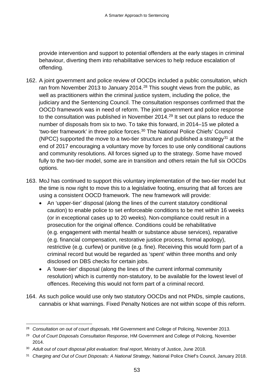provide intervention and support to potential offenders at the early stages in criminal behaviour, diverting them into rehabilitative services to help reduce escalation of offending.

- 162. A joint government and police review of OOCDs included a public consultation, which ran from November 2013 to January 2014.<sup>[28](#page-55-0)</sup> This sought views from the public, as well as practitioners within the criminal justice system, including the police, the judiciary and the Sentencing Council. The consultation responses confirmed that the OOCD framework was in need of reform. The joint government and police response to the consultation was published in November 2014. [29](#page-55-1) It set out plans to reduce the number of disposals from six to two. To take this forward, in 2014–15 we piloted a 'two-tier framework' in three police forces. [30](#page-55-2) The National Police Chiefs' Council (NPCC) supported the move to a two-tier structure and published a strategy<sup>[31](#page-55-3)</sup> at the end of 2017 encouraging a voluntary move by forces to use only conditional cautions and community resolutions. All forces signed up to the strategy. Some have moved fully to the two-tier model, some are in transition and others retain the full six OOCDs options.
- 163. MoJ has continued to support this voluntary implementation of the two-tier model but the time is now right to move this to a legislative footing, ensuring that all forces are using a consistent OOCD framework. The new framework will provide:
	- An 'upper-tier' disposal (along the lines of the current statutory conditional caution) to enable police to set enforceable conditions to be met within 16 weeks (or in exceptional cases up to 20 weeks). Non-compliance could result in a prosecution for the original offence. Conditions could be rehabilitative (e.g. engagement with mental health or substance abuse services), reparative (e.g. financial compensation, restorative justice process, formal apology), restrictive (e.g. curfew) or punitive (e.g. fine). Receiving this would form part of a criminal record but would be regarded as 'spent' within three months and only disclosed on DBS checks for certain jobs.
	- A 'lower-tier' disposal (along the lines of the current informal community resolution) which is currently non-statutory, to be available for the lowest level of offences. Receiving this would not form part of a criminal record.
- 164. As such police would use only two statutory OOCDs and not PNDs, simple cautions, cannabis or khat warnings. Fixed Penalty Notices are not within scope of this reform.

<span id="page-55-0"></span> <sup>28</sup> *Consultation on out of court disposals*, HM Government and College of Policing, November 2013.

<span id="page-55-1"></span><sup>29</sup> *Out of Court Disposals Consultation Response*, HM Government and College of Policing, November 2014.

<span id="page-55-2"></span><sup>30</sup> *Adult out of court disposal pilot evaluation: final report*, Ministry of Justice, June 2018.

<span id="page-55-3"></span><sup>31</sup> *Charging and Out of Court Disposals: A National Strategy*, National Police Chief's Council, January 2018.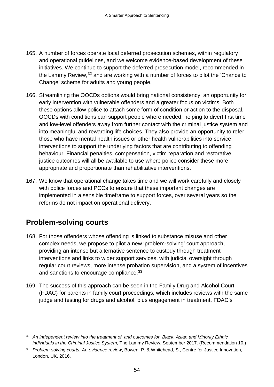- 165. A number of forces operate local deferred prosecution schemes, within regulatory and operational guidelines, and we welcome evidence-based development of these initiatives. We continue to support the deferred prosecution model, recommended in the Lammy Review,[32](#page-56-0) and are working with a number of forces to pilot the 'Chance to Change' scheme for adults and young people.
- 166. Streamlining the OOCDs options would bring national consistency, an opportunity for early intervention with vulnerable offenders and a greater focus on victims. Both these options allow police to attach some form of condition or action to the disposal. OOCDs with conditions can support people where needed, helping to divert first time and low-level offenders away from further contact with the criminal justice system and into meaningful and rewarding life choices. They also provide an opportunity to refer those who have mental health issues or other health vulnerabilities into service interventions to support the underlying factors that are contributing to offending behaviour. Financial penalties, compensation, victim reparation and restorative justice outcomes will all be available to use where police consider these more appropriate and proportionate than rehabilitative interventions.
- 167. We know that operational change takes time and we will work carefully and closely with police forces and PCCs to ensure that these important changes are implemented in a sensible timeframe to support forces, over several years so the reforms do not impact on operational delivery.

# **Problem-solving courts**

- 168. For those offenders whose offending is linked to substance misuse and other complex needs, we propose to pilot a new 'problem-solving' court approach, providing an intense but alternative sentence to custody through treatment interventions and links to wider support services, with judicial oversight through regular court reviews, more intense probation supervision, and a system of incentives and sanctions to encourage compliance.<sup>[33](#page-56-1)</sup>
- 169. The success of this approach can be seen in the Family Drug and Alcohol Court (FDAC) for parents in family court proceedings, which includes reviews with the same judge and testing for drugs and alcohol, plus engagement in treatment. FDAC's

<span id="page-56-0"></span> <sup>32</sup> *An independent review into the treatment of, and outcomes for, Black, Asian and Minority Ethnic individuals in the Criminal Justice System*, The Lammy Review, September 2017. (Recommendation 10.)

<span id="page-56-1"></span><sup>33</sup> *Problem-solving courts: An evidence review*, Bowen, P. & Whitehead, S., Centre for Justice Innovation, London, UK, 2016.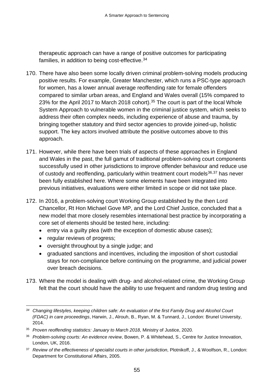therapeutic approach can have a range of positive outcomes for participating families, in addition to being cost-effective.<sup>[34](#page-57-0)</sup>

- 170. There have also been some locally driven criminal problem-solving models producing positive results. For example, Greater Manchester, which runs a PSC-type approach for women, has a lower annual average reoffending rate for female offenders compared to similar urban areas, and England and Wales overall (15% compared to 23% for the April 2017 to March 2018 cohort). [35](#page-57-1) The court is part of the local Whole System Approach to vulnerable women in the criminal justice system, which seeks to address their often complex needs, including experience of abuse and trauma, by bringing together statutory and third sector agencies to provide joined-up, holistic support. The key actors involved attribute the positive outcomes above to this approach.
- 171. However, while there have been trials of aspects of these approaches in England and Wales in the past, the full gamut of traditional problem-solving court components successfully used in other jurisdictions to improve offender behaviour and reduce use of custody and reoffending, particularly within treatment court models<sup>[36,](#page-57-2)[37](#page-57-3)</sup> has never been fully established here. Where some elements have been integrated into previous initiatives, evaluations were either limited in scope or did not take place.
- 172. In 2016, a problem-solving court Working Group established by the then Lord Chancellor, Rt Hon Michael Gove MP, and the Lord Chief Justice, concluded that a new model that more closely resembles international best practice by incorporating a core set of elements should be tested here, including:
	- entry via a guilty plea (with the exception of domestic abuse cases);
	- regular reviews of progress;
	- oversight throughout by a single judge; and
	- graduated sanctions and incentives, including the imposition of short custodial stays for non-compliance before continuing on the programme, and judicial power over breach decisions.
- 173. Where the model is dealing with drug- and alcohol-related crime, the Working Group felt that the court should have the ability to use frequent and random drug testing and

<span id="page-57-0"></span><sup>&</sup>lt;u>.</u> *<sup>34</sup> Changing lifestyles, keeping children safe: An evaluation of the first Family Drug and Alcohol Court (FDAC) in care proceedings*, Harwin, J., Alrouh, B., Ryan, M. & Tunnard, J., London: Brunel University, 2014.

<span id="page-57-1"></span><sup>35</sup> *Proven reoffending statistics: January to March 2018*, Ministry of Justice, 2020.

<span id="page-57-2"></span><sup>36</sup> *Problem-solving courts: An evidence review*, Bowen, P. & Whitehead, S., Centre for Justice Innovation, London, UK, 2016.

<span id="page-57-3"></span><sup>37</sup> *Review of the effectiveness of specialist courts in other jurisdiction*, Plotnikoff, J., & Woolfson, R., London: Department for Constitutional Affairs, 2005.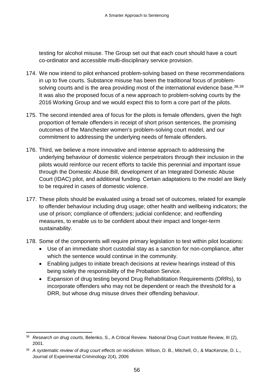testing for alcohol misuse. The Group set out that each court should have a court co-ordinator and accessible multi-disciplinary service provision.

- 174. We now intend to pilot enhanced problem-solving based on these recommendations in up to five courts. Substance misuse has been the traditional focus of problemsolving courts and is the area providing most of the international evidence base.  $38,39$  $38,39$ It was also the proposed focus of a new approach to problem-solving courts by the 2016 Working Group and we would expect this to form a core part of the pilots.
- 175. The second intended area of focus for the pilots is female offenders, given the high proportion of female offenders in receipt of short prison sentences, the promising outcomes of the Manchester women's problem-solving court model, and our commitment to addressing the underlying needs of female offenders.
- 176. Third, we believe a more innovative and intense approach to addressing the underlying behaviour of domestic violence perpetrators through their inclusion in the pilots would reinforce our recent efforts to tackle this perennial and important issue through the Domestic Abuse Bill, development of an Integrated Domestic Abuse Court (IDAC) pilot, and additional funding. Certain adaptations to the model are likely to be required in cases of domestic violence.
- 177. These pilots should be evaluated using a broad set of outcomes, related for example to offender behaviour including drug usage; other health and wellbeing indicators; the use of prison; compliance of offenders; judicial confidence; and reoffending measures, to enable us to be confident about their impact and longer-term sustainability.
- 178. Some of the components will require primary legislation to test within pilot locations:
	- Use of an immediate short custodial stay as a sanction for non-compliance, after which the sentence would continue in the community.
	- Enabling judges to initiate breach decisions at review hearings instead of this being solely the responsibility of the Probation Service.
	- Expansion of drug testing beyond Drug Rehabilitation Requirements (DRRs), to incorporate offenders who may not be dependent or reach the threshold for a DRR, but whose drug misuse drives their offending behaviour.

<span id="page-58-0"></span> <sup>38</sup> *Research on drug courts*, Belenko, S., A Critical Review. National Drug Court Institute Review, III (2), 2001.

<span id="page-58-1"></span><sup>39</sup> *A systematic review of drug court effects on recidivism*. Wilson, D. B., Mitchell, O., & MacKenzie, D. L., Journal of Experimental Criminology 2(4), 2006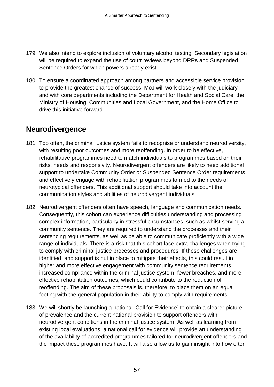- 179. We also intend to explore inclusion of voluntary alcohol testing. Secondary legislation will be required to expand the use of court reviews beyond DRRs and Suspended Sentence Orders for which powers already exist.
- 180. To ensure a coordinated approach among partners and accessible service provision to provide the greatest chance of success, MoJ will work closely with the judiciary and with core departments including the Department for Health and Social Care, the Ministry of Housing, Communities and Local Government, and the Home Office to drive this initiative forward.

### **Neurodivergence**

- 181. Too often, the criminal justice system fails to recognise or understand neurodiversity. with resulting poor outcomes and more reoffending. In order to be effective, rehabilitative programmes need to match individuals to programmes based on their risks, needs and responsivity. Neurodivergent offenders are likely to need additional support to undertake Community Order or Suspended Sentence Order requirements and effectively engage with rehabilitation programmes formed to the needs of neurotypical offenders. This additional support should take into account the communication styles and abilities of neurodivergent individuals.
- 182. Neurodivergent offenders often have speech, language and communication needs. Consequently, this cohort can experience difficulties understanding and processing complex information, particularly in stressful circumstances, such as whilst serving a community sentence. They are required to understand the processes and their sentencing requirements, as well as be able to communicate proficiently with a wide range of individuals. There is a risk that this cohort face extra challenges when trying to comply with criminal justice processes and procedures. If these challenges are identified, and support is put in place to mitigate their effects, this could result in higher and more effective engagement with community sentence requirements, increased compliance within the criminal justice system, fewer breaches, and more effective rehabilitation outcomes, which could contribute to the reduction of reoffending. The aim of these proposals is, therefore, to place them on an equal footing with the general population in their ability to comply with requirements.
- 183. We will shortly be launching a national 'Call for Evidence' to obtain a clearer picture of prevalence and the current national provision to support offenders with neurodivergent conditions in the criminal justice system. As well as learning from existing local evaluations, a national call for evidence will provide an understanding of the availability of accredited programmes tailored for neurodivergent offenders and the impact these programmes have. It will also allow us to gain insight into how often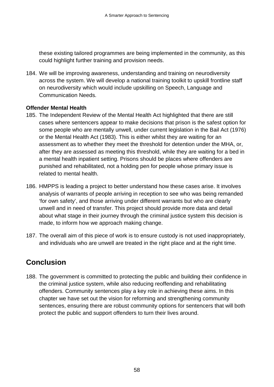these existing tailored programmes are being implemented in the community, as this could highlight further training and provision needs.

184. We will be improving awareness, understanding and training on neurodiversity across the system. We will develop a national training toolkit to upskill frontline staff on neurodiversity which would include upskilling on Speech, Language and Communication Needs.

#### **Offender Mental Health**

- 185. The Independent Review of the Mental Health Act highlighted that there are still cases where sentencers appear to make decisions that prison is the safest option for some people who are mentally unwell, under current legislation in the Bail Act (1976) or the Mental Health Act (1983). This is either whilst they are waiting for an assessment as to whether they meet the threshold for detention under the MHA, or, after they are assessed as meeting this threshold, while they are waiting for a bed in a mental health inpatient setting. Prisons should be places where offenders are punished and rehabilitated, not a holding pen for people whose primary issue is related to mental health.
- 186. HMPPS is leading a project to better understand how these cases arise. It involves analysis of warrants of people arriving in reception to see who was being remanded 'for own safety', and those arriving under different warrants but who are clearly unwell and in need of transfer. This project should provide more data and detail about what stage in their journey through the criminal justice system this decision is made, to inform how we approach making change.
- 187. The overall aim of this piece of work is to ensure custody is not used inappropriately, and individuals who are unwell are treated in the right place and at the right time.

# **Conclusion**

188. The government is committed to protecting the public and building their confidence in the criminal justice system, while also reducing reoffending and rehabilitating offenders. Community sentences play a key role in achieving these aims. In this chapter we have set out the vision for reforming and strengthening community sentences, ensuring there are robust community options for sentencers that will both protect the public and support offenders to turn their lives around.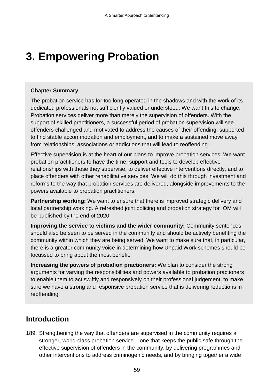# **3. Empowering Probation**

#### **Chapter Summary**

The probation service has for too long operated in the shadows and with the work of its dedicated professionals not sufficiently valued or understood. We want this to change. Probation services deliver more than merely the supervision of offenders. With the support of skilled practitioners, a successful period of probation supervision will see offenders challenged and motivated to address the causes of their offending: supported to find stable accommodation and employment, and to make a sustained move away from relationships, associations or addictions that will lead to reoffending.

Effective supervision is at the heart of our plans to improve probation services. We want probation practitioners to have the time, support and tools to develop effective relationships with those they supervise, to deliver effective interventions directly, and to place offenders with other rehabilitative services. We will do this through investment and reforms to the way that probation services are delivered, alongside improvements to the powers available to probation practitioners.

**Partnership working:** We want to ensure that there is improved strategic delivery and local partnership working. A refreshed joint policing and probation strategy for IOM will be published by the end of 2020.

**Improving the service to victims and the wider community:** Community sentences should also be seen to be served in the community and should be actively benefiting the community within which they are being served. We want to make sure that, in particular, there is a greater community voice in determining how Unpaid Work schemes should be focussed to bring about the most benefit.

**Increasing the powers of probation practioners:** We plan to consider the strong arguments for varying the responsibilities and powers available to probation practioners to enable them to act swiftly and responsively on their professional judgement, to make sure we have a strong and responsive probation service that is delivering reductions in reoffending.

### **Introduction**

189. Strengthening the way that offenders are supervised in the community requires a stronger, world-class probation service – one that keeps the public safe through the effective supervision of offenders in the community, by delivering programmes and other interventions to address criminogenic needs, and by bringing together a wide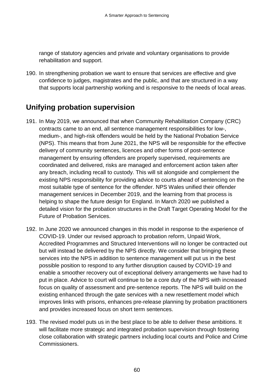range of statutory agencies and private and voluntary organisations to provide rehabilitation and support.

190. In strengthening probation we want to ensure that services are effective and give confidence to judges, magistrates and the public, and that are structured in a way that supports local partnership working and is responsive to the needs of local areas.

### **Unifying probation supervision**

- 191. In May 2019, we announced that when Community Rehabilitation Company (CRC) contracts came to an end, all sentence management responsibilities for low-, medium-, and high-risk offenders would be held by the National Probation Service (NPS). This means that from June 2021, the NPS will be responsible for the effective delivery of community sentences, licences and other forms of post-sentence management by ensuring offenders are properly supervised, requirements are coordinated and delivered, risks are managed and enforcement action taken after any breach, including recall to custody. This will sit alongside and complement the existing NPS responsibility for providing advice to courts ahead of sentencing on the most suitable type of sentence for the offender. NPS Wales unified their offender management services in December 2019, and the learning from that process is helping to shape the future design for England. In March 2020 we published a detailed vision for the probation structures in the Draft Target Operating Model for the Future of Probation Services.
- 192. In June 2020 we announced changes in this model in response to the experience of COVID-19. Under our revised approach to probation reform, Unpaid Work, Accredited Programmes and Structured Interventions will no longer be contracted out but will instead be delivered by the NPS directly. We consider that bringing these services into the NPS in addition to sentence management will put us in the best possible position to respond to any further disruption caused by COVID-19 and enable a smoother recovery out of exceptional delivery arrangements we have had to put in place. Advice to court will continue to be a core duty of the NPS with increased focus on quality of assessment and pre-sentence reports. The NPS will build on the existing enhanced through the gate services with a new resettlement model which improves links with prisons, enhances pre-release planning by probation practitioners and provides increased focus on short term sentences.
- 193. The revised model puts us in the best place to be able to deliver these ambitions. It will facilitate more strategic and integrated probation supervision through fostering close collaboration with strategic partners including local courts and Police and Crime Commissioners.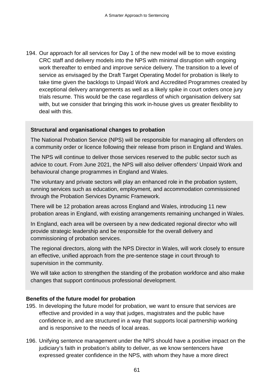194. Our approach for all services for Day 1 of the new model will be to move existing CRC staff and delivery models into the NPS with minimal disruption with ongoing work thereafter to embed and improve service delivery. The transition to a level of service as envisaged by the Draft Target Operating Model for probation is likely to take time given the backlogs to Unpaid Work and Accredited Programmes created by exceptional delivery arrangements as well as a likely spike in court orders once jury trials resume. This would be the case regardless of which organisation delivery sat with, but we consider that bringing this work in-house gives us greater flexibility to deal with this.

#### **Structural and organisational changes to probation**

The National Probation Service (NPS) will be responsible for managing all offenders on a community order or licence following their release from prison in England and Wales.

The NPS will continue to deliver those services reserved to the public sector such as advice to court. From June 2021, the NPS will also deliver offenders' Unpaid Work and behavioural change programmes in England and Wales.

The voluntary and private sectors will play an enhanced role in the probation system, running services such as education, employment, and accommodation commissioned through the Probation Services Dynamic Framework.

There will be 12 probation areas across England and Wales, introducing 11 new probation areas in England, with existing arrangements remaining unchanged in Wales.

In England, each area will be overseen by a new dedicated regional director who will provide strategic leadership and be responsible for the overall delivery and commissioning of probation services.

The regional directors, along with the NPS Director in Wales, will work closely to ensure an effective, unified approach from the pre-sentence stage in court through to supervision in the community.

We will take action to strengthen the standing of the probation workforce and also make changes that support continuous professional development.

#### **Benefits of the future model for probation**

- 195. In developing the future model for probation, we want to ensure that services are effective and provided in a way that judges, magistrates and the public have confidence in, and are structured in a way that supports local partnership working and is responsive to the needs of local areas.
- 196. Unifying sentence management under the NPS should have a positive impact on the judiciary's faith in probation's ability to deliver, as we know sentencers have expressed greater confidence in the NPS, with whom they have a more direct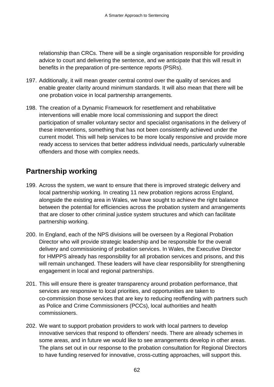relationship than CRCs. There will be a single organisation responsible for providing advice to court and delivering the sentence, and we anticipate that this will result in benefits in the preparation of pre-sentence reports (PSRs).

- 197. Additionally, it will mean greater central control over the quality of services and enable greater clarity around minimum standards. It will also mean that there will be one probation voice in local partnership arrangements.
- 198. The creation of a Dynamic Framework for resettlement and rehabilitative interventions will enable more local commissioning and support the direct participation of smaller voluntary sector and specialist organisations in the delivery of these interventions, something that has not been consistently achieved under the current model. This will help services to be more locally responsive and provide more ready access to services that better address individual needs, particularly vulnerable offenders and those with complex needs.

# **Partnership working**

- 199. Across the system, we want to ensure that there is improved strategic delivery and local partnership working. In creating 11 new probation regions across England, alongside the existing area in Wales, we have sought to achieve the right balance between the potential for efficiencies across the probation system and arrangements that are closer to other criminal justice system structures and which can facilitate partnership working.
- 200. In England, each of the NPS divisions will be overseen by a Regional Probation Director who will provide strategic leadership and be responsible for the overall delivery and commissioning of probation services. In Wales, the Executive Director for HMPPS already has responsibility for all probation services and prisons, and this will remain unchanged. These leaders will have clear responsibility for strengthening engagement in local and regional partnerships.
- 201. This will ensure there is greater transparency around probation performance, that services are responsive to local priorities, and opportunities are taken to co-commission those services that are key to reducing reoffending with partners such as Police and Crime Commissioners (PCCs), local authorities and health commissioners.
- 202. We want to support probation providers to work with local partners to develop innovative services that respond to offenders' needs. There are already schemes in some areas, and in future we would like to see arrangements develop in other areas. The plans set out in our response to the probation consultation for Regional Directors to have funding reserved for innovative, cross-cutting approaches, will support this.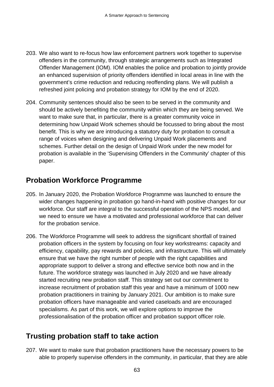- 203. We also want to re-focus how law enforcement partners work together to supervise offenders in the community, through strategic arrangements such as Integrated Offender Management (IOM). IOM enables the police and probation to jointly provide an enhanced supervision of priority offenders identified in local areas in line with the government's crime reduction and reducing reoffending plans. We will publish a refreshed joint policing and probation strategy for IOM by the end of 2020.
- 204. Community sentences should also be seen to be served in the community and should be actively benefiting the community within which they are being served. We want to make sure that, in particular, there is a greater community voice in determining how Unpaid Work schemes should be focussed to bring about the most benefit. This is why we are introducing a statutory duty for probation to consult a range of voices when designing and delivering Unpaid Work placements and schemes. Further detail on the design of Unpaid Work under the new model for probation is available in the 'Supervising Offenders in the Community' chapter of this paper.

### **Probation Workforce Programme**

- 205. In January 2020, the Probation Workforce Programme was launched to ensure the wider changes happening in probation go hand-in-hand with positive changes for our workforce. Our staff are integral to the successful operation of the NPS model, and we need to ensure we have a motivated and professional workforce that can deliver for the probation service.
- 206. The Workforce Programme will seek to address the significant shortfall of trained probation officers in the system by focusing on four key workstreams: capacity and efficiency, capability, pay rewards and policies, and infrastructure. This will ultimately ensure that we have the right number of people with the right capabilities and appropriate support to deliver a strong and effective service both now and in the future. The workforce strategy was launched in July 2020 and we have already started recruiting new probation staff. This strategy set out our commitment to increase recruitment of probation staff this year and have a minimum of 1000 new probation practitioners in training by January 2021. Our ambition is to make sure probation officers have manageable and varied caseloads and are encouraged specialisms. As part of this work, we will explore options to improve the professionalisation of the probation officer and probation support officer role.

## **Trusting probation staff to take action**

207. We want to make sure that probation practitioners have the necessary powers to be able to properly supervise offenders in the community, in particular, that they are able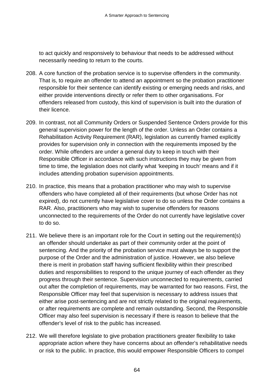to act quickly and responsively to behaviour that needs to be addressed without necessarily needing to return to the courts.

- 208. A core function of the probation service is to supervise offenders in the community. That is, to require an offender to attend an appointment so the probation practitioner responsible for their sentence can identify existing or emerging needs and risks, and either provide interventions directly or refer them to other organisations. For offenders released from custody, this kind of supervision is built into the duration of their licence.
- 209. In contrast, not all Community Orders or Suspended Sentence Orders provide for this general supervision power for the length of the order. Unless an Order contains a Rehabilitation Activity Requirement (RAR), legislation as currently framed explicitly provides for supervision only in connection with the requirements imposed by the order. While offenders are under a general duty to keep in touch with their Responsible Officer in accordance with such instructions they may be given from time to time, the legislation does not clarify what 'keeping in touch' means and if it includes attending probation supervision appointments.
- 210. In practice, this means that a probation practitioner who may wish to supervise offenders who have completed all of their requirements (but whose Order has not expired), do not currently have legislative cover to do so unless the Order contains a RAR. Also, practitioners who may wish to supervise offenders for reasons unconnected to the requirements of the Order do not currently have legislative cover to do so.
- 211. We believe there is an important role for the Court in setting out the requirement(s) an offender should undertake as part of their community order at the point of sentencing. And the priority of the probation service must always be to support the purpose of the Order and the administration of justice. However, we also believe there is merit in probation staff having sufficient flexibility within their prescribed duties and responsibilities to respond to the unique journey of each offender as they progress through their sentence. Supervision unconnected to requirements, carried out after the completion of requirements, may be warranted for two reasons. First, the Responsible Officer may feel that supervision is necessary to address issues that either arise post-sentencing and are not strictly related to the original requirements, or after requirements are complete and remain outstanding. Second, the Responsible Officer may also feel supervision is necessary if there is reason to believe that the offender's level of risk to the public has increased.
- 212. We will therefore legislate to give probation practitioners greater flexibility to take appropriate action where they have concerns about an offender's rehabilitative needs or risk to the public. In practice, this would empower Responsible Officers to compel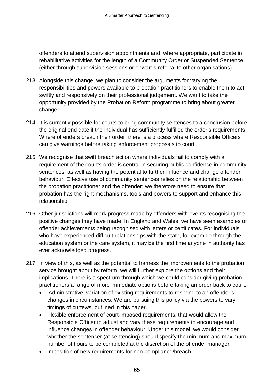offenders to attend supervision appointments and, where appropriate, participate in rehabilitative activities for the length of a Community Order or Suspended Sentence (either through supervision sessions or onwards referral to other organisations).

- 213. Alongside this change, we plan to consider the arguments for varying the responsibilities and powers available to probation practitioners to enable them to act swiftly and responsively on their professional judgement. We want to take the opportunity provided by the Probation Reform programme to bring about greater change.
- 214. It is currently possible for courts to bring community sentences to a conclusion before the original end date if the individual has sufficiently fulfilled the order's requirements. Where offenders breach their order, there is a process where Responsible Officers can give warnings before taking enforcement proposals to court.
- 215. We recognise that swift breach action where individuals fail to comply with a requirement of the court's order is central in securing public confidence in community sentences, as well as having the potential to further influence and change offender behaviour. Effective use of community sentences relies on the relationship between the probation practitioner and the offender; we therefore need to ensure that probation has the right mechanisms, tools and powers to support and enhance this relationship.
- 216. Other jurisdictions will mark progress made by offenders with events recognising the positive changes they have made. In England and Wales, we have seen examples of offender achievements being recognised with letters or certificates. For individuals who have experienced difficult relationships with the state, for example through the education system or the care system, it may be the first time anyone in authority has ever acknowledged progress.
- 217. In view of this, as well as the potential to harness the improvements to the probation service brought about by reform, we will further explore the options and their implications. There is a spectrum through which we could consider giving probation practitioners a range of more immediate options before taking an order back to court:
	- 'Administrative' variation of existing requirements to respond to an offender's changes in circumstances. We are pursuing this policy via the powers to vary timings of curfews, outlined in this paper.
	- Flexible enforcement of court-imposed requirements, that would allow the Responsible Officer to adjust and vary these requirements to encourage and influence changes in offender behaviour. Under this model, we would consider whether the sentencer (at sentencing) should specify the minimum and maximum number of hours to be completed at the discretion of the offender manager.
	- Imposition of new requirements for non-compliance/breach.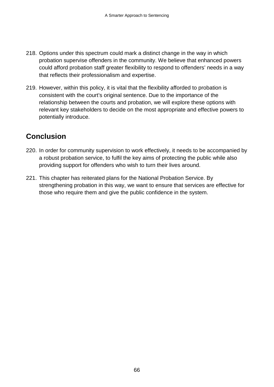- 218. Options under this spectrum could mark a distinct change in the way in which probation supervise offenders in the community. We believe that enhanced powers could afford probation staff greater flexibility to respond to offenders' needs in a way that reflects their professionalism and expertise.
- 219. However, within this policy, it is vital that the flexibility afforded to probation is consistent with the court's original sentence. Due to the importance of the relationship between the courts and probation, we will explore these options with relevant key stakeholders to decide on the most appropriate and effective powers to potentially introduce.

# **Conclusion**

- 220. In order for community supervision to work effectively, it needs to be accompanied by a robust probation service, to fulfil the key aims of protecting the public while also providing support for offenders who wish to turn their lives around.
- 221. This chapter has reiterated plans for the National Probation Service. By strengthening probation in this way, we want to ensure that services are effective for those who require them and give the public confidence in the system.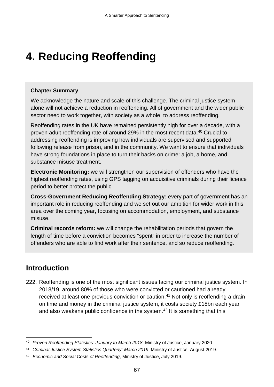# **4. Reducing Reoffending**

#### **Chapter Summary**

We acknowledge the nature and scale of this challenge. The criminal justice system alone will not achieve a reduction in reoffending. All of government and the wider public sector need to work together, with society as a whole, to address reoffending.

Reoffending rates in the UK have remained persistently high for over a decade, with a proven adult reoffending rate of around 29% in the most recent data. [40](#page-69-0) Crucial to addressing reoffending is improving how individuals are supervised and supported following release from prison, and in the community. We want to ensure that individuals have strong foundations in place to turn their backs on crime: a job, a home, and substance misuse treatment.

**Electronic Monitoring:** we will strengthen our supervision of offenders who have the highest reoffending rates, using GPS tagging on acquisitive criminals during their licence period to better protect the public.

**Cross-Government Reducing Reoffending Strategy:** every part of government has an important role in reducing reoffending and we set out our ambition for wider work in this area over the coming year, focusing on accommodation, employment, and substance misuse.

**Criminal records reform:** we will change the rehabilitation periods that govern the length of time before a conviction becomes "spent" in order to increase the number of offenders who are able to find work after their sentence, and so reduce reoffending.

# **Introduction**

222. Reoffending is one of the most significant issues facing our criminal justice system. In 2018/19, around 80% of those who were convicted or cautioned had already received at least one previous conviction or caution.<sup>[41](#page-69-1)</sup> Not only is reoffending a drain on time and money in the criminal justice system, it costs society £18bn each year and also weakens public confidence in the system. [42](#page-69-2) It is something that this

<span id="page-69-0"></span> <sup>40</sup> *Proven Reoffending Statistics: January to March 2018*, Ministry of Justice, January 2020.

<span id="page-69-1"></span><sup>41</sup> *Criminal Justice System Statistics Quarterly: March 2019*, Ministry of Justice, August 2019.

<span id="page-69-2"></span><sup>42</sup> *Economic and Social Costs of Reoffending*, Ministry of Justice, July 2019.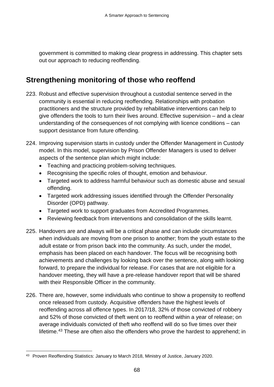government is committed to making clear progress in addressing. This chapter sets out our approach to reducing reoffending.

## **Strengthening monitoring of those who reoffend**

- 223. Robust and effective supervision throughout a custodial sentence served in the community is essential in reducing reoffending. Relationships with probation practitioners and the structure provided by rehabilitative interventions can help to give offenders the tools to turn their lives around. Effective supervision – and a clear understanding of the consequences of not complying with licence conditions – can support desistance from future offending.
- 224. Improving supervision starts in custody under the Offender Management in Custody model. In this model, supervision by Prison Offender Managers is used to deliver aspects of the sentence plan which might include:
	- Teaching and practicing problem-solving techniques.
	- Recognising the specific roles of thought, emotion and behaviour.
	- Targeted work to address harmful behaviour such as domestic abuse and sexual offending.
	- Targeted work addressing issues identified through the Offender Personality Disorder (OPD) pathway.
	- Targeted work to support graduates from Accredited Programmes.
	- Reviewing feedback from interventions and consolidation of the skills learnt.
- 225. Handovers are and always will be a critical phase and can include circumstances when individuals are moving from one prison to another; from the youth estate to the adult estate or from prison back into the community. As such, under the model, emphasis has been placed on each handover. The focus will be recognising both achievements and challenges by looking back over the sentence, along with looking forward, to prepare the individual for release. For cases that are not eligible for a handover meeting, they will have a pre-release handover report that will be shared with their Responsible Officer in the community.
- 226. There are, however, some individuals who continue to show a propensity to reoffend once released from custody. Acquisitive offenders have the highest levels of reoffending across all offence types. In 2017/18, 32% of those convicted of robbery and 52% of those convicted of theft went on to reoffend within a year of release; on average individuals convicted of theft who reoffend will do so five times over their lifetime.<sup>[43](#page-70-0)</sup> These are often also the offenders who prove the hardest to apprehend; in

<span id="page-70-0"></span> <sup>43</sup> Proven Reoffending Statistics: January to March 2018, Ministry of Justice, January 2020.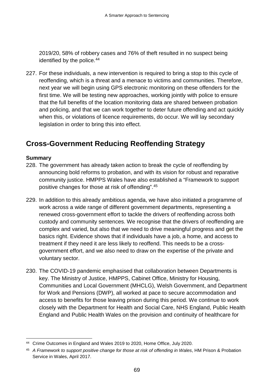2019/20, 58% of robbery cases and 76% of theft resulted in no suspect being identified by the police.<sup>[44](#page-71-0)</sup>

227. For these individuals, a new intervention is required to bring a stop to this cycle of reoffending, which is a threat and a menace to victims and communities. Therefore, next year we will begin using GPS electronic monitoring on these offenders for the first time. We will be testing new approaches, working jointly with police to ensure that the full benefits of the location monitoring data are shared between probation and policing, and that we can work together to deter future offending and act quickly when this, or violations of licence requirements, do occur. We will lay secondary legislation in order to bring this into effect.

# **Cross-Government Reducing Reoffending Strategy**

#### **Summary**

- 228. The government has already taken action to break the cycle of reoffending by announcing bold reforms to probation, and with its vision for robust and reparative community justice. HMPPS Wales have also established a "Framework to support positive changes for those at risk of offending".[45](#page-71-1)
- 229. In addition to this already ambitious agenda, we have also initiated a programme of work across a wide range of different government departments, representing a renewed cross-government effort to tackle the drivers of reoffending across both custody and community sentences. We recognise that the drivers of reoffending are complex and varied, but also that we need to drive meaningful progress and get the basics right. Evidence shows that if individuals have a job, a home, and access to treatment if they need it are less likely to reoffend. This needs to be a crossgovernment effort, and we also need to draw on the expertise of the private and voluntary sector.
- 230. The COVID-19 pandemic emphasised that collaboration between Departments is key. The Ministry of Justice, HMPPS, Cabinet Office, Ministry for Housing, Communities and Local Government (MHCLG), Welsh Government, and Department for Work and Pensions (DWP), all worked at pace to secure accommodation and access to benefits for those leaving prison during this period. We continue to work closely with the Department for Health and Social Care, NHS England, Public Health England and Public Health Wales on the provision and continuity of healthcare for

<span id="page-71-0"></span><sup>&</sup>lt;sup>44</sup> Crime Outcomes in England and Wales 2019 to 2020, Home Office, July 2020.

<span id="page-71-1"></span><sup>45</sup> *A Framework to support positive change for those at risk of offending in Wales*, HM Prison & Probation Service in Wales, April 2017.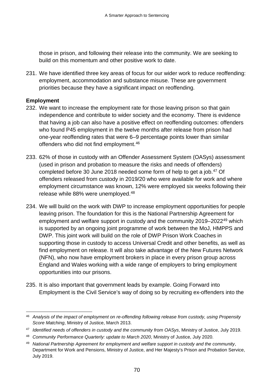those in prison, and following their release into the community. We are seeking to build on this momentum and other positive work to date.

231. We have identified three key areas of focus for our wider work to reduce reoffending: employment, accommodation and substance misuse. These are government priorities because they have a significant impact on reoffending.

# **Employment**

- 232. We want to increase the employment rate for those leaving prison so that gain independence and contribute to wider society and the economy. There is evidence that having a job can also have a positive effect on reoffending outcomes: offenders who found P45 employment in the twelve months after release from prison had one-year reoffending rates that were 6–9 percentage points lower than similar offenders who did not find employment.<sup>[46](#page-72-0)</sup>
- 233. 62% of those in custody with an Offender Assessment System (OASys) assessment (used in prison and probation to measure the risks and needs of offenders) completed before 30 June 2018 needed some form of help to get a job. [47](#page-72-1) Of offenders released from custody in 2019/20 who were available for work and where employment circumstance was known, 12% were employed six weeks following their release while 88% were unemployed.[48](#page-72-2)
- 234. We will build on the work with DWP to increase employment opportunities for people leaving prison. The foundation for this is the National Partnership Agreement for employment and welfare support in custody and the community 2019–2022[49](#page-72-3) which is supported by an ongoing joint programme of work between the MoJ, HMPPS and DWP. This joint work will build on the role of DWP Prison Work Coaches in supporting those in custody to access Universal Credit and other benefits, as well as find employment on release. It will also take advantage of the New Futures Network (NFN), who now have employment brokers in place in every prison group across England and Wales working with a wide range of employers to bring employment opportunities into our prisons.
- 235. It is also important that government leads by example. Going Forward into Employment is the Civil Service's way of doing so by recruiting ex-offenders into the

<span id="page-72-0"></span> <sup>46</sup> *Analysis of the impact of employment on re-offending following release from custody, using Propensity Score Matching*, Ministry of Justice, March 2013.

<span id="page-72-1"></span><sup>47</sup> *Identified needs of offenders in custody and the community from OASys*, Ministry of Justice, July 2019.

<span id="page-72-2"></span><sup>48</sup> *Community Performance Quarterly: update to March 2020*, Ministry of Justice, July 2020.

<span id="page-72-3"></span><sup>49</sup> *National Partnership Agreement for employment and welfare support in custody and the community*, Department for Work and Pensions, Ministry of Justice, and Her Majesty's Prison and Probation Service, July 2019.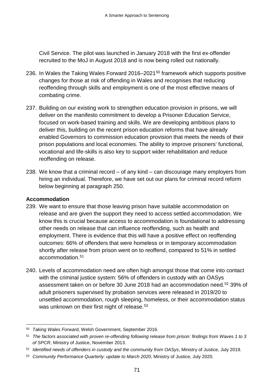Civil Service. The pilot was launched in January 2018 with the first ex-offender recruited to the MoJ in August 2018 and is now being rolled out nationally.

- 236. In Wales the Taking Wales Forward 2016–2021<sup>[50](#page-73-0)</sup> framework which supports positive changes for those at risk of offending in Wales and recognises that reducing reoffending through skills and employment is one of the most effective means of combating crime.
- 237. Building on our existing work to strengthen education provision in prisons, we will deliver on the manifesto commitment to develop a Prisoner Education Service, focused on work-based training and skills. We are developing ambitious plans to deliver this, building on the recent prison education reforms that have already enabled Governors to commission education provision that meets the needs of their prison populations and local economies. The ability to improve prisoners' functional, vocational and life-skills is also key to support wider rehabilitation and reduce reoffending on release.
- 238. We know that a criminal record of any kind can discourage many employers from hiring an individual. Therefore, we have set out our plans for criminal record reform below beginning at paragraph 250.

# **Accommodation**

- 239. We want to ensure that those leaving prison have suitable accommodation on release and are given the support they need to access settled accommodation. We know this is crucial because access to accommodation is foundational to addressing other needs on release that can influence reoffending, such as health and employment. There is evidence that this will have a positive effect on reoffending outcomes: 66% of offenders that were homeless or in temporary accommodation shortly after release from prison went on to reoffend, compared to 51% in settled accommodation.[51](#page-73-1)
- 240. Levels of accommodation need are often high amongst those that come into contact with the criminal justice system: 56% of offenders in custody with an OASys assessment taken on or before 30 June 2018 had an accommodation need.<sup>[52](#page-73-2)</sup> 39% of adult prisoners supervised by probation services were released in 2019/20 to unsettled accommodation, rough sleeping, homeless, or their accommodation status was unknown on their first night of release.<sup>[53](#page-73-3)</sup>

<span id="page-73-0"></span> <sup>50</sup> *Taking Wales Forward*, Welsh Government, September 2016.

<span id="page-73-1"></span><sup>51</sup> *The factors associated with proven re-offending following release from prison: findings from Waves 1 to 3 of SPCR*, Ministry of Justice, November 2013.

<span id="page-73-2"></span><sup>52</sup> *Identified needs of offenders in custody and the community from OASys*, Ministry of Justice, July 2019.

<span id="page-73-3"></span><sup>53</sup> *Community Performance Quarterly: update to March 2020*, Ministry of Justice, July 2020.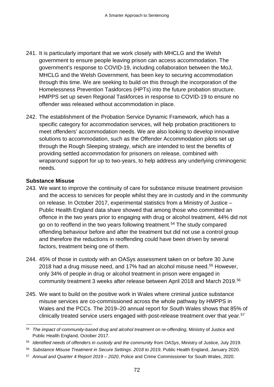- 241. It is particularly important that we work closely with MHCLG and the Welsh government to ensure people leaving prison can access accommodation. The government's response to COVID-19, including collaboration between the MoJ, MHCLG and the Welsh Government, has been key to securing accommodation through this time. We are seeking to build on this through the incorporation of the Homelessness Prevention Taskforces (HPTs) into the future probation structure. HMPPS set up seven Regional Taskforces in response to COVID-19 to ensure no offender was released without accommodation in place.
- 242. The establishment of the Probation Service Dynamic Framework, which has a specific category for accommodation services, will help probation practitioners to meet offenders' accommodation needs. We are also looking to develop innovative solutions to accommodation, such as the Offender Accommodation pilots set up through the Rough Sleeping strategy, which are intended to test the benefits of providing settled accommodation for prisoners on release, combined with wraparound support for up to two-years, to help address any underlying criminogenic needs.

#### **Substance Misuse**

- 243. We want to improve the continuity of care for substance misuse treatment provision and the access to services for people whilst they are in custody and in the community on release. In October 2017, experimental statistics from a Ministry of Justice – Public Health England data share showed that among those who committed an offence in the two years prior to engaging with drug or alcohol treatment, 44% did not go on to reoffend in the two years following treatment.[54](#page-74-0) The study compared offending behaviour before and after the treatment but did not use a control group and therefore the reductions in reoffending could have been driven by several factors, treatment being one of them.
- 244. 45% of those in custody with an OASys assessment taken on or before 30 June 2018 had a drug misuse need, and 17% had an alcohol misuse need.<sup>[55](#page-74-1)</sup> However, only 34% of people in drug or alcohol treatment in prison were engaged in community treatment 3 weeks after release between April 2018 and March 2019.[56](#page-74-2)
- 245. We want to build on the positive work in Wales where criminal justice substance misuse services are co-commissioned across the whole pathway by HMPPS in Wales and the PCCs. The 2019–20 annual report for South Wales shows that 85% of clinically treated service users engaged with post-release treatment over that year.<sup>[57](#page-74-3)</sup>

<span id="page-74-0"></span> <sup>54</sup> *The impact of community-based drug and alcohol treatment on re-offending*, Ministry of Justice and Public Health England, October 2017.

<span id="page-74-1"></span><sup>55</sup> *Identified needs of offenders in custody and the community from OASys*, Ministry of Justice, July 2019.

<span id="page-74-2"></span><sup>56</sup> *Substance Misuse Treatment in Secure Settings: 2018 to 2019*, Public Health England, January 2020.

<span id="page-74-3"></span><sup>57</sup> *Annual and Quarter 4 Report 2019 – 2020*, Police and Crime Commissioner for South Wales, 2020.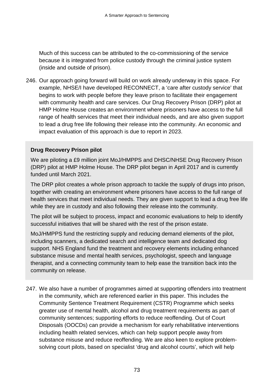Much of this success can be attributed to the co-commissioning of the service because it is integrated from police custody through the criminal justice system (inside and outside of prison).

246. Our approach going forward will build on work already underway in this space. For example, NHSE/I have developed RECONNECT, a 'care after custody service' that begins to work with people before they leave prison to facilitate their engagement with community health and care services. Our Drug Recovery Prison (DRP) pilot at HMP Holme House creates an environment where prisoners have access to the full range of health services that meet their individual needs, and are also given support to lead a drug free life following their release into the community. An economic and impact evaluation of this approach is due to report in 2023.

#### **Drug Recovery Prison pilot**

We are piloting a £9 million joint MoJ/HMPPS and DHSC/NHSE Drug Recovery Prison (DRP) pilot at HMP Holme House. The DRP pilot began in April 2017 and is currently funded until March 2021.

The DRP pilot creates a whole prison approach to tackle the supply of drugs into prison, together with creating an environment where prisoners have access to the full range of health services that meet individual needs. They are given support to lead a drug free life while they are in custody and also following their release into the community.

The pilot will be subject to process, impact and economic evaluations to help to identify successful initiatives that will be shared with the rest of the prison estate.

MoJ/HMPPS fund the restricting supply and reducing demand elements of the pilot, including scanners, a dedicated search and intelligence team and dedicated dog support. NHS England fund the treatment and recovery elements including enhanced substance misuse and mental health services, psychologist, speech and language therapist, and a connecting community team to help ease the transition back into the community on release.

247. We also have a number of programmes aimed at supporting offenders into treatment in the community, which are referenced earlier in this paper. This includes the Community Sentence Treatment Requirement (CSTR) Programme which seeks greater use of mental health, alcohol and drug treatment requirements as part of community sentences; supporting efforts to reduce reoffending. Out of Court Disposals (OOCDs) can provide a mechanism for early rehabilitative interventions including health related services, which can help support people away from substance misuse and reduce reoffending. We are also keen to explore problemsolving court pilots, based on specialist 'drug and alcohol courts', which will help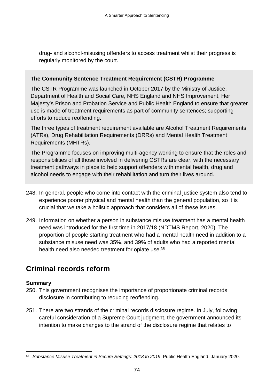drug- and alcohol-misusing offenders to access treatment whilst their progress is regularly monitored by the court.

# **The Community Sentence Treatment Requirement (CSTR) Programme**

The CSTR Programme was launched in October 2017 by the Ministry of Justice, Department of Health and Social Care, NHS England and NHS Improvement, Her Majesty's Prison and Probation Service and Public Health England to ensure that greater use is made of treatment requirements as part of community sentences; supporting efforts to reduce reoffending.

The three types of treatment requirement available are Alcohol Treatment Requirements (ATRs), Drug Rehabilitation Requirements (DRRs) and Mental Health Treatment Requirements (MHTRs).

The Programme focuses on improving multi-agency working to ensure that the roles and responsibilities of all those involved in delivering CSTRs are clear, with the necessary treatment pathways in place to help support offenders with mental health, drug and alcohol needs to engage with their rehabilitation and turn their lives around.

- 248. In general, people who come into contact with the criminal justice system also tend to experience poorer physical and mental health than the general population, so it is crucial that we take a holistic approach that considers all of these issues.
- 249. Information on whether a person in substance misuse treatment has a mental health need was introduced for the first time in 2017/18 (NDTMS Report, 2020). The proportion of people starting treatment who had a mental health need in addition to a substance misuse need was 35%, and 39% of adults who had a reported mental health need also needed treatment for opiate use.<sup>[58](#page-76-0)</sup>

# **Criminal records reform**

# **Summary**

- 250. This government recognises the importance of proportionate criminal records disclosure in contributing to reducing reoffending.
- 251. There are two strands of the criminal records disclosure regime. In July, following careful consideration of a Supreme Court judgment, the government announced its intention to make changes to the strand of the disclosure regime that relates to

<span id="page-76-0"></span> <sup>58</sup> *Substance Misuse Treatment in Secure Settings: 2018 to 2019*, Public Health England, January 2020.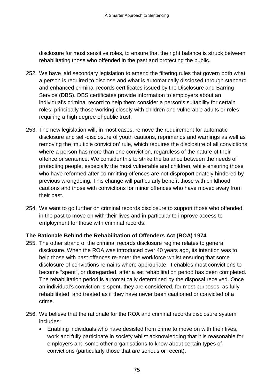disclosure for most sensitive roles, to ensure that the right balance is struck between rehabilitating those who offended in the past and protecting the public.

- 252. We have laid secondary legislation to amend the filtering rules that govern both what a person is required to disclose and what is automatically disclosed through standard and enhanced criminal records certificates issued by the Disclosure and Barring Service (DBS). DBS certificates provide information to employers about an individual's criminal record to help them consider a person's suitability for certain roles; principally those working closely with children and vulnerable adults or roles requiring a high degree of public trust.
- 253. The new legislation will, in most cases, remove the requirement for automatic disclosure and self-disclosure of youth cautions, reprimands and warnings as well as removing the 'multiple conviction' rule, which requires the disclosure of all convictions where a person has more than one conviction, regardless of the nature of their offence or sentence. We consider this to strike the balance between the needs of protecting people, especially the most vulnerable and children, while ensuring those who have reformed after committing offences are not disproportionately hindered by previous wrongdoing. This change will particularly benefit those with childhood cautions and those with convictions for minor offences who have moved away from their past.
- 254. We want to go further on criminal records disclosure to support those who offended in the past to move on with their lives and in particular to improve access to employment for those with criminal records.

#### **The Rationale Behind the Rehabilitation of Offenders Act (ROA) 1974**

- 255. The other strand of the criminal records disclosure regime relates to general disclosure. When the ROA was introduced over 40 years ago, its intention was to help those with past offences re-enter the workforce whilst ensuring that some disclosure of convictions remains where appropriate. It enables most convictions to become "spent", or disregarded, after a set rehabilitation period has been completed. The rehabilitation period is automatically determined by the disposal received. Once an individual's conviction is spent, they are considered, for most purposes, as fully rehabilitated, and treated as if they have never been cautioned or convicted of a crime.
- 256. We believe that the rationale for the ROA and criminal records disclosure system includes:
	- Enabling individuals who have desisted from crime to move on with their lives, work and fully participate in society whilst acknowledging that it is reasonable for employers and some other organisations to know about certain types of convictions (particularly those that are serious or recent).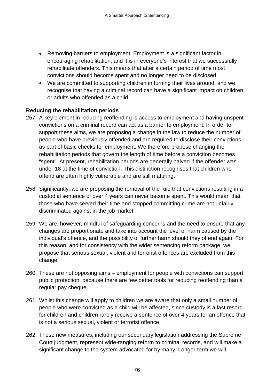- Removing barriers to employment. Employment is a significant factor in encouraging rehabilitation, and it is in everyone's interest that we successfully rehabilitate offenders. This means that after a certain period of time most convictions should become spent and no longer need to be disclosed.
- We are committed to supporting children in turning their lives around, and we recognise that having a criminal record can have a significant impact on children or adults who offended as a child.

# **Reducing the rehabilitation periods**

- 257. A key element in reducing reoffending is access to employment and having unspent convictions on a criminal record can act as a barrier to employment. In order to support these aims, we are proposing a change in the law to reduce the number of people who have previously offended and are required to disclose their convictions as part of basic checks for employment. We therefore propose changing the rehabilitation periods that govern the length of time before a conviction becomes "spent". At present, rehabilitation periods are generally halved if the offender was under 18 at the time of conviction. This distinction recognises that children who offend are often highly vulnerable and are still maturing.
- 258. Significantly, we are proposing the removal of the rule that convictions resulting in a custodial sentence of over 4 years can never become spent. This would mean that those who have served their time and stopped committing crime are not unfairly discriminated against in the job market.
- 259. We are, however, mindful of safeguarding concerns and the need to ensure that any changes are proportionate and take into account the level of harm caused by the individual's offence, and the possibility of further harm should they offend again. For this reason, and for consistency with the wider sentencing reform package, we propose that serious sexual, violent and terrorist offences are excluded from this change.
- 260. These are not opposing aims employment for people with convictions can support public protection, because there are few better tools for reducing reoffending than a regular pay cheque.
- 261. Whilst this change will apply to children we are aware that only a small number of people who were convicted as a child will be affected, since custody is a last resort for children and children rarely receive a sentence of over 4 years for an offence that is not a serious sexual, violent or terrorist offence.
- 262. These new measures, including our secondary legislation addressing the Supreme Court judgment, represent wide-ranging reform to criminal records, and will make a significant change to the system advocated for by many. Longer-term we will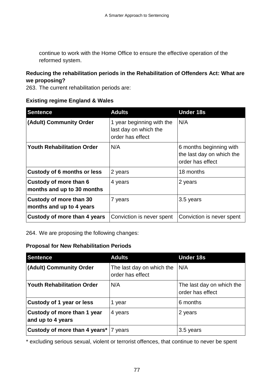continue to work with the Home Office to ensure the effective operation of the reformed system.

#### **Reducing the rehabilitation periods in the Rehabilitation of Offenders Act: What are we proposing?**

263. The current rehabilitation periods are:

# **Existing regime England & Wales**

| <b>Sentence</b>                                      | <b>Adults</b>                                                          | <b>Under 18s</b>                                                         |  |
|------------------------------------------------------|------------------------------------------------------------------------|--------------------------------------------------------------------------|--|
| (Adult) Community Order                              | 1 year beginning with the<br>last day on which the<br>order has effect | N/A                                                                      |  |
| <b>Youth Rehabilitation Order</b>                    | N/A                                                                    | 6 months beginning with<br>the last day on which the<br>order has effect |  |
| <b>Custody of 6 months or less</b>                   | 2 years                                                                | 18 months<br>2 years                                                     |  |
| Custody of more than 6<br>months and up to 30 months | 4 years                                                                |                                                                          |  |
| Custody of more than 30<br>months and up to 4 years  | 7 years                                                                | 3.5 years                                                                |  |
| Custody of more than 4 years                         | Conviction is never spent                                              | Conviction is never spent                                                |  |

264. We are proposing the following changes:

# **Proposal for New Rehabilitation Periods**

| <b>Sentence</b>                                  | <b>Adults</b>                                 | <b>Under 18s</b>                              |  |
|--------------------------------------------------|-----------------------------------------------|-----------------------------------------------|--|
| (Adult) Community Order                          | The last day on which the<br>order has effect | N/A                                           |  |
| <b>Youth Rehabilitation Order</b>                | N/A                                           | The last day on which the<br>order has effect |  |
| Custody of 1 year or less                        | year                                          | 6 months                                      |  |
| Custody of more than 1 year<br>and up to 4 years | 4 years                                       | 2 years                                       |  |
| Custody of more than 4 years*   7 years          |                                               | 3.5 years                                     |  |

\* excluding serious sexual, violent or terrorist offences, that continue to never be spent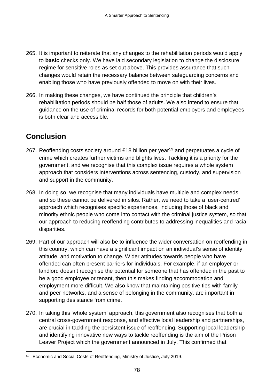- 265. It is important to reiterate that any changes to the rehabilitation periods would apply to **basic** checks only. We have laid secondary legislation to change the disclosure regime for sensitive roles as set out above. This provides assurance that such changes would retain the necessary balance between safeguarding concerns and enabling those who have previously offended to move on with their lives.
- 266. In making these changes, we have continued the principle that children's rehabilitation periods should be half those of adults. We also intend to ensure that guidance on the use of criminal records for both potential employers and employees is both clear and accessible.

# **Conclusion**

- 267. Reoffending costs society around £18 billion per year<sup>[59](#page-80-0)</sup> and perpetuates a cycle of crime which creates further victims and blights lives. Tackling it is a priority for the government, and we recognise that this complex issue requires a whole system approach that considers interventions across sentencing, custody, and supervision and support in the community.
- 268. In doing so, we recognise that many individuals have multiple and complex needs and so these cannot be delivered in silos. Rather, we need to take a 'user-centred' approach which recognises specific experiences, including those of black and minority ethnic people who come into contact with the criminal justice system, so that our approach to reducing reoffending contributes to addressing inequalities and racial disparities.
- 269. Part of our approach will also be to influence the wider conversation on reoffending in this country, which can have a significant impact on an individual's sense of identity, attitude, and motivation to change. Wider attitudes towards people who have offended can often present barriers for individuals. For example, if an employer or landlord doesn't recognise the potential for someone that has offended in the past to be a good employee or tenant, then this makes finding accommodation and employment more difficult. We also know that maintaining positive ties with family and peer networks, and a sense of belonging in the community, are important in supporting desistance from crime.
- 270. In taking this 'whole system' approach, this government also recognises that both a central cross-government response, and effective local leadership and partnerships, are crucial in tackling the persistent issue of reoffending. Supporting local leadership and identifying innovative new ways to tackle reoffending is the aim of the Prison Leaver Project which the government announced in July. This confirmed that

<span id="page-80-0"></span> <sup>59</sup> Economic and Social Costs of Reoffending, Ministry of Justice, July 2019.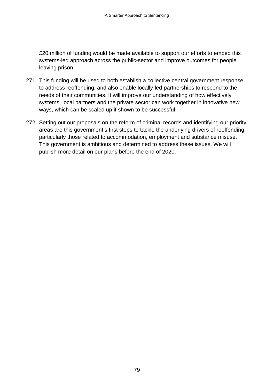£20 million of funding would be made available to support our efforts to embed this systems-led approach across the public-sector and improve outcomes for people leaving prison.

- 271. This funding will be used to both establish a collective central government response to address reoffending, and also enable locally-led partnerships to respond to the needs of their communities. It will improve our understanding of how effectively systems, local partners and the private sector can work together in innovative new ways, which can be scaled up if shown to be successful.
- 272. Setting out our proposals on the reform of criminal records and identifying our priority areas are this government's first steps to tackle the underlying drivers of reoffending; particularly those related to accommodation, employment and substance misuse. This government is ambitious and determined to address these issues. We will publish more detail on our plans before the end of 2020.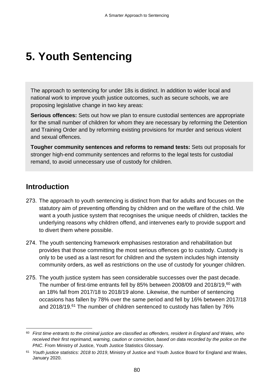# **5. Youth Sentencing**

The approach to sentencing for under 18s is distinct. In addition to wider local and national work to improve youth justice outcomes, such as secure schools, we are proposing legislative change in two key areas:

**Serious offences:** Sets out how we plan to ensure custodial sentences are appropriate for the small number of children for whom they are necessary by reforming the Detention and Training Order and by reforming existing provisions for murder and serious violent and sexual offences.

**Tougher community sentences and reforms to remand tests:** Sets out proposals for stronger high-end community sentences and reforms to the legal tests for custodial remand, to avoid unnecessary use of custody for children.

# **Introduction**

- 273. The approach to youth sentencing is distinct from that for adults and focuses on the statutory aim of preventing offending by children and on the welfare of the child. We want a youth justice system that recognises the unique needs of children, tackles the underlying reasons why children offend, and intervenes early to provide support and to divert them where possible.
- 274. The youth sentencing framework emphasises restoration and rehabilitation but provides that those committing the most serious offences go to custody. Custody is only to be used as a last resort for children and the system includes high intensity community orders, as well as restrictions on the use of custody for younger children.
- 275. The youth justice system has seen considerable successes over the past decade. The number of first-time entrants fell by 85% between 2008/09 and 2018/19, [60](#page-82-0) with an 18% fall from 2017/18 to 2018/19 alone. Likewise, the number of sentencing occasions has fallen by 78% over the same period and fell by 16% between 2017/18 and 2018/19.[61](#page-82-1) The number of children sentenced to custody has fallen by 76%

<span id="page-82-0"></span><sup>60</sup> *First time entrants to the criminal justice are classified as offenders, resident in England and Wales, who received their first reprimand, warning, caution or conviction, based on data recorded by the police on the PNC*. From Ministry of Justice, Youth Justice Statistics Glossary.

<span id="page-82-1"></span><sup>61</sup> *Youth justice statistics: 2018 to 2019*, Ministry of Justice and Youth Justice Board for England and Wales, January 2020.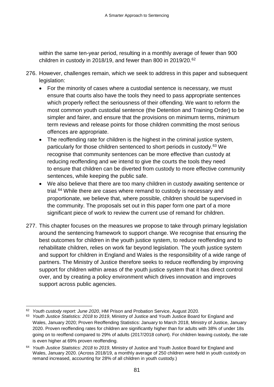within the same ten-year period, resulting in a monthly average of fewer than 900 children in custody in 2018/19, and fewer than 800 in 2019/20.[62](#page-83-0)

- 276. However, challenges remain, which we seek to address in this paper and subsequent legislation:
	- For the minority of cases where a custodial sentence is necessary, we must ensure that courts also have the tools they need to pass appropriate sentences which properly reflect the seriousness of their offending. We want to reform the most common youth custodial sentence (the Detention and Training Order) to be simpler and fairer, and ensure that the provisions on minimum terms, minimum term reviews and release points for those children committing the most serious offences are appropriate.
	- The reoffending rate for children is the highest in the criminal justice system, particularly for those children sentenced to short periods in custody.<sup>[63](#page-83-1)</sup> We recognise that community sentences can be more effective than custody at reducing reoffending and we intend to give the courts the tools they need to ensure that children can be diverted from custody to more effective community sentences, while keeping the public safe.
	- We also believe that there are too many children in custody awaiting sentence or trial.[64](#page-83-2) While there are cases where remand to custody is necessary and proportionate, we believe that, where possible, children should be supervised in the community. The proposals set out in this paper form one part of a more significant piece of work to review the current use of remand for children.
- 277. This chapter focuses on the measures we propose to take through primary legislation around the sentencing framework to support change. We recognise that ensuring the best outcomes for children in the youth justice system, to reduce reoffending and to rehabilitate children, relies on work far beyond legislation. The youth justice system and support for children in England and Wales is the responsibility of a wide range of partners. The Ministry of Justice therefore seeks to reduce reoffending by improving support for children within areas of the youth justice system that it has direct control over, and by creating a policy environment which drives innovation and improves support across public agencies.

<span id="page-83-0"></span> <sup>62</sup> *Youth custody report: June 2020*, HM Prison and Probation Service, August 2020.

<span id="page-83-1"></span><sup>63</sup> *Youth Justice Statistics: 2018 to 2019*, [Ministry of Justice and Youth Justice Board for England and](https://www.gov.uk/government/statistics/proven-reoffending-statistics-january-to-march-2018)  [Wales, January 2020; Proven Reoffending Statistics: January to March 2018,](https://www.gov.uk/government/statistics/proven-reoffending-statistics-january-to-march-2018) Ministry of Justice, January 2020. Proven reoffending rates for children are significantly higher than for adults with 38% of under 18s going on to reoffend compared to 29% of adults (2017/2018 cohort). For children leaving custody, the rate is even higher at 69% proven reoffending.

<span id="page-83-2"></span><sup>64</sup> *Youth Justice Statistics: 2018 to 2019*, Ministry of Justice and Youth Justice Board for England and Wales, January 2020. (Across 2018/19, a monthly average of 250 children were held in youth custody on remand increased, accounting for 28% of all children in youth custody.)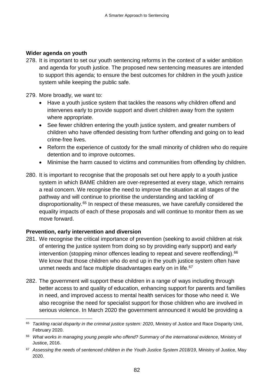#### **Wider agenda on youth**

278. It is important to set our youth sentencing reforms in the context of a wider ambition and agenda for youth justice. The proposed new sentencing measures are intended to support this agenda; to ensure the best outcomes for children in the youth justice system while keeping the public safe.

#### 279. More broadly, we want to:

- Have a youth justice system that tackles the reasons why children offend and intervenes early to provide support and divert children away from the system where appropriate.
- See fewer children entering the youth justice system, and greater numbers of children who have offended desisting from further offending and going on to lead crime-free lives.
- Reform the experience of custody for the small minority of children who do require detention and to improve outcomes.
- Minimise the harm caused to victims and communities from offending by children.
- 280. It is important to recognise that the proposals set out here apply to a youth justice system in which BAME children are over-represented at every stage, which remains a real concern. We recognise the need to improve the situation at all stages of the pathway and will continue to prioritise the understanding and tackling of disproportionality.<sup>[65](#page-84-0)</sup> In respect of these measures, we have carefully considered the equality impacts of each of these proposals and will continue to monitor them as we move forward.

# **Prevention, early intervention and diversion**

- 281. We recognise the critical importance of prevention (seeking to avoid children at risk of entering the justice system from doing so by providing early support) and early intervention (stopping minor offences leading to repeat and severe reoffending). [66](#page-84-1) We know that those children who do end up in the youth justice system often have unmet needs and face multiple disadvantages early on in life.<sup>[67](#page-84-2)</sup>
- 282. The government will support these children in a range of ways including through better access to and quality of education, enhancing support for parents and families in need, and improved access to mental health services for those who need it. We also recognise the need for specialist support for those children who are involved in serious violence. In March 2020 the government announced it would be providing a

<span id="page-84-0"></span><sup>&</sup>lt;sup>65</sup> *Tackling racial disparity in the criminal justice system: 2020*, Ministry of Justice and Race Disparity Unit, February 2020.

<span id="page-84-1"></span><sup>66</sup> *What works in managing young people who offend? Summary of the international evidence*, Ministry of Justice, 2016.

<span id="page-84-2"></span><sup>67</sup> *Assessing the needs of sentenced children in the Youth Justice System 2018/19*, Ministry of Justice, May 2020.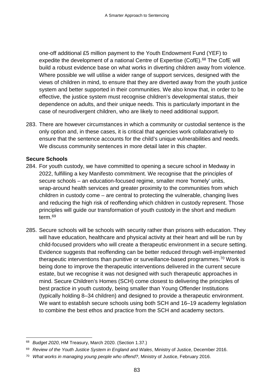one-off additional £5 million payment to the Youth Endowment Fund (YEF) to expedite the development of a national Centre of Expertise (CofE).<sup>[68](#page-85-0)</sup> The CofE will build a robust evidence base on what works in diverting children away from violence. Where possible we will utilise a wider range of support services, designed with the views of children in mind, to ensure that they are diverted away from the youth justice system and better supported in their communities. We also know that, in order to be effective, the justice system must recognise children's developmental status, their dependence on adults, and their unique needs. This is particularly important in the case of neurodivergent children, who are likely to need additional support.

283. There are however circumstances in which a community or custodial sentence is the only option and, in these cases, it is critical that agencies work collaboratively to ensure that the sentence accounts for the child's unique vulnerabilities and needs. We discuss community sentences in more detail later in this chapter.

#### **Secure Schools**

- 284. For youth custody, we have committed to opening a secure school in Medway in 2022, fulfilling a key Manifesto commitment. We recognise that the principles of secure schools – an education-focused regime, smaller more 'homely' units, wrap-around health services and greater proximity to the communities from which children in custody come – are central to protecting the vulnerable, changing lives and reducing the high risk of reoffending which children in custody represent. Those principles will guide our transformation of youth custody in the short and medium term.[69](#page-85-1)
- 285. Secure schools will be schools with security rather than prisons with education. They will have education, healthcare and physical activity at their heart and will be run by child-focused providers who will create a therapeutic environment in a secure setting. Evidence suggests that reoffending can be better reduced through well-implemented therapeutic interventions than punitive or surveillance-based programmes.[70](#page-85-2) Work is being done to improve the therapeutic interventions delivered in the current secure estate, but we recognise it was not designed with such therapeutic approaches in mind. Secure Children's Homes (SCH) come closest to delivering the principles of best practice in youth custody, being smaller than Young Offender Institutions (typically holding 8–34 children) and designed to provide a therapeutic environment. We want to establish secure schools using both SCH and 16–19 academy legislation to combine the best ethos and practice from the SCH and academy sectors.

<span id="page-85-0"></span> <sup>68</sup> *Budget 2020*, HM Treasury, March 2020. (Section 1.37.)

<span id="page-85-1"></span><sup>69</sup> *Review of the Youth Justice System in England and Wales*, Ministry of Justice, December 2016.

<span id="page-85-2"></span><sup>70</sup> *What works in managing young people who offend?*, Ministry of Justice, February 2016.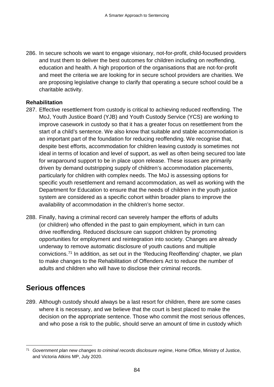286. In secure schools we want to engage visionary, not-for-profit, child-focused providers and trust them to deliver the best outcomes for children including on reoffending, education and health. A high proportion of the organisations that are not-for-profit and meet the criteria we are looking for in secure school providers are charities. We are proposing legislative change to clarify that operating a secure school could be a charitable activity.

#### **Rehabilitation**

- 287. Effective resettlement from custody is critical to achieving reduced reoffending. The MoJ, Youth Justice Board (YJB) and Youth Custody Service (YCS) are working to improve casework in custody so that it has a greater focus on resettlement from the start of a child's sentence. We also know that suitable and stable accommodation is an important part of the foundation for reducing reoffending. We recognise that, despite best efforts, accommodation for children leaving custody is sometimes not ideal in terms of location and level of support, as well as often being secured too late for wraparound support to be in place upon release. These issues are primarily driven by demand outstripping supply of children's accommodation placements, particularly for children with complex needs. The MoJ is assessing options for specific youth resettlement and remand accommodation, as well as working with the Department for Education to ensure that the needs of children in the youth justice system are considered as a specific cohort within broader plans to improve the availability of accommodation in the children's home sector.
- 288. Finally, having a criminal record can severely hamper the efforts of adults (or children) who offended in the past to gain employment, which in turn can drive reoffending. Reduced disclosure can support children by promoting opportunities for employment and reintegration into society. Changes are already underway to remove automatic disclosure of youth cautions and multiple convictions.[71](#page-86-0) In addition, as set out in the 'Reducing Reoffending' chapter, we plan to make changes to the Rehabilitation of Offenders Act to reduce the number of adults and children who will have to disclose their criminal records.

# **Serious offences**

289. Although custody should always be a last resort for children, there are some cases where it is necessary, and we believe that the court is best placed to make the decision on the appropriate sentence. Those who commit the most serious offences, and who pose a risk to the public, should serve an amount of time in custody which

<span id="page-86-0"></span> <sup>71</sup> *Government plan new changes to criminal records disclosure regime*, Home Office, Ministry of Justice, and Victoria Atkins MP, July 2020.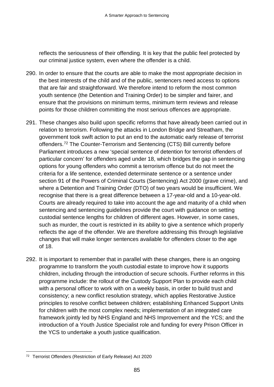reflects the seriousness of their offending. It is key that the public feel protected by our criminal justice system, even where the offender is a child.

- 290. In order to ensure that the courts are able to make the most appropriate decision in the best interests of the child and of the public, sentencers need access to options that are fair and straightforward. We therefore intend to reform the most common youth sentence (the Detention and Training Order) to be simpler and fairer, and ensure that the provisions on minimum terms, minimum term reviews and release points for those children committing the most serious offences are appropriate.
- 291. These changes also build upon specific reforms that have already been carried out in relation to terrorism. Following the attacks in London Bridge and Streatham, the government took swift action to put an end to the automatic early release of terrorist offenders.[72](#page-87-0) The Counter-Terrorism and Sentencing (CTS) Bill currently before Parliament introduces a new 'special sentence of detention for terrorist offenders of particular concern' for offenders aged under 18, which bridges the gap in sentencing options for young offenders who commit a terrorism offence but do not meet the criteria for a life sentence, extended determinate sentence or a sentence under section 91 of the Powers of Criminal Courts (Sentencing) Act 2000 (grave crime), and where a Detention and Training Order (DTO) of two years would be insufficient. We recognise that there is a great difference between a 17-year-old and a 10-year-old. Courts are already required to take into account the age and maturity of a child when sentencing and sentencing guidelines provide the court with guidance on setting custodial sentence lengths for children of different ages. However, in some cases, such as murder, the court is restricted in its ability to give a sentence which properly reflects the age of the offender. We are therefore addressing this through legislative changes that will make longer sentences available for offenders closer to the age of 18.
- 292. It is important to remember that in parallel with these changes, there is an ongoing programme to transform the youth custodial estate to improve how it supports children, including through the introduction of secure schools. Further reforms in this programme include: the rollout of the Custody Support Plan to provide each child with a personal officer to work with on a weekly basis, in order to build trust and consistency; a new conflict resolution strategy, which applies Restorative Justice principles to resolve conflict between children; establishing Enhanced Support Units for children with the most complex needs; implementation of an integrated care framework jointly led by NHS England and NHS Improvement and the YCS; and the introduction of a Youth Justice Specialist role and funding for every Prison Officer in the YCS to undertake a youth justice qualification.

<span id="page-87-0"></span> <sup>72</sup> Terrorist Offenders (Restriction of Early Release) Act 2020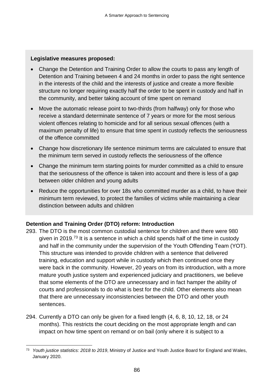#### **Legislative measures proposed:**

- Change the Detention and Training Order to allow the courts to pass any length of Detention and Training between 4 and 24 months in order to pass the right sentence in the interests of the child and the interests of justice and create a more flexible structure no longer requiring exactly half the order to be spent in custody and half in the community, and better taking account of time spent on remand
- Move the automatic release point to two-thirds (from halfway) only for those who receive a standard determinate sentence of 7 years or more for the most serious violent offences relating to homicide and for all serious sexual offences (with a maximum penalty of life) to ensure that time spent in custody reflects the seriousness of the offence committed
- Change how discretionary life sentence minimum terms are calculated to ensure that the minimum term served in custody reflects the seriousness of the offence
- Change the minimum term starting points for murder committed as a child to ensure that the seriousness of the offence is taken into account and there is less of a gap between older children and young adults
- Reduce the opportunities for over 18s who committed murder as a child, to have their minimum term reviewed, to protect the families of victims while maintaining a clear distinction between adults and children

# **Detention and Training Order (DTO) reform: Introduction**

- 293. The DTO is the most common custodial sentence for children and there were 980 given in 2019.[73](#page-88-0) It is a sentence in which a child spends half of the time in custody and half in the community under the supervision of the Youth Offending Team (YOT). This structure was intended to provide children with a sentence that delivered training, education and support while in custody which then continued once they were back in the community. However, 20 years on from its introduction, with a more mature youth justice system and experienced judiciary and practitioners, we believe that some elements of the DTO are unnecessary and in fact hamper the ability of courts and professionals to do what is best for the child. Other elements also mean that there are unnecessary inconsistencies between the DTO and other youth sentences.
- 294. Currently a DTO can only be given for a fixed length (4, 6, 8, 10, 12, 18, or 24 months). This restricts the court deciding on the most appropriate length and can impact on how time spent on remand or on bail (only where it is subject to a

<span id="page-88-0"></span> <sup>73</sup> *Youth justice statistics: 2018 to 2019*, Ministry of Justice and Youth Justice Board for England and Wales, January 2020.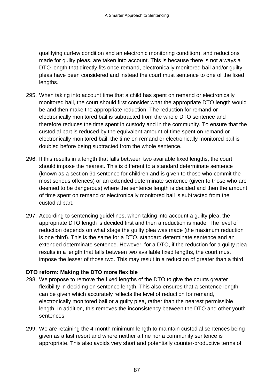qualifying curfew condition and an electronic monitoring condition), and reductions made for guilty pleas, are taken into account. This is because there is not always a DTO length that directly fits once remand, electronically monitored bail and/or guilty pleas have been considered and instead the court must sentence to one of the fixed lengths.

- 295. When taking into account time that a child has spent on remand or electronically monitored bail, the court should first consider what the appropriate DTO length would be and then make the appropriate reduction. The reduction for remand or electronically monitored bail is subtracted from the whole DTO sentence and therefore reduces the time spent in custody and in the community. To ensure that the custodial part is reduced by the equivalent amount of time spent on remand or electronically monitored bail, the time on remand or electronically monitored bail is doubled before being subtracted from the whole sentence.
- 296. If this results in a length that falls between two available fixed lengths, the court should impose the nearest. This is different to a standard determinate sentence (known as a section 91 sentence for children and is given to those who commit the most serious offences) or an extended determinate sentence (given to those who are deemed to be dangerous) where the sentence length is decided and then the amount of time spent on remand or electronically monitored bail is subtracted from the custodial part.
- 297. According to sentencing guidelines, when taking into account a guilty plea, the appropriate DTO length is decided first and then a reduction is made. The level of reduction depends on what stage the guilty plea was made (the maximum reduction is one third). This is the same for a DTO, standard determinate sentence and an extended determinate sentence. However, for a DTO, if the reduction for a guilty plea results in a length that falls between two available fixed lengths, the court must impose the lesser of those two. This may result in a reduction of greater than a third.

# **DTO reform: Making the DTO more flexible**

- 298. We propose to remove the fixed lengths of the DTO to give the courts greater flexibility in deciding on sentence length. This also ensures that a sentence length can be given which accurately reflects the level of reduction for remand, electronically monitored bail or a guilty plea, rather than the nearest permissible length. In addition, this removes the inconsistency between the DTO and other youth sentences.
- 299. We are retaining the 4-month minimum length to maintain custodial sentences being given as a last resort and where neither a fine nor a community sentence is appropriate. This also avoids very short and potentially counter-productive terms of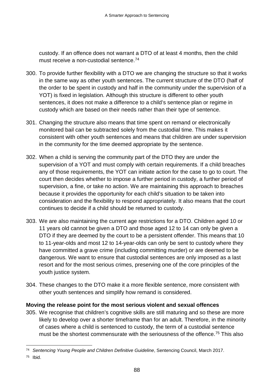custody. If an offence does not warrant a DTO of at least 4 months, then the child must receive a non-custodial sentence.<sup>[74](#page-90-0)</sup>

- 300. To provide further flexibility with a DTO we are changing the structure so that it works in the same way as other youth sentences. The current structure of the DTO (half of the order to be spent in custody and half in the community under the supervision of a YOT) is fixed in legislation. Although this structure is different to other youth sentences, it does not make a difference to a child's sentence plan or regime in custody which are based on their needs rather than their type of sentence.
- 301. Changing the structure also means that time spent on remand or electronically monitored bail can be subtracted solely from the custodial time. This makes it consistent with other youth sentences and means that children are under supervision in the community for the time deemed appropriate by the sentence.
- 302. When a child is serving the community part of the DTO they are under the supervision of a YOT and must comply with certain requirements. If a child breaches any of those requirements, the YOT can initiate action for the case to go to court. The court then decides whether to impose a further period in custody, a further period of supervision, a fine, or take no action. We are maintaining this approach to breaches because it provides the opportunity for each child's situation to be taken into consideration and the flexibility to respond appropriately. It also means that the court continues to decide if a child should be returned to custody.
- 303. We are also maintaining the current age restrictions for a DTO. Children aged 10 or 11 years old cannot be given a DTO and those aged 12 to 14 can only be given a DTO if they are deemed by the court to be a persistent offender. This means that 10 to 11-year-olds and most 12 to 14-year-olds can only be sent to custody where they have committed a grave crime (including committing murder) or are deemed to be dangerous. We want to ensure that custodial sentences are only imposed as a last resort and for the most serious crimes, preserving one of the core principles of the youth justice system.
- 304. These changes to the DTO make it a more flexible sentence, more consistent with other youth sentences and simplify how remand is considered.

#### **Moving the release point for the most serious violent and sexual offences**

305. We recognise that children's cognitive skills are still maturing and so these are more likely to develop over a shorter timeframe than for an adult. Therefore, in the minority of cases where a child is sentenced to custody, the term of a custodial sentence must be the shortest commensurate with the seriousness of the offence.<sup>[75](#page-90-1)</sup> This also

<span id="page-90-0"></span> <sup>74</sup> *Sentencing Young People and Children Definitive Guideline*, Sentencing Council, March 2017.

<span id="page-90-1"></span><sup>75</sup> Ibid.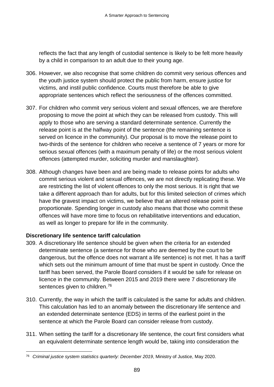reflects the fact that any length of custodial sentence is likely to be felt more heavily by a child in comparison to an adult due to their young age.

- 306. However, we also recognise that some children do commit very serious offences and the youth justice system should protect the public from harm, ensure justice for victims, and instil public confidence. Courts must therefore be able to give appropriate sentences which reflect the seriousness of the offences committed.
- 307. For children who commit very serious violent and sexual offences, we are therefore proposing to move the point at which they can be released from custody. This will apply to those who are serving a standard determinate sentence. Currently the release point is at the halfway point of the sentence (the remaining sentence is served on licence in the community). Our proposal is to move the release point to two-thirds of the sentence for children who receive a sentence of 7 years or more for serious sexual offences (with a maximum penalty of life) or the most serious violent offences (attempted murder, soliciting murder and manslaughter).
- 308. Although changes have been and are being made to release points for adults who commit serious violent and sexual offences, we are not directly replicating these. We are restricting the list of violent offences to only the most serious. It is right that we take a different approach than for adults, but for this limited selection of crimes which have the gravest impact on victims, we believe that an altered release point is proportionate. Spending longer in custody also means that those who commit these offences will have more time to focus on rehabilitative interventions and education, as well as longer to prepare for life in the community.

# **Discretionary life sentence tariff calculation**

- 309. A discretionary life sentence should be given when the criteria for an extended determinate sentence (a sentence for those who are deemed by the court to be dangerous, but the offence does not warrant a life sentence) is not met. It has a tariff which sets out the minimum amount of time that must be spent in custody. Once the tariff has been served, the Parole Board considers if it would be safe for release on licence in the community. Between 2015 and 2019 there were 7 discretionary life sentences given to children.<sup>[76](#page-91-0)</sup>
- 310. Currently, the way in which the tariff is calculated is the same for adults and children. This calculation has led to an anomaly between the discretionary life sentence and an extended determinate sentence (EDS) in terms of the earliest point in the sentence at which the Parole Board can consider release from custody.
- 311. When setting the tariff for a discretionary life sentence, the court first considers what an equivalent determinate sentence length would be, taking into consideration the

<span id="page-91-0"></span> <sup>76</sup> *Criminal justice system statistics quarterly: December 2019*, Ministry of Justice, May 2020.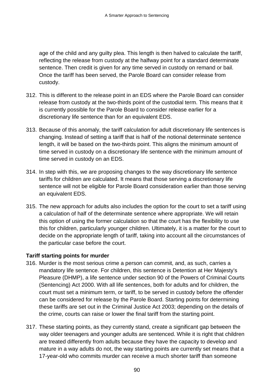age of the child and any guilty plea. This length is then halved to calculate the tariff, reflecting the release from custody at the halfway point for a standard determinate sentence. Then credit is given for any time served in custody on remand or bail. Once the tariff has been served, the Parole Board can consider release from custody.

- 312. This is different to the release point in an EDS where the Parole Board can consider release from custody at the two-thirds point of the custodial term. This means that it is currently possible for the Parole Board to consider release earlier for a discretionary life sentence than for an equivalent EDS.
- 313. Because of this anomaly, the tariff calculation for adult discretionary life sentences is changing. Instead of setting a tariff that is half of the notional determinate sentence length, it will be based on the two-thirds point. This aligns the minimum amount of time served in custody on a discretionary life sentence with the minimum amount of time served in custody on an EDS.
- 314. In step with this, we are proposing changes to the way discretionary life sentence tariffs for children are calculated. It means that those serving a discretionary life sentence will not be eligible for Parole Board consideration earlier than those serving an equivalent EDS.
- 315. The new approach for adults also includes the option for the court to set a tariff using a calculation of half of the determinate sentence where appropriate. We will retain this option of using the former calculation so that the court has the flexibility to use this for children, particularly younger children. Ultimately, it is a matter for the court to decide on the appropriate length of tariff, taking into account all the circumstances of the particular case before the court.

# **Tariff starting points for murder**

- 316. Murder is the most serious crime a person can commit, and, as such, carries a mandatory life sentence. For children, this sentence is Detention at Her Majesty's Pleasure (DHMP), a life sentence under section 90 of the Powers of Criminal Courts (Sentencing) Act 2000. With all life sentences, both for adults and for children, the court must set a minimum term, or tariff, to be served in custody before the offender can be considered for release by the Parole Board. Starting points for determining these tariffs are set out in the Criminal Justice Act 2003; depending on the details of the crime, courts can raise or lower the final tariff from the starting point.
- 317. These starting points, as they currently stand, create a significant gap between the way older teenagers and younger adults are sentenced. While it is right that children are treated differently from adults because they have the capacity to develop and mature in a way adults do not, the way starting points are currently set means that a 17-year-old who commits murder can receive a much shorter tariff than someone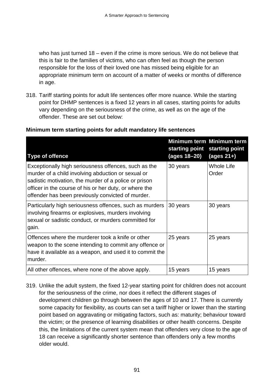who has just turned 18 – even if the crime is more serious. We do not believe that this is fair to the families of victims, who can often feel as though the person responsible for the loss of their loved one has missed being eligible for an appropriate minimum term on account of a matter of weeks or months of difference in age.

318. Tariff starting points for adult life sentences offer more nuance. While the starting point for DHMP sentences is a fixed 12 years in all cases, starting points for adults vary depending on the seriousness of the crime, as well as on the age of the offender. These are set out below:

| <b>Type of offence</b>                                                                                                                                                                                                                                                             | starting point<br>(ages 18-20) | Minimum term Minimum term<br>starting point<br>(ages $21+$ ) |
|------------------------------------------------------------------------------------------------------------------------------------------------------------------------------------------------------------------------------------------------------------------------------------|--------------------------------|--------------------------------------------------------------|
| Exceptionally high seriousness offences, such as the<br>murder of a child involving abduction or sexual or<br>sadistic motivation, the murder of a police or prison<br>officer in the course of his or her duty, or where the<br>offender has been previously convicted of murder. | 30 years                       | Whole Life<br>Order                                          |
| Particularly high seriousness offences, such as murders<br>involving firearms or explosives, murders involving<br>sexual or sadistic conduct, or murders committed for<br>gain.                                                                                                    | 30 years                       | 30 years                                                     |
| Offences where the murderer took a knife or other<br>weapon to the scene intending to commit any offence or<br>have it available as a weapon, and used it to commit the<br>murder.                                                                                                 | 25 years                       | 25 years                                                     |
| All other offences, where none of the above apply.                                                                                                                                                                                                                                 | 15 years                       | 15 years                                                     |

#### **Minimum term starting points for adult mandatory life sentences**

319. Unlike the adult system, the fixed 12-year starting point for children does not account for the seriousness of the crime, nor does it reflect the different stages of development children go through between the ages of 10 and 17. There is currently some capacity for flexibility, as courts can set a tariff higher or lower than the starting point based on aggravating or mitigating factors, such as: maturity; behaviour toward the victim; or the presence of learning disabilities or other health concerns. Despite this, the limitations of the current system mean that offenders very close to the age of 18 can receive a significantly shorter sentence than offenders only a few months older would.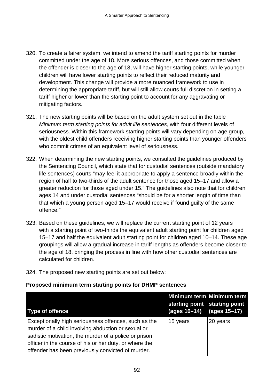- 320. To create a fairer system, we intend to amend the tariff starting points for murder committed under the age of 18. More serious offences, and those committed when the offender is closer to the age of 18, will have higher starting points, while younger children will have lower starting points to reflect their reduced maturity and development. This change will provide a more nuanced framework to use in determining the appropriate tariff, but will still allow courts full discretion in setting a tariff higher or lower than the starting point to account for any aggravating or mitigating factors.
- 321. The new starting points will be based on the adult system set out in the table *Minimum term starting points for adult life sentences,* with four different levels of seriousness. Within this framework starting points will vary depending on age group, with the oldest child offenders receiving higher starting points than younger offenders who commit crimes of an equivalent level of seriousness.
- 322. When determining the new starting points, we consulted the guidelines produced by the Sentencing Council, which state that for custodial sentences (outside mandatory life sentences) courts "may feel it appropriate to apply a sentence broadly within the region of half to two-thirds of the adult sentence for those aged 15–17 and allow a greater reduction for those aged under 15." The guidelines also note that for children ages 14 and under custodial sentences "should be for a shorter length of time than that which a young person aged 15–17 would receive if found guilty of the same offence."
- 323. Based on these guidelines, we will replace the current starting point of 12 years with a starting point of two-thirds the equivalent adult starting point for children aged 15–17 and half the equivalent adult starting point for children aged 10–14. These age groupings will allow a gradual increase in tariff lengths as offenders become closer to the age of 18, bringing the process in line with how other custodial sentences are calculated for children.
- 324. The proposed new starting points are set out below:

#### **Proposed minimum term starting points for DHMP sentences**

| <b>Type of offence</b>                                                                                                                                                                                                                                                             | starting point starting point<br>(ages 10–14) | Minimum term Minimum term<br>(ages 15-17) |
|------------------------------------------------------------------------------------------------------------------------------------------------------------------------------------------------------------------------------------------------------------------------------------|-----------------------------------------------|-------------------------------------------|
| Exceptionally high seriousness offences, such as the<br>murder of a child involving abduction or sexual or<br>sadistic motivation, the murder of a police or prison<br>officer in the course of his or her duty, or where the<br>offender has been previously convicted of murder. | 15 years                                      | 20 years                                  |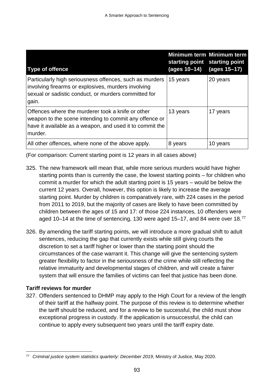| Type of offence                                                                                                                                                                    | starting point starting point<br>(ages 10–14) | Minimum term Minimum term<br>(ages 15–17) |
|------------------------------------------------------------------------------------------------------------------------------------------------------------------------------------|-----------------------------------------------|-------------------------------------------|
| Particularly high seriousness offences, such as murders<br>involving firearms or explosives, murders involving<br>sexual or sadistic conduct, or murders committed for<br>gain.    | 15 years                                      | 20 years                                  |
| Offences where the murderer took a knife or other<br>weapon to the scene intending to commit any offence or<br>have it available as a weapon, and used it to commit the<br>murder. | 13 years                                      | 17 years                                  |
| All other offences, where none of the above apply.                                                                                                                                 | 8 years                                       | 10 years                                  |

(For comparison: Current starting point is 12 years in all cases above)

- 325. The new framework will mean that, while more serious murders would have higher starting points than is currently the case, the lowest starting points – for children who commit a murder for which the adult starting point is 15 years – would be below the current 12 years. Overall, however, this option is likely to increase the average starting point. Murder by children is comparatively rare, with 224 cases in the period from 2011 to 2019, but the majority of cases are likely to have been committed by children between the ages of 15 and 17: of those 224 instances, 10 offenders were aged 10–14 at the time of sentencing, 130 were aged 15–17, and 84 were over 18.[77](#page-95-0)
- 326. By amending the tariff starting points, we will introduce a more gradual shift to adult sentences, reducing the gap that currently exists while still giving courts the discretion to set a tariff higher or lower than the starting point should the circumstances of the case warrant it. This change will give the sentencing system greater flexibility to factor in the seriousness of the crime while still reflecting the relative immaturity and developmental stages of children, and will create a fairer system that will ensure the families of victims can feel that justice has been done.

# **Tariff reviews for murder**

327. Offenders sentenced to DHMP may apply to the High Court for a review of the length of their tariff at the halfway point. The purpose of this review is to determine whether the tariff should be reduced, and for a review to be successful, the child must show exceptional progress in custody. If the application is unsuccessful, the child can continue to apply every subsequent two years until the tariff expiry date.

<span id="page-95-0"></span> <sup>77</sup> *Criminal justice system statistics quarterly: December 2019*, Ministry of Justice, May 2020.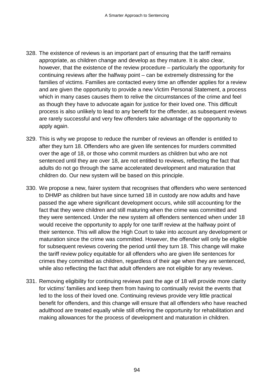- 328. The existence of reviews is an important part of ensuring that the tariff remains appropriate, as children change and develop as they mature. It is also clear, however, that the existence of the review procedure – particularly the opportunity for continuing reviews after the halfway point – can be extremely distressing for the families of victims. Families are contacted every time an offender applies for a review and are given the opportunity to provide a new Victim Personal Statement, a process which in many cases causes them to relive the circumstances of the crime and feel as though they have to advocate again for justice for their loved one. This difficult process is also unlikely to lead to any benefit for the offender, as subsequent reviews are rarely successful and very few offenders take advantage of the opportunity to apply again.
- 329. This is why we propose to reduce the number of reviews an offender is entitled to after they turn 18. Offenders who are given life sentences for murders committed over the age of 18, or those who commit murders as children but who are not sentenced until they are over 18, are not entitled to reviews, reflecting the fact that adults do not go through the same accelerated development and maturation that children do. Our new system will be based on this principle.
- 330. We propose a new, fairer system that recognises that offenders who were sentenced to DHMP as children but have since turned 18 in custody are now adults and have passed the age where significant development occurs, while still accounting for the fact that they were children and still maturing when the crime was committed and they were sentenced. Under the new system all offenders sentenced when under 18 would receive the opportunity to apply for one tariff review at the halfway point of their sentence. This will allow the High Court to take into account any development or maturation since the crime was committed. However, the offender will only be eligible for subsequent reviews covering the period until they turn 18. This change will make the tariff review policy equitable for all offenders who are given life sentences for crimes they committed as children, regardless of their age when they are sentenced, while also reflecting the fact that adult offenders are not eligible for any reviews.
- 331. Removing eligibility for continuing reviews past the age of 18 will provide more clarity for victims' families and keep them from having to continually revisit the events that led to the loss of their loved one. Continuing reviews provide very little practical benefit for offenders, and this change will ensure that all offenders who have reached adulthood are treated equally while still offering the opportunity for rehabilitation and making allowances for the process of development and maturation in children.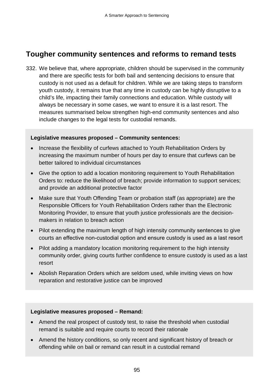# **Tougher community sentences and reforms to remand tests**

332. We believe that, where appropriate, children should be supervised in the community and there are specific tests for both bail and sentencing decisions to ensure that custody is not used as a default for children. While we are taking steps to transform youth custody, it remains true that any time in custody can be highly disruptive to a child's life, impacting their family connections and education. While custody will always be necessary in some cases, we want to ensure it is a last resort. The measures summarised below strengthen high-end community sentences and also include changes to the legal tests for custodial remands.

#### **Legislative measures proposed – Community sentences:**

- Increase the flexibility of curfews attached to Youth Rehabilitation Orders by increasing the maximum number of hours per day to ensure that curfews can be better tailored to individual circumstances
- Give the option to add a location monitoring requirement to Youth Rehabilitation Orders to: reduce the likelihood of breach; provide information to support services; and provide an additional protective factor
- Make sure that Youth Offending Team or probation staff (as appropriate) are the Responsible Officers for Youth Rehabilitation Orders rather than the Electronic Monitoring Provider, to ensure that youth justice professionals are the decisionmakers in relation to breach action
- Pilot extending the maximum length of high intensity community sentences to give courts an effective non-custodial option and ensure custody is used as a last resort
- Pilot adding a mandatory location monitoring requirement to the high intensity community order, giving courts further confidence to ensure custody is used as a last resort
- Abolish Reparation Orders which are seldom used, while inviting views on how reparation and restorative justice can be improved

#### **Legislative measures proposed – Remand:**

- Amend the real prospect of custody test, to raise the threshold when custodial remand is suitable and require courts to record their rationale
- Amend the history conditions, so only recent and significant history of breach or offending while on bail or remand can result in a custodial remand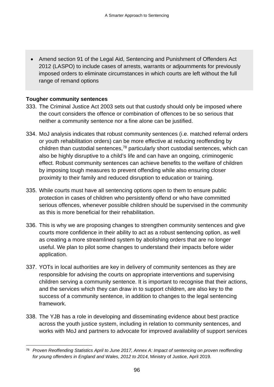• Amend section 91 of the Legal Aid, Sentencing and Punishment of Offenders Act 2012 (LASPO) to include cases of arrests, warrants or adjournments for previously imposed orders to eliminate circumstances in which courts are left without the full range of remand options

#### **Tougher community sentences**

- 333. The Criminal Justice Act 2003 sets out that custody should only be imposed where the court considers the offence or combination of offences to be so serious that neither a community sentence nor a fine alone can be justified.
- 334. MoJ analysis indicates that robust community sentences (i.e. matched referral orders or youth rehabilitation orders) can be more effective at reducing reoffending by children than custodial sentences,<sup>[78](#page-98-0)</sup> particularly short custodial sentences, which can also be highly disruptive to a child's life and can have an ongoing, criminogenic effect. Robust community sentences can achieve benefits to the welfare of children by imposing tough measures to prevent offending while also ensuring closer proximity to their family and reduced disruption to education or training.
- 335. While courts must have all sentencing options open to them to ensure public protection in cases of children who persistently offend or who have committed serious offences, whenever possible children should be supervised in the community as this is more beneficial for their rehabilitation.
- 336. This is why we are proposing changes to strengthen community sentences and give courts more confidence in their ability to act as a robust sentencing option, as well as creating a more streamlined system by abolishing orders that are no longer useful. We plan to pilot some changes to understand their impacts before wider application.
- 337. YOTs in local authorities are key in delivery of community sentences as they are responsible for advising the courts on appropriate interventions and supervising children serving a community sentence. It is important to recognise that their actions, and the services which they can draw in to support children, are also key to the success of a community sentence, in addition to changes to the legal sentencing framework.
- 338. The YJB has a role in developing and disseminating evidence about best practice across the youth justice system, including in relation to community sentences, and works with MoJ and partners to advocate for improved availability of support services

<span id="page-98-0"></span><sup>78</sup> *Proven Reoffending Statistics April to June 2017, Annex A: Impact of sentencing on proven reoffending for young offenders in England and Wales, 2012 to 2014*, Ministry of Justice, April 2019.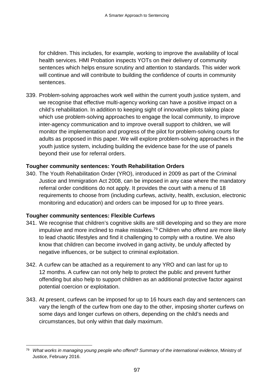for children. This includes, for example, working to improve the availability of local health services. HMI Probation inspects YOTs on their delivery of community sentences which helps ensure scrutiny and attention to standards. This wider work will continue and will contribute to building the confidence of courts in community sentences.

339. Problem-solving approaches work well within the current youth justice system, and we recognise that effective multi-agency working can have a positive impact on a child's rehabilitation. In addition to keeping sight of innovative pilots taking place which use problem-solving approaches to engage the local community, to improve inter-agency communication and to improve overall support to children, we will monitor the implementation and progress of the pilot for problem-solving courts for adults as proposed in this paper. We will explore problem-solving approaches in the youth justice system, including building the evidence base for the use of panels beyond their use for referral orders.

# **Tougher community sentences: Youth Rehabilitation Orders**

340. The Youth Rehabilitation Order (YRO), introduced in 2009 as part of the Criminal Justice and Immigration Act 2008, can be imposed in any case where the mandatory referral order conditions do not apply. It provides the court with a menu of 18 requirements to choose from (including curfews, activity, health, exclusion, electronic monitoring and education) and orders can be imposed for up to three years.

# **Tougher community sentences: Flexible Curfews**

- 341. We recognise that children's cognitive skills are still developing and so they are more impulsive and more inclined to make mistakes.<sup>[79](#page-99-0)</sup> Children who offend are more likely to lead chaotic lifestyles and find it challenging to comply with a routine. We also know that children can become involved in gang activity, be unduly affected by negative influences, or be subject to criminal exploitation.
- 342. A curfew can be attached as a requirement to any YRO and can last for up to 12 months. A curfew can not only help to protect the public and prevent further offending but also help to support children as an additional protective factor against potential coercion or exploitation.
- 343. At present, curfews can be imposed for up to 16 hours each day and sentencers can vary the length of the curfew from one day to the other, imposing shorter curfews on some days and longer curfews on others, depending on the child's needs and circumstances, but only within that daily maximum.

<span id="page-99-0"></span> <sup>79</sup> *What works in managing young people who offend? Summary of the international evidence*, Ministry of Justice, February 2016.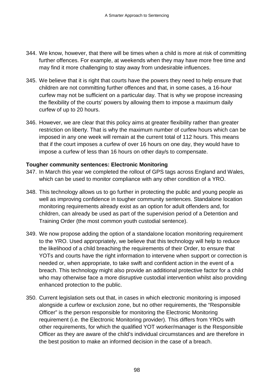- 344. We know, however, that there will be times when a child is more at risk of committing further offences. For example, at weekends when they may have more free time and may find it more challenging to stay away from undesirable influences.
- 345. We believe that it is right that courts have the powers they need to help ensure that children are not committing further offences and that, in some cases, a 16-hour curfew may not be sufficient on a particular day. That is why we propose increasing the flexibility of the courts' powers by allowing them to impose a maximum daily curfew of up to 20 hours.
- 346. However, we are clear that this policy aims at greater flexibility rather than greater restriction on liberty. That is why the maximum number of curfew hours which can be imposed in any one week will remain at the current total of 112 hours. This means that if the court imposes a curfew of over 16 hours on one day, they would have to impose a curfew of less than 16 hours on other day/s to compensate.

#### **Tougher community sentences: Electronic Monitoring**

- 347. In March this year we completed the rollout of GPS tags across England and Wales, which can be used to monitor compliance with any other condition of a YRO.
- 348. This technology allows us to go further in protecting the public and young people as well as improving confidence in tougher community sentences. Standalone location monitoring requirements already exist as an option for adult offenders and, for children, can already be used as part of the supervision period of a Detention and Training Order (the most common youth custodial sentence).
- 349. We now propose adding the option of a standalone location monitoring requirement to the YRO. Used appropriately, we believe that this technology will help to reduce the likelihood of a child breaching the requirements of their Order, to ensure that YOTs and courts have the right information to intervene when support or correction is needed or, when appropriate, to take swift and confident action in the event of a breach. This technology might also provide an additional protective factor for a child who may otherwise face a more disruptive custodial intervention whilst also providing enhanced protection to the public.
- 350. Current legislation sets out that, in cases in which electronic monitoring is imposed alongside a curfew or exclusion zone, but no other requirements, the "Responsible Officer" is the person responsible for monitoring the Electronic Monitoring requirement (i.e. the Electronic Monitoring provider). This differs from YROs with other requirements, for which the qualified YOT worker/manager is the Responsible Officer as they are aware of the child's individual circumstances and are therefore in the best position to make an informed decision in the case of a breach.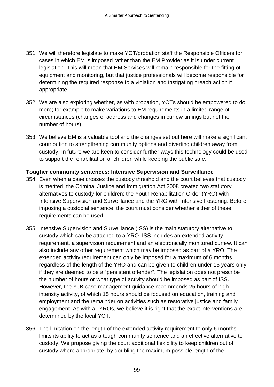- 351. We will therefore legislate to make YOT/probation staff the Responsible Officers for cases in which EM is imposed rather than the EM Provider as it is under current legislation. This will mean that EM Services will remain responsible for the fitting of equipment and monitoring, but that justice professionals will become responsible for determining the required response to a violation and instigating breach action if appropriate.
- 352. We are also exploring whether, as with probation, YOTs should be empowered to do more; for example to make variations to EM requirements in a limited range of circumstances (changes of address and changes in curfew timings but not the number of hours).
- 353. We believe EM is a valuable tool and the changes set out here will make a significant contribution to strengthening community options and diverting children away from custody. In future we are keen to consider further ways this technology could be used to support the rehabilitation of children while keeping the public safe.

#### **Tougher community sentences: Intensive Supervision and Surveillance**

- 354. Even when a case crosses the custody threshold and the court believes that custody is merited, the Criminal Justice and Immigration Act 2008 created two statutory alternatives to custody for children; the Youth Rehabilitation Order (YRO) with Intensive Supervision and Surveillance and the YRO with Intensive Fostering. Before imposing a custodial sentence, the court must consider whether either of these requirements can be used.
- 355. Intensive Supervision and Surveillance (ISS) is the main statutory alternative to custody which can be attached to a YRO. ISS includes an extended activity requirement, a supervision requirement and an electronically monitored curfew. It can also include any other requirement which may be imposed as part of a YRO. The extended activity requirement can only be imposed for a maximum of 6 months regardless of the length of the YRO and can be given to children under 15 years only if they are deemed to be a "persistent offender". The legislation does not prescribe the number of hours or what type of activity should be imposed as part of ISS. However, the YJB case management guidance recommends 25 hours of highintensity activity, of which 15 hours should be focused on education, training and employment and the remainder on activities such as restorative justice and family engagement. As with all YROs, we believe it is right that the exact interventions are determined by the local YOT.
- 356. The limitation on the length of the extended activity requirement to only 6 months limits its ability to act as a tough community sentence and an effective alternative to custody. We propose giving the court additional flexibility to keep children out of custody where appropriate, by doubling the maximum possible length of the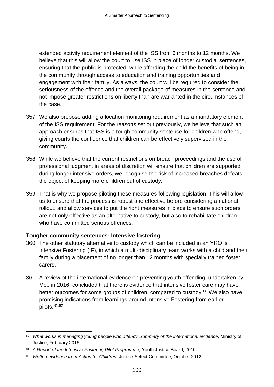extended activity requirement element of the ISS from 6 months to 12 months. We believe that this will allow the court to use ISS in place of longer custodial sentences, ensuring that the public is protected, while affording the child the benefits of being in the community through access to education and training opportunities and engagement with their family. As always, the court will be required to consider the seriousness of the offence and the overall package of measures in the sentence and not impose greater restrictions on liberty than are warranted in the circumstances of the case.

- 357. We also propose adding a location monitoring requirement as a mandatory element of the ISS requirement. For the reasons set out previously, we believe that such an approach ensures that ISS is a tough community sentence for children who offend, giving courts the confidence that children can be effectively supervised in the community.
- 358. While we believe that the current restrictions on breach proceedings and the use of professional judgment in areas of discretion will ensure that children are supported during longer intensive orders, we recognise the risk of increased breaches defeats the object of keeping more children out of custody.
- 359. That is why we propose piloting these measures following legislation. This will allow us to ensure that the process is robust and effective before considering a national rollout, and allow services to put the right measures in place to ensure such orders are not only effective as an alternative to custody, but also to rehabilitate children who have committed serious offences.

#### **Tougher community sentences: Intensive fostering**

- 360. The other statutory alternative to custody which can be included in an YRO is Intensive Fostering (IF), in which a multi-disciplinary team works with a child and their family during a placement of no longer than 12 months with specially trained foster carers.
- 361. A review of the international evidence on preventing youth offending, undertaken by MoJ in 2016, concluded that there is evidence that intensive foster care may have better outcomes for some groups of children, compared to custody.<sup>[80](#page-102-0)</sup> We also have promising indications from learnings around Intensive Fostering from earlier pilots.[81,](#page-102-1)[82](#page-102-2)

<span id="page-102-0"></span> <sup>80</sup> *[What works in managing young people who offend? Summary of the international evidence](https://www.gov.uk/government/publications/what-works-in-managing-young-people-who-offend)*, Ministry of Justice, February 2016.

<span id="page-102-1"></span><sup>81</sup> *A Report of the Intensive Fostering Pilot Programme*, Youth Justice Board, 2010.

<span id="page-102-2"></span><sup>82</sup> *Written evidence from Action for Children*, Justice Select Committee, October 2012.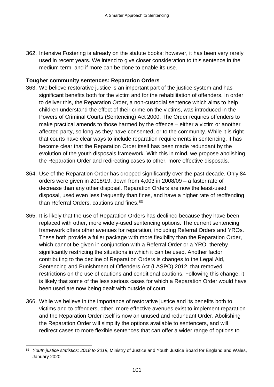362. Intensive Fostering is already on the statute books; however, it has been very rarely used in recent years. We intend to give closer consideration to this sentence in the medium term, and if more can be done to enable its use.

#### **Tougher community sentences: Reparation Orders**

- 363. We believe restorative justice is an important part of the justice system and has significant benefits both for the victim and for the rehabilitation of offenders. In order to deliver this, the Reparation Order, a non-custodial sentence which aims to help children understand the effect of their crime on the victims, was introduced in the Powers of Criminal Courts (Sentencing) Act 2000. The Order requires offenders to make practical amends to those harmed by the offence – either a victim or another affected party, so long as they have consented, or to the community. While it is right that courts have clear ways to include reparation requirements in sentencing, it has become clear that the Reparation Order itself has been made redundant by the evolution of the youth disposals framework. With this in mind, we propose abolishing the Reparation Order and redirecting cases to other, more effective disposals.
- 364. Use of the Reparation Order has dropped significantly over the past decade. Only 84 orders were given in 2018/19, down from 4,003 in 2008/09 – a faster rate of decrease than any other disposal. Reparation Orders are now the least-used disposal, used even less frequently than fines, and have a higher rate of reoffending than Referral Orders, cautions and fines.<sup>[83](#page-103-0)</sup>
- 365. It is likely that the use of Reparation Orders has declined because they have been replaced with other, more widely-used sentencing options. The current sentencing framework offers other avenues for reparation, including Referral Orders and YROs. These both provide a fuller package with more flexibility than the Reparation Order, which cannot be given in conjunction with a Referral Order or a YRO, thereby significantly restricting the situations in which it can be used. Another factor contributing to the decline of Reparation Orders is changes to the Legal Aid, Sentencing and Punishment of Offenders Act (LASPO) 2012, that removed restrictions on the use of cautions and conditional cautions. Following this change, it is likely that some of the less serious cases for which a Reparation Order would have been used are now being dealt with outside of court.
- 366. While we believe in the importance of restorative justice and its benefits both to victims and to offenders, other, more effective avenues exist to implement reparation and the Reparation Order itself is now an unused and redundant Order. Abolishing the Reparation Order will simplify the options available to sentencers, and will redirect cases to more flexible sentences that can offer a wider range of options to

<span id="page-103-0"></span> <sup>83</sup> *Youth justice statistics: 2018 to 2019*, Ministry of Justice and Youth Justice Board for England and Wales, January 2020.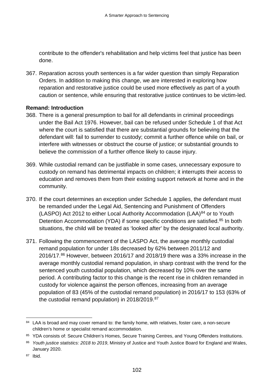contribute to the offender's rehabilitation and help victims feel that justice has been done.

367. Reparation across youth sentences is a far wider question than simply Reparation Orders. In addition to making this change, we are interested in exploring how reparation and restorative justice could be used more effectively as part of a youth caution or sentence, while ensuring that restorative justice continues to be victim-led.

#### **Remand: Introduction**

- 368. There is a general presumption to bail for all defendants in criminal proceedings under the Bail Act 1976. However, bail can be refused under Schedule 1 of that Act where the court is satisfied that there are substantial grounds for believing that the defendant will: fail to surrender to custody; commit a further offence while on bail, or interfere with witnesses or obstruct the course of justice; or substantial grounds to believe the commission of a further offence likely to cause injury.
- 369. While custodial remand can be justifiable in some cases, unnecessary exposure to custody on remand has detrimental impacts on children; it interrupts their access to education and removes them from their existing support network at home and in the community.
- 370. If the court determines an exception under Schedule 1 applies, the defendant must be remanded under the Legal Aid, Sentencing and Punishment of Offenders (LASPO) Act 2012 to either Local Authority Accommodation (LAA) $84$  or to Youth Detention Accommodation (YDA) if some specific conditions are satisfied.<sup>[85](#page-104-1)</sup> In both situations, the child will be treated as 'looked after' by the designated local authority.
- 371. Following the commencement of the LASPO Act, the average monthly custodial remand population for under 18s decreased by 62% between 2011/12 and 2016/17.[86](#page-104-2) However, between 2016/17 and 2018/19 there was a 33% increase in the average monthly custodial remand population, in sharp contrast with the trend for the sentenced youth custodial population, which decreased by 10% over the same period. A contributing factor to this change is the recent rise in children remanded in custody for violence against the person offences, increasing from an average population of 83 (45% of the custodial remand population) in 2016/17 to 153 (63% of the custodial remand population) in 2018/2019. [87](#page-104-3)

<span id="page-104-0"></span><sup>&</sup>lt;sup>84</sup> LAA is broad and may cover remand to: the family home, with relatives, foster care, a non-secure children's home or specialist remand accommodation.

<span id="page-104-1"></span><sup>85</sup> YDA consists of: Secure Children's Homes, Secure Training Centres, and Young Offenders Institutions.

<span id="page-104-2"></span><sup>86</sup> *Youth justice statistics: 2018 to 2019*, Ministry of Justice and Youth Justice Board for England and Wales, January 2020.

<span id="page-104-3"></span><sup>87</sup> Ibid.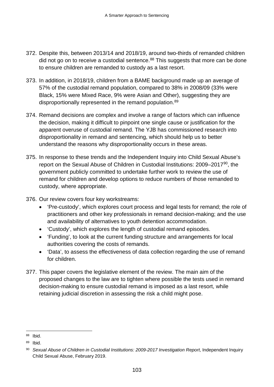- 372. Despite this, between 2013/14 and 2018/19, around two-thirds of remanded children did not go on to receive a custodial sentence. $88$  This suggests that more can be done to ensure children are remanded to custody as a last resort.
- 373. In addition, in 2018/19, children from a BAME background made up an average of 57% of the custodial remand population, compared to 38% in 2008/09 (33% were Black, 15% were Mixed Race, 9% were Asian and Other), suggesting they are disproportionally represented in the remand population.<sup>[89](#page-105-1)</sup>
- 374. Remand decisions are complex and involve a range of factors which can influence the decision, making it difficult to pinpoint one single cause or justification for the apparent overuse of custodial remand. The YJB has commissioned research into disproportionality in remand and sentencing, which should help us to better understand the reasons why disproportionality occurs in these areas.
- 375. In response to these trends and the Independent Inquiry into Child Sexual Abuse's report on the Sexual Abuse of Children in Custodial Institutions: 2009–2017<sup>90</sup>, the government publicly committed to undertake further work to review the use of remand for children and develop options to reduce numbers of those remanded to custody, where appropriate.
- 376. Our review covers four key workstreams:
	- 'Pre-custody', which explores court process and legal tests for remand; the role of practitioners and other key professionals in remand decision-making; and the use and availability of alternatives to youth detention accommodation.
	- 'Custody', which explores the length of custodial remand episodes.
	- 'Funding', to look at the current funding structure and arrangements for local authorities covering the costs of remands.
	- 'Data', to assess the effectiveness of data collection regarding the use of remand for children.
- 377. This paper covers the legislative element of the review. The main aim of the proposed changes to the law are to tighten where possible the tests used in remand decision-making to ensure custodial remand is imposed as a last resort, while retaining judicial discretion in assessing the risk a child might pose.

<span id="page-105-0"></span> <sup>88</sup> Ibid.

<span id="page-105-1"></span><sup>89</sup> Ibid.

<span id="page-105-2"></span><sup>90</sup> *Sexual Abuse of Children in Custodial Institutions: 2009-2017 Investigation Report*, Independent Inquiry Child Sexual Abuse, February 2019.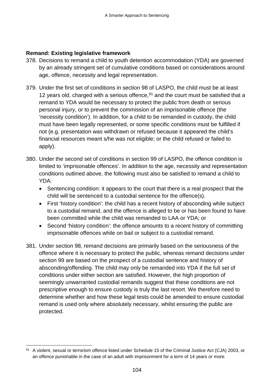## **Remand: Existing legislative framework**

- 378. Decisions to remand a child to youth detention accommodation (YDA) are governed by an already stringent set of cumulative conditions based on considerations around age, offence, necessity and legal representation.
- 379. Under the first set of conditions in section 98 of LASPO, the child must be at least 12 years old, charged with a serious offence,  $91$  and the court must be satisfied that a remand to YDA would be necessary to protect the public from death or serious personal injury, or to prevent the commission of an imprisonable offence (the 'necessity condition'). In addition, for a child to be remanded in custody, the child must have been legally represented, or some specific conditions must be fulfilled if not (e.g. presentation was withdrawn or refused because it appeared the child's financial resources meant s/he was not eligible; or the child refused or failed to apply).
- 380. Under the second set of conditions in section 99 of LASPO, the offence condition is limited to 'imprisonable offences'. In addition to the age, necessity and representation conditions outlined above, the following must also be satisfied to remand a child to YDA:
	- Sentencing condition: it appears to the court that there is a real prospect that the child will be sentenced to a custodial sentence for the offence(s).
	- First 'history condition': the child has a recent history of absconding while subject to a custodial remand, and the offence is alleged to be or has been found to have been committed while the child was remanded to LAA or YDA; or
	- Second 'history condition': the offence amounts to a recent history of committing imprisonable offences while on bail or subject to a custodial remand.
- 381. Under section 98, remand decisions are primarily based on the seriousness of the offence where it is necessary to protect the public, whereas remand decisions under section 99 are based on the prospect of a custodial sentence and history of absconding/offending. The child may only be remanded into YDA if the full set of conditions under either section are satisfied. However, the high proportion of seemingly unwarranted custodial remands suggest that these conditions are not prescriptive enough to ensure custody is truly the last resort. We therefore need to determine whether and how these legal tests could be amended to ensure custodial remand is used only where absolutely necessary, whilst ensuring the public are protected.

<span id="page-106-0"></span><sup>91</sup> A violent, sexual or terrorism offence listed under Schedule 15 of the Criminal Justice Act (CJA) 2003, or an offence punishable in the case of an adult with imprisonment for a term of 14 years or more.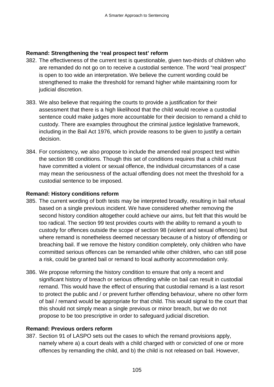#### **Remand: Strengthening the 'real prospect test' reform**

- 382. The effectiveness of the current test is questionable, given two-thirds of children who are remanded do not go on to receive a custodial sentence. The word "real prospect" is open to too wide an interpretation. We believe the current wording could be strengthened to make the threshold for remand higher while maintaining room for judicial discretion.
- 383. We also believe that requiring the courts to provide a justification for their assessment that there is a high likelihood that the child would receive a custodial sentence could make judges more accountable for their decision to remand a child to custody. There are examples throughout the criminal justice legislative framework, including in the Bail Act 1976, which provide reasons to be given to justify a certain decision.
- 384. For consistency, we also propose to include the amended real prospect test within the section 98 conditions. Though this set of conditions requires that a child must have committed a violent or sexual offence, the individual circumstances of a case may mean the seriousness of the actual offending does not meet the threshold for a custodial sentence to be imposed.

#### **Remand: History conditions reform**

- 385. The current wording of both tests may be interpreted broadly, resulting in bail refusal based on a single previous incident. We have considered whether removing the second history condition altogether could achieve our aims, but felt that this would be too radical. The section 99 test provides courts with the ability to remand a youth to custody for offences outside the scope of section 98 (violent and sexual offences) but where remand is nonetheless deemed necessary because of a history of offending or breaching bail. If we remove the history condition completely, only children who have committed serious offences can be remanded while other children, who can still pose a risk, could be granted bail or remand to local authority accommodation only.
- 386. We propose reforming the history condition to ensure that only a recent and significant history of breach or serious offending while on bail can result in custodial remand. This would have the effect of ensuring that custodial remand is a last resort to protect the public and / or prevent further offending behaviour, where no other form of bail / remand would be appropriate for that child. This would signal to the court that this should not simply mean a single previous or minor breach, but we do not propose to be too prescriptive in order to safeguard judicial discretion.

# **Remand: Previous orders reform**

387. Section 91 of LASPO sets out the cases to which the remand provisions apply, namely where a) a court deals with a child charged with or convicted of one or more offences by remanding the child, and b) the child is not released on bail. However,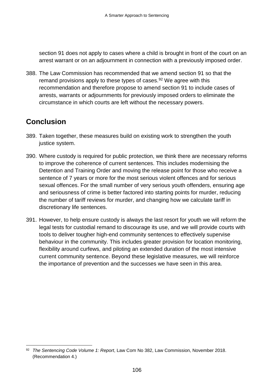section 91 does not apply to cases where a child is brought in front of the court on an arrest warrant or on an adjournment in connection with a previously imposed order.

388. The Law Commission has recommended that we amend section 91 so that the remand provisions apply to these types of cases.<sup>[92](#page-108-0)</sup> We agree with this recommendation and therefore propose to amend section 91 to include cases of arrests, warrants or adjournments for previously imposed orders to eliminate the circumstance in which courts are left without the necessary powers.

## **Conclusion**

- 389. Taken together, these measures build on existing work to strengthen the youth justice system.
- 390. Where custody is required for public protection, we think there are necessary reforms to improve the coherence of current sentences. This includes modernising the Detention and Training Order and moving the release point for those who receive a sentence of 7 years or more for the most serious violent offences and for serious sexual offences. For the small number of very serious youth offenders, ensuring age and seriousness of crime is better factored into starting points for murder, reducing the number of tariff reviews for murder, and changing how we calculate tariff in discretionary life sentences.
- 391. However, to help ensure custody is always the last resort for youth we will reform the legal tests for custodial remand to discourage its use, and we will provide courts with tools to deliver tougher high-end community sentences to effectively supervise behaviour in the community. This includes greater provision for location monitoring, flexibility around curfews, and piloting an extended duration of the most intensive current community sentence. Beyond these legislative measures, we will reinforce the importance of prevention and the successes we have seen in this area.

<span id="page-108-0"></span> <sup>92</sup> *The Sentencing Code Volume 1: Report*, Law Com No 382, Law Commission, November 2018. (Recommendation 4.)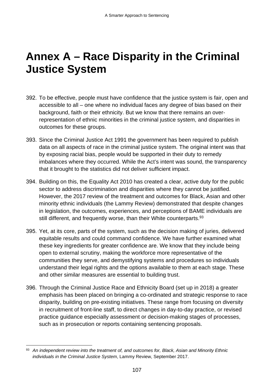## **Annex A – Race Disparity in the Criminal Justice System**

- 392. To be effective, people must have confidence that the justice system is fair, open and accessible to all – one where no individual faces any degree of bias based on their background, faith or their ethnicity. But we know that there remains an overrepresentation of ethnic minorities in the criminal justice system, and disparities in outcomes for these groups.
- 393. Since the Criminal Justice Act 1991 the government has been required to publish data on all aspects of race in the criminal justice system. The original intent was that by exposing racial bias, people would be supported in their duty to remedy imbalances where they occurred. While the Act's intent was sound, the transparency that it brought to the statistics did not deliver sufficient impact.
- 394. Building on this, the Equality Act 2010 has created a clear, active duty for the public sector to address discrimination and disparities where they cannot be justified. However, the 2017 review of the treatment and outcomes for Black, Asian and other minority ethnic individuals (the Lammy Review) demonstrated that despite changes in legislation, the outcomes, experiences, and perceptions of BAME individuals are still different, and frequently worse, than their White counterparts.<sup>[93](#page-109-0)</sup>
- 395. Yet, at its core, parts of the system, such as the decision making of juries, delivered equitable results and could command confidence. We have further examined what these key ingredients for greater confidence are. We know that they include being open to external scrutiny, making the workforce more representative of the communities they serve, and demystifying systems and procedures so individuals understand their legal rights and the options available to them at each stage. These and other similar measures are essential to building trust.
- 396. Through the Criminal Justice Race and Ethnicity Board (set up in 2018) a greater emphasis has been placed on bringing a co-ordinated and strategic response to race disparity, building on pre-existing initiatives. These range from focusing on diversity in recruitment of front-line staff, to direct changes in day-to-day practice, or revised practice guidance especially assessment or decision-making stages of processes, such as in prosecution or reports containing sentencing proposals.

<span id="page-109-0"></span><sup>93</sup> *An independent review into the treatment of, and outcomes for, Black, Asian and Minority Ethnic individuals in the Criminal Justice System*, Lammy Review, September 2017.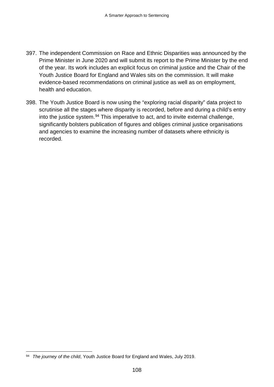- 397. The independent Commission on Race and Ethnic Disparities was announced by the Prime Minister in June 2020 and will submit its report to the Prime Minister by the end of the year. Its work includes an explicit focus on criminal justice and the Chair of the Youth Justice Board for England and Wales sits on the commission. It will make evidence-based recommendations on criminal justice as well as on employment, health and education.
- 398. The Youth Justice Board is now using the "exploring racial disparity" data project to scrutinise all the stages where disparity is recorded, before and during a child's entry into the justice system.[94](#page-110-0) This imperative to act, and to invite external challenge, significantly bolsters publication of figures and obliges criminal justice organisations and agencies to examine the increasing number of datasets where ethnicity is recorded.

<span id="page-110-0"></span> <sup>94</sup> *The journey of the child*, Youth Justice Board for England and Wales, July 2019.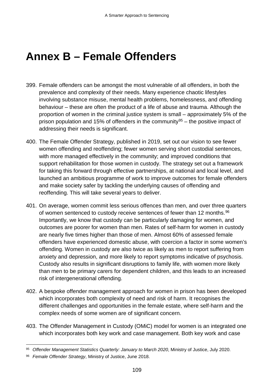## **Annex B – Female Offenders**

- 399. Female offenders can be amongst the most vulnerable of all offenders, in both the prevalence and complexity of their needs. Many experience chaotic lifestyles involving substance misuse, mental health problems, homelessness, and offending behaviour – these are often the product of a life of abuse and trauma. Although the proportion of women in the criminal justice system is small – approximately 5% of the prison population and 15% of offenders in the community<sup>[95](#page-111-0)</sup> – the positive impact of addressing their needs is significant.
- 400. The Female Offender Strategy, published in 2019, set out our vision to see fewer women offending and reoffending; fewer women serving short custodial sentences, with more managed effectively in the community; and improved conditions that support rehabilitation for those women in custody. The strategy set out a framework for taking this forward through effective partnerships, at national and local level, and launched an ambitious programme of work to improve outcomes for female offenders and make society safer by tackling the underlying causes of offending and reoffending. This will take several years to deliver.
- 401. On average, women commit less serious offences than men, and over three quarters of women sentenced to custody receive sentences of fewer than 12 months.<sup>[96](#page-111-1)</sup> Importantly, we know that custody can be particularly damaging for women, and outcomes are poorer for women than men. Rates of self-harm for women in custody are nearly five times higher than those of men. Almost 60% of assessed female offenders have experienced domestic abuse, with coercion a factor in some women's offending. Women in custody are also twice as likely as men to report suffering from anxiety and depression, and more likely to report symptoms indicative of psychosis. Custody also results in significant disruptions to family life, with women more likely than men to be primary carers for dependent children, and this leads to an increased risk of intergenerational offending.
- 402. A bespoke offender management approach for women in prison has been developed which incorporates both complexity of need and risk of harm. It recognises the different challenges and opportunities in the female estate, where self-harm and the complex needs of some women are of significant concern.
- 403. The Offender Management in Custody (OMiC) model for women is an integrated one which incorporates both key work and case management. Both key work and case

<span id="page-111-0"></span> <sup>95</sup> *Offender Management Statistics Quarterly: January to March 2020*, Ministry of Justice, July 2020.

<span id="page-111-1"></span><sup>96</sup> *Female Offender Strategy*, Ministry of Justice, June 2018.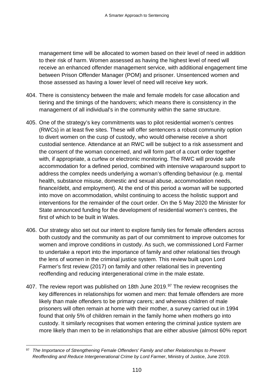management time will be allocated to women based on their level of need in addition to their risk of harm. Women assessed as having the highest level of need will receive an enhanced offender management service, with additional engagement time between Prison Offender Manager (POM) and prisoner. Unsentenced women and those assessed as having a lower level of need will receive key work.

- 404. There is consistency between the male and female models for case allocation and tiering and the timings of the handovers; which means there is consistency in the management of all individual's in the community within the same structure.
- 405. One of the strategy's key commitments was to pilot residential women's centres (RWCs) in at least five sites. These will offer sentencers a robust community option to divert women on the cusp of custody, who would otherwise receive a short custodial sentence. Attendance at an RWC will be subject to a risk assessment and the consent of the woman concerned, and will form part of a court order together with, if appropriate, a curfew or electronic monitoring. The RWC will provide safe accommodation for a defined period, combined with intensive wraparound support to address the complex needs underlying a woman's offending behaviour (e.g. mental health, substance misuse, domestic and sexual abuse, accommodation needs, finance/debt, and employment). At the end of this period a woman will be supported into move on accommodation, whilst continuing to access the holistic support and interventions for the remainder of the court order. On the 5 May 2020 the Minister for State announced funding for the development of residential women's centres, the first of which to be built in Wales.
- 406. Our strategy also set out our intent to explore family ties for female offenders across both custody and the community as part of our commitment to improve outcomes for women and improve conditions in custody. As such, we commissioned Lord Farmer to undertake a report into the importance of family and other relational ties through the lens of women in the criminal justice system. This review built upon Lord Farmer's first review (2017) on family and other relational ties in preventing reoffending and reducing intergenerational crime in the male estate.
- 407. The review report was published on 18th June 2019.<sup>97</sup> The review recognises the key differences in relationships for women and men: that female offenders are more likely than male offenders to be primary carers; and whereas children of male prisoners will often remain at home with their mother, a survey carried out in 1994 found that only 5% of children remain in the family home when mothers go into custody. It similarly recognises that women entering the criminal justice system are more likely than men to be in relationships that are either abusive (almost 60% report

<span id="page-112-0"></span> <sup>97</sup> *The Importance of Strengthening Female Offenders' Family and other Relationships to Prevent Reoffending and Reduce Intergenerational Crime by Lord Farmer*, Ministry of Justice, June 2019.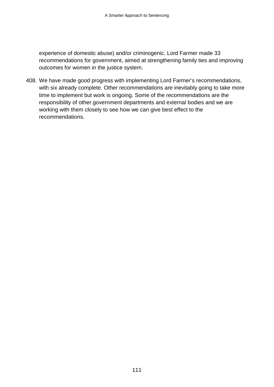experience of domestic abuse) and/or criminogenic. Lord Farmer made 33 recommendations for government, aimed at strengthening family ties and improving outcomes for women in the justice system.

408. We have made good progress with implementing Lord Farmer's recommendations, with six already complete. Other recommendations are inevitably going to take more time to implement but work is ongoing. Some of the recommendations are the responsibility of other government departments and external bodies and we are working with them closely to see how we can give best effect to the recommendations.